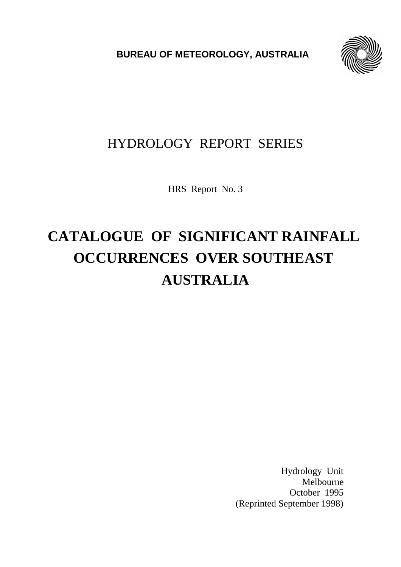**BUREAU OF METEOROLOGY, AUSTRALIA**



# HYDROLOGY REPORT SERIES

HRS Report No. 3

# **CATALOGUE OF SIGNIFICANT RAINFALL OCCURRENCES OVER SOUTHEAST AUSTRALIA**

Hydrology Unit Melbourne October 1995 (Reprinted September 1998)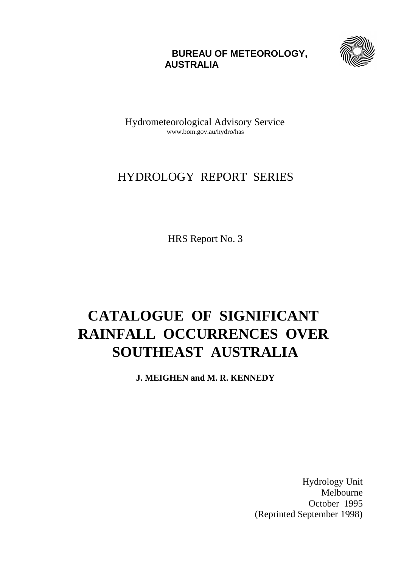# **BUREAU OF METEOROLOGY, AUSTRALIA**



Hydrometeorological Advisory Service www.bom.gov.au/hydro/has

# HYDROLOGY REPORT SERIES

HRS Report No. 3

# **CATALOGUE OF SIGNIFICANT RAINFALL OCCURRENCES OVER SOUTHEAST AUSTRALIA**

**J. MEIGHEN and M. R. KENNEDY**

Hydrology Unit Melbourne October 1995 (Reprinted September 1998)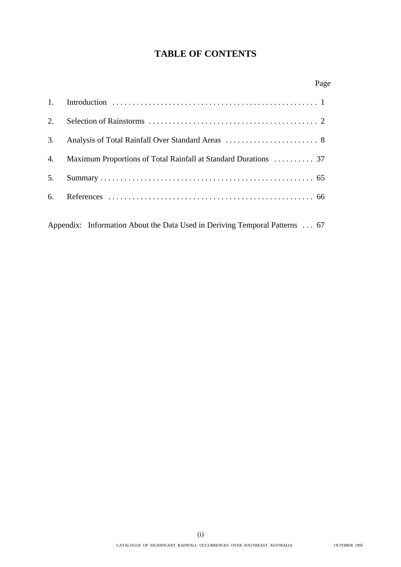# **TABLE OF CONTENTS**

|    | Page                                                                        |  |
|----|-----------------------------------------------------------------------------|--|
| 1. |                                                                             |  |
| 2. |                                                                             |  |
| 3. |                                                                             |  |
| 4. | Maximum Proportions of Total Rainfall at Standard Durations  37             |  |
| 5. |                                                                             |  |
| 6. |                                                                             |  |
|    |                                                                             |  |
|    | Appendix: Information About the Data Used in Deriving Temporal Patterns  67 |  |

(i) CATALOGUE OF SIGNIFICANT RAINFALL OCCURRENCES OVER SOUTHEAST AUSTRALIA OCTOBER 1995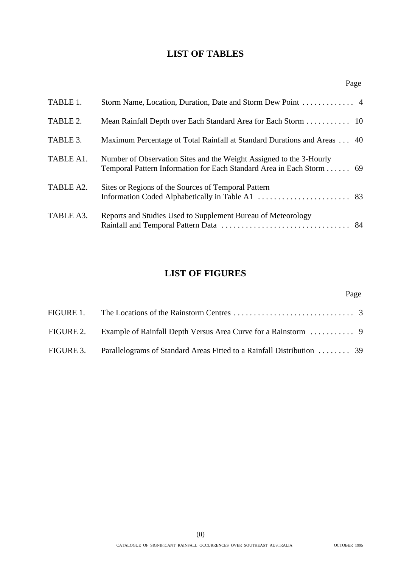# **LIST OF TABLES**

| TABLE 1.  |                                                                                                                                             |  |
|-----------|---------------------------------------------------------------------------------------------------------------------------------------------|--|
| TABLE 2.  |                                                                                                                                             |  |
| TABLE 3.  | Maximum Percentage of Total Rainfall at Standard Durations and Areas  40                                                                    |  |
| TABLE A1. | Number of Observation Sites and the Weight Assigned to the 3-Hourly<br>Temporal Pattern Information for Each Standard Area in Each Storm 69 |  |
| TABLE A2. | Sites or Regions of the Sources of Temporal Pattern                                                                                         |  |
| TABLE A3. | Reports and Studies Used to Supplement Bureau of Meteorology                                                                                |  |

# **LIST OF FIGURES**

| FIGURE 1. |                                                                                  |  |
|-----------|----------------------------------------------------------------------------------|--|
|           |                                                                                  |  |
|           | FIGURE 3. Parallelograms of Standard Areas Fitted to a Rainfall Distribution  39 |  |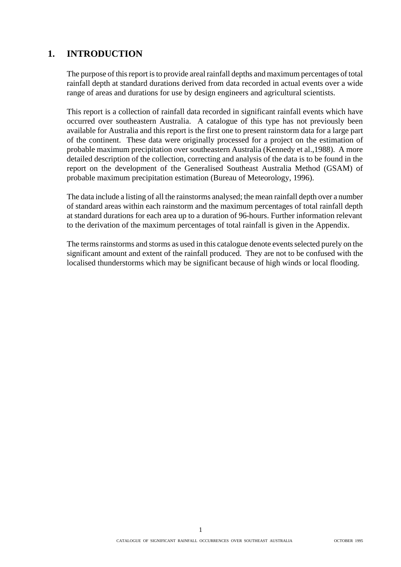# **1. INTRODUCTION**

The purpose of this report is to provide areal rainfall depths and maximum percentages of total rainfall depth at standard durations derived from data recorded in actual events over a wide range of areas and durations for use by design engineers and agricultural scientists.

This report is a collection of rainfall data recorded in significant rainfall events which have occurred over southeastern Australia. A catalogue of this type has not previously been available for Australia and this report is the first one to present rainstorm data for a large part of the continent. These data were originally processed for a project on the estimation of probable maximum precipitation over southeastern Australia (Kennedy et al.,1988). A more detailed description of the collection, correcting and analysis of the data is to be found in the report on the development of the Generalised Southeast Australia Method (GSAM) of probable maximum precipitation estimation (Bureau of Meteorology, 1996).

The data include a listing of all the rainstorms analysed; the mean rainfall depth over a number of standard areas within each rainstorm and the maximum percentages of total rainfall depth at standard durations for each area up to a duration of 96-hours. Further information relevant to the derivation of the maximum percentages of total rainfall is given in the Appendix.

The terms rainstorms and storms as used in this catalogue denote events selected purely on the significant amount and extent of the rainfall produced. They are not to be confused with the localised thunderstorms which may be significant because of high winds or local flooding.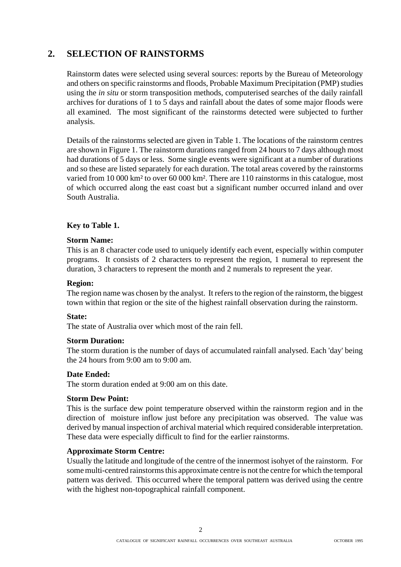# **2. SELECTION OF RAINSTORMS**

Rainstorm dates were selected using several sources: reports by the Bureau of Meteorology and others on specific rainstorms and floods, Probable Maximum Precipitation (PMP) studies using the *in situ* or storm transposition methods, computerised searches of the daily rainfall archives for durations of 1 to 5 days and rainfall about the dates of some major floods were all examined. The most significant of the rainstorms detected were subjected to further analysis.

Details of the rainstorms selected are given in Table 1. The locations of the rainstorm centres are shown in Figure 1. The rainstorm durations ranged from 24 hours to 7 days although most had durations of 5 days or less. Some single events were significant at a number of durations and so these are listed separately for each duration. The total areas covered by the rainstorms varied from 10 000 km² to over 60 000 km². There are 110 rainstorms in this catalogue, most of which occurred along the east coast but a significant number occurred inland and over South Australia.

## **Key to Table 1.**

## **Storm Name:**

This is an 8 character code used to uniquely identify each event, especially within computer programs. It consists of 2 characters to represent the region, 1 numeral to represent the duration, 3 characters to represent the month and 2 numerals to represent the year.

## **Region:**

The region name was chosen by the analyst. It refers to the region of the rainstorm, the biggest town within that region or the site of the highest rainfall observation during the rainstorm.

## **State:**

The state of Australia over which most of the rain fell.

## **Storm Duration:**

The storm duration is the number of days of accumulated rainfall analysed. Each 'day' being the 24 hours from 9:00 am to 9:00 am.

## **Date Ended:**

The storm duration ended at 9:00 am on this date.

## **Storm Dew Point:**

This is the surface dew point temperature observed within the rainstorm region and in the direction of moisture inflow just before any precipitation was observed. The value was derived by manual inspection of archival material which required considerable interpretation. These data were especially difficult to find for the earlier rainstorms.

## **Approximate Storm Centre:**

Usually the latitude and longitude of the centre of the innermost isohyet of the rainstorm. For some multi-centred rainstorms this approximate centre is not the centre for which the temporal pattern was derived. This occurred where the temporal pattern was derived using the centre with the highest non-topographical rainfall component.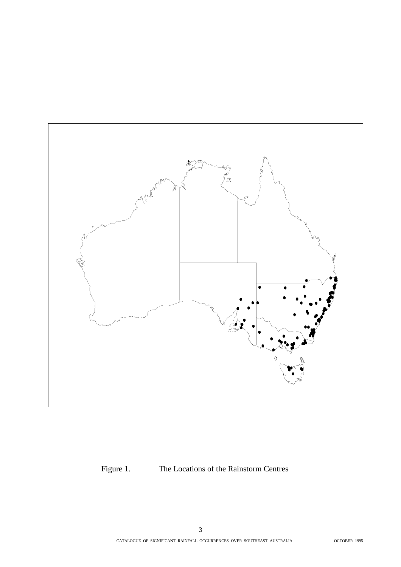

Figure 1. The Locations of the Rainstorm Centres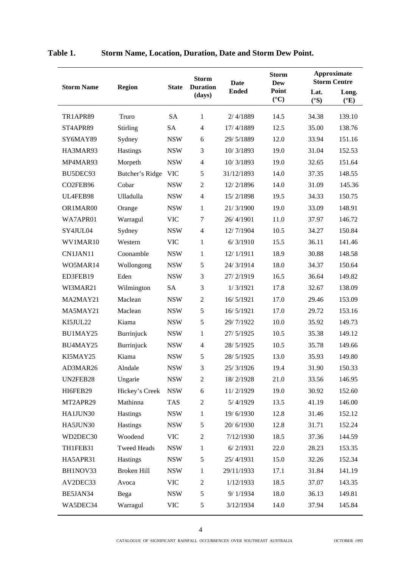|                   |                    |                             | <b>Storm</b><br><b>Duration</b><br>(days) | <b>Date</b>  | <b>Storm</b><br>Dew      | Approximate<br><b>Storm Centre</b> |                          |
|-------------------|--------------------|-----------------------------|-------------------------------------------|--------------|--------------------------|------------------------------------|--------------------------|
| <b>Storm Name</b> | <b>Region</b>      | <b>State</b>                |                                           | <b>Ended</b> | Point<br>$({}^{\circ}C)$ | Lat.<br>$({}^{\circ}S)$            | Long.<br>$({}^{\circ}E)$ |
| TR1APR89          | Truro              | <b>SA</b>                   | $\mathbf{1}$                              | 2/4/1889     | 14.5                     | 34.38                              | 139.10                   |
| ST4APR89          | <b>Stirling</b>    | <b>SA</b>                   | $\overline{4}$                            | 17/4/1889    | 12.5                     | 35.00                              | 138.76                   |
| SY6MAY89          | Sydney             | <b>NSW</b>                  | 6                                         | 29/5/1889    | 12.0                     | 33.94                              | 151.16                   |
| HA3MAR93          | Hastings           | <b>NSW</b>                  | 3                                         | 10/3/1893    | 19.0                     | 31.04                              | 152.53                   |
| MP4MAR93          | Morpeth            | <b>NSW</b>                  | $\overline{4}$                            | 10/3/1893    | 19.0                     | 32.65                              | 151.64                   |
| BU5DEC93          | Butcher's Ridge    | <b>VIC</b>                  | 5                                         | 31/12/1893   | 14.0                     | 37.35                              | 148.55                   |
| CO2FEB96          | Cobar              | <b>NSW</b>                  | $\sqrt{2}$                                | 12/2/1896    | 14.0                     | 31.09                              | 145.36                   |
| UL4FEB98          | Ulladulla          | <b>NSW</b>                  | $\overline{4}$                            | 15/2/1898    | 19.5                     | 34.33                              | 150.75                   |
| OR1MAR00          | Orange             | <b>NSW</b>                  | 1                                         | 21/3/1900    | 19.0                     | 33.09                              | 148.91                   |
| WA7APR01          | Warragul           | <b>VIC</b>                  | 7                                         | 26/4/1901    | 11.0                     | 37.97                              | 146.72                   |
| SY4JUL04          | Sydney             | <b>NSW</b>                  | $\overline{4}$                            | 12/7/1904    | 10.5                     | 34.27                              | 150.84                   |
| WV1MAR10          | Western            | <b>VIC</b>                  | 1                                         | 6/3/1910     | 15.5                     | 36.11                              | 141.46                   |
| CN1JAN11          | Coonamble          | <b>NSW</b>                  | 1                                         | 12/1/1911    | 18.9                     | 30.88                              | 148.58                   |
| WO5MAR14          | Wollongong         | <b>NSW</b>                  | 5                                         | 24/3/1914    | 18.0                     | 34.37                              | 150.64                   |
| ED3FEB19          | Eden               | <b>NSW</b>                  | 3                                         | 27/2/1919    | 16.5                     | 36.64                              | 149.82                   |
| WI3MAR21          | Wilmington         | <b>SA</b>                   | 3                                         | 1/3/1921     | 17.8                     | 32.67                              | 138.09                   |
| MA2MAY21          | Maclean            | <b>NSW</b>                  | $\mathfrak{2}$                            | 16/5/1921    | 17.0                     | 29.46                              | 153.09                   |
| MA5MAY21          | Maclean            | <b>NSW</b>                  | 5                                         | 16/5/1921    | 17.0                     | 29.72                              | 153.16                   |
| KI5JUL22          | Kiama              | <b>NSW</b>                  | 5                                         | 29/7/1922    | 10.0                     | 35.92                              | 149.73                   |
| BU1MAY25          | Burrinjuck         | <b>NSW</b>                  | $\mathbf{1}$                              | 27/5/1925    | 10.5                     | 35.38                              | 149.12                   |
| BU4MAY25          | Burrinjuck         | <b>NSW</b>                  | $\overline{4}$                            | 28/5/1925    | 10.5                     | 35.78                              | 149.66                   |
| KI5MAY25          | Kiama              | <b>NSW</b>                  | 5                                         | 28/5/1925    | 13.0                     | 35.93                              | 149.80                   |
| AD3MAR26          | Alndale            | $\ensuremath{\mathsf{NSW}}$ | 3                                         | 25/3/1926    | 19.4                     | 31.90                              | 150.33                   |
| UN2FEB28          | Ungarie            | <b>NSW</b>                  | 2                                         | 18/2/1928    | 21.0                     | 33.56                              | 146.95                   |
| HI6FEB29          | Hickey's Creek     | <b>NSW</b>                  | 6                                         | 11/2/1929    | 19.0                     | 30.92                              | 152.60                   |
| MT2APR29          | Mathinna           | <b>TAS</b>                  | $\overline{2}$                            | 5/4/1929     | 13.5                     | 41.19                              | 146.00                   |
| HA1JUN30          | Hastings           | <b>NSW</b>                  | 1                                         | 19/6/1930    | 12.8                     | 31.46                              | 152.12                   |
| HA5JUN30          | Hastings           | <b>NSW</b>                  | 5                                         | 20/6/1930    | 12.8                     | 31.71                              | 152.24                   |
| WD2DEC30          | Woodend            | <b>VIC</b>                  | $\overline{2}$                            | 7/12/1930    | 18.5                     | 37.36                              | 144.59                   |
| TH1FEB31          | <b>Tweed Heads</b> | <b>NSW</b>                  | 1                                         | 6/2/1931     | 22.0                     | 28.23                              | 153.35                   |
| HA5APR31          | Hastings           | <b>NSW</b>                  | 5                                         | 25/4/1931    | 15.0                     | 32.26                              | 152.34                   |
| BH1NOV33          | Broken Hill        | <b>NSW</b>                  | 1                                         | 29/11/1933   | 17.1                     | 31.84                              | 141.19                   |
| AV2DEC33          | Avoca              | <b>VIC</b>                  | $\overline{2}$                            | 1/12/1933    | 18.5                     | 37.07                              | 143.35                   |
| BE5JAN34          | Bega               | <b>NSW</b>                  | 5                                         | 9/1/1934     | 18.0                     | 36.13                              | 149.81                   |
| WA5DEC34          | Warragul           | VIC                         | 5                                         | 3/12/1934    | 14.0                     | 37.94                              | 145.84                   |

| Table 1. | <b>Storm Name, Location, Duration, Date and Storm Dew Point.</b> |  |  |  |
|----------|------------------------------------------------------------------|--|--|--|
|          |                                                                  |  |  |  |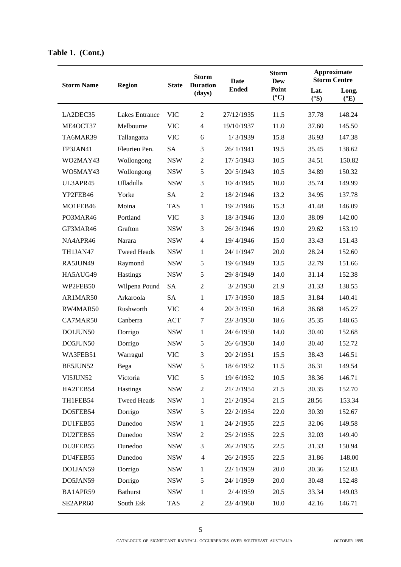|                   |                       | <b>State</b> | <b>Storm</b><br><b>Duration</b><br>(days) | <b>Date</b>  | <b>Storm</b><br><b>Dew</b> |                       | <b>Approximate</b><br><b>Storm Centre</b> |
|-------------------|-----------------------|--------------|-------------------------------------------|--------------|----------------------------|-----------------------|-------------------------------------------|
| <b>Storm Name</b> | <b>Region</b>         |              |                                           | <b>Ended</b> | Point<br>$({}^{\circ}C)$   | Lat.<br>$(^{\circ}S)$ | Long.<br>$({}^{\circ}E)$                  |
| LA2DEC35          | <b>Lakes Entrance</b> | <b>VIC</b>   | $\mathfrak{2}$                            | 27/12/1935   | 11.5                       | 37.78                 | 148.24                                    |
| ME4OCT37          | Melbourne             | <b>VIC</b>   | $\overline{4}$                            | 19/10/1937   | 11.0                       | 37.60                 | 145.50                                    |
| TA6MAR39          | Tallangatta           | <b>VIC</b>   | 6                                         | 1/3/1939     | 15.8                       | 36.93                 | 147.38                                    |
| FP3JAN41          | Fleurieu Pen.         | <b>SA</b>    | 3                                         | 26/1/1941    | 19.5                       | 35.45                 | 138.62                                    |
| WO2MAY43          | Wollongong            | <b>NSW</b>   | $\sqrt{2}$                                | 17/5/1943    | 10.5                       | 34.51                 | 150.82                                    |
| WO5MAY43          | Wollongong            | <b>NSW</b>   | 5                                         | 20/5/1943    | 10.5                       | 34.89                 | 150.32                                    |
| UL3APR45          | Ulladulla             | <b>NSW</b>   | 3                                         | 10/4/1945    | 10.0                       | 35.74                 | 149.99                                    |
| YP2FEB46          | Yorke                 | <b>SA</b>    | $\overline{2}$                            | 18/2/1946    | 13.2                       | 34.95                 | 137.78                                    |
| MO1FEB46          | Moina                 | <b>TAS</b>   | $\mathbf{1}$                              | 19/2/1946    | 15.3                       | 41.48                 | 146.09                                    |
| PO3MAR46          | Portland              | <b>VIC</b>   | 3                                         | 18/3/1946    | 13.0                       | 38.09                 | 142.00                                    |
| GF3MAR46          | Grafton               | <b>NSW</b>   | 3                                         | 26/3/1946    | 19.0                       | 29.62                 | 153.19                                    |
| NA4APR46          | Narara                | <b>NSW</b>   | $\overline{4}$                            | 19/4/1946    | 15.0                       | 33.43                 | 151.43                                    |
| TH1JAN47          | <b>Tweed Heads</b>    | <b>NSW</b>   | $\mathbf{1}$                              | 24/1/1947    | 20.0                       | 28.24                 | 152.60                                    |
| RA5JUN49          | Raymond               | <b>NSW</b>   | 5                                         | 19/6/1949    | 13.5                       | 32.79                 | 151.66                                    |
| HA5AUG49          | Hastings              | <b>NSW</b>   | 5                                         | 29/8/1949    | 14.0                       | 31.14                 | 152.38                                    |
| WP2FEB50          | Wilpena Pound         | <b>SA</b>    | $\overline{2}$                            | 3/2/1950     | 21.9                       | 31.33                 | 138.55                                    |
| AR1MAR50          | Arkaroola             | <b>SA</b>    | 1                                         | 17/3/1950    | 18.5                       | 31.84                 | 140.41                                    |
| RW4MAR50          | Rushworth             | <b>VIC</b>   | $\overline{4}$                            | 20/3/1950    | 16.8                       | 36.68                 | 145.27                                    |
| CA7MAR50          | Canberra              | <b>ACT</b>   | 7                                         | 23/3/1950    | 18.6                       | 35.35                 | 148.65                                    |
| DO1JUN50          | Dorrigo               | <b>NSW</b>   | 1                                         | 24/6/1950    | 14.0                       | 30.40                 | 152.68                                    |
| DO5JUN50          | Dorrigo               | <b>NSW</b>   | 5                                         | 26/6/1950    | 14.0                       | 30.40                 | 152.72                                    |
| WA3FEB51          | Warragul              | <b>VIC</b>   | 3                                         | 20/2/1951    | 15.5                       | 38.43                 | 146.51                                    |
| BE5JUN52          | Bega                  | <b>NSW</b>   | 5                                         | 18/6/1952    | 11.5                       | 36.31                 | 149.54                                    |
| VI5JUN52          | Victoria              | <b>VIC</b>   | 5                                         | 19/6/1952    | 10.5                       | 38.36                 | 146.71                                    |
| HA2FEB54          | Hastings              | <b>NSW</b>   | $\mathfrak{2}$                            | 21/2/1954    | 21.5                       | 30.35                 | 152.70                                    |
| TH1FEB54          | <b>Tweed Heads</b>    | <b>NSW</b>   | $\mathbf{1}$                              | 21/2/1954    | 21.5                       | 28.56                 | 153.34                                    |
| DO5FEB54          | Dorrigo               | <b>NSW</b>   | 5                                         | 22/2/1954    | 22.0                       | 30.39                 | 152.67                                    |
| DU1FEB55          | Dunedoo               | <b>NSW</b>   | 1                                         | 24/2/1955    | 22.5                       | 32.06                 | 149.58                                    |
| DU2FEB55          | Dunedoo               | <b>NSW</b>   | $\boldsymbol{2}$                          | 25/2/1955    | 22.5                       | 32.03                 | 149.40                                    |
| DU3FEB55          | Dunedoo               | <b>NSW</b>   | 3                                         | 26/2/1955    | 22.5                       | 31.33                 | 150.94                                    |
| DU4FEB55          | Dunedoo               | <b>NSW</b>   | $\overline{4}$                            | 26/2/1955    | 22.5                       | 31.86                 | 148.00                                    |
| DO1JAN59          | Dorrigo               | <b>NSW</b>   | $\mathbf{1}$                              | 22/1/1959    | 20.0                       | 30.36                 | 152.83                                    |
| DO5JAN59          | Dorrigo               | <b>NSW</b>   | 5                                         | 24/1/1959    | 20.0                       | 30.48                 | 152.48                                    |
| BA1APR59          | <b>Bathurst</b>       | <b>NSW</b>   | $\mathbf{1}$                              | 2/4/1959     | 20.5                       | 33.34                 | 149.03                                    |
| SE2APR60          | South Esk             | <b>TAS</b>   | $\overline{2}$                            | 23/4/1960    | 10.0                       | 42.16                 | 146.71                                    |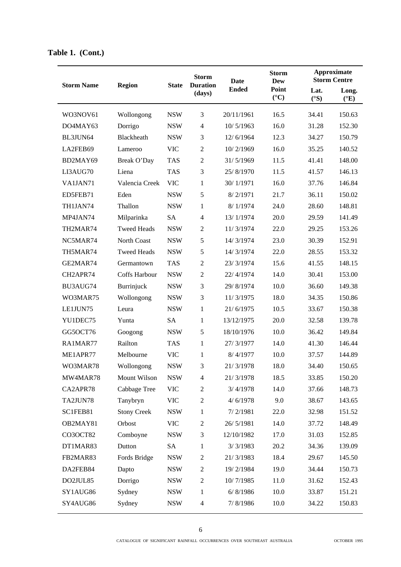| <b>Storm Name</b><br><b>Region</b><br><b>State</b><br><b>Ended</b><br>Point<br>Lat.<br>Long.<br>(days)<br>$({}^{\circ}C)$<br>$(^{\circ}S)$<br>$({}^{\circ}E)$<br>3<br>WO3NOV61<br><b>NSW</b><br>20/11/1961<br>16.5<br>34.41<br>150.63<br>Wollongong<br><b>NSW</b><br>$\overline{4}$<br>16.0<br>152.30<br>DO4MAY63<br>Dorrigo<br>10/5/1963<br>31.28<br>Blackheath<br><b>NSW</b><br>3<br>12.3<br>150.79<br>BL3JUN64<br>12/6/1964<br>34.27<br><b>VIC</b><br>$\overline{2}$<br>LA2FEB69<br>10/2/1969<br>16.0<br>35.25<br>140.52<br>Lameroo<br>$\overline{2}$<br>31/5/1969<br>11.5<br>41.41<br>148.00<br>BD2MAY69<br>Break O'Day<br><b>TAS</b><br>LI3AUG70<br>Liena<br><b>TAS</b><br>3<br>25/8/1970<br>11.5<br>146.13<br>41.57<br>VA1JAN71<br><b>VIC</b><br>$\mathbf{1}$<br>30/1/1971<br>16.0<br>146.84<br>Valencia Creek<br>37.76<br>5<br>Eden<br><b>NSW</b><br>21.7<br>150.02<br>ED5FEB71<br>8/2/1971<br>36.11<br>TH1JAN74<br>Thallon<br><b>NSW</b><br>$\mathbf{1}$<br>8/1/1974<br>24.0<br>28.60<br>148.81<br>20.0<br>MP4JAN74<br>Milparinka<br><b>SA</b><br>$\overline{4}$<br>13/1/1974<br>29.59<br>141.49<br><b>Tweed Heads</b><br><b>NSW</b><br>$\boldsymbol{2}$<br>22.0<br>153.26<br>TH2MAR74<br>11/3/1974<br>29.25<br>5<br>NC5MAR74<br>North Coast<br><b>NSW</b><br>23.0<br>30.39<br>14/3/1974<br>152.91<br>5<br>22.0<br>TH5MAR74<br><b>Tweed Heads</b><br><b>NSW</b><br>14/3/1974<br>28.55<br>153.32<br>$\overline{2}$<br><b>TAS</b><br>15.6<br>148.15<br>GE2MAR74<br>Germantown<br>23/3/1974<br>41.55<br>14.0<br>CH2APR74<br>Coffs Harbour<br><b>NSW</b><br>$\mathfrak{2}$<br>30.41<br>153.00<br>22/4/1974<br>3<br>BU3AUG74<br>Burrinjuck<br><b>NSW</b><br>29/8/1974<br>10.0<br>36.60<br>149.38<br>Wollongong<br><b>NSW</b><br>3<br>18.0<br>WO3MAR75<br>11/3/1975<br>34.35<br>150.86<br>LE1JUN75<br><b>NSW</b><br>$\mathbf{1}$<br>21/6/1975<br>10.5<br>33.67<br>150.38<br>Leura<br><b>SA</b><br>$\mathbf{1}$<br>13/12/1975<br>20.0<br>32.58<br>139.78<br>YU1DEC75<br>Yunta<br>5<br>GG5OCT76<br><b>NSW</b><br>10.0<br>149.84<br>Googong<br>18/10/1976<br>36.42<br>$\mathbf{1}$<br>Railton<br><b>TAS</b><br>27/3/1977<br>14.0<br>RA1MAR77<br>41.30<br>146.44<br>Melbourne<br><b>VIC</b><br>1<br>10.0<br>ME1APR77<br>8/4/1977<br>37.57<br>144.89<br>3<br>WO3MAR78<br><b>NSW</b><br>21/3/1978<br>18.0<br>34.40<br>150.65<br>Wollongong<br>MW4MAR78<br>Mount Wilson<br><b>NSW</b><br>21/3/1978<br>18.5<br>33.85<br>150.20<br>4<br>CA2APR78<br>14.0<br>Cabbage Tree<br><b>VIC</b><br>$\overline{2}$<br>3/4/1978<br>37.66<br>148.73<br>TA2JUN78<br><b>VIC</b><br>$\mathfrak{2}$<br>9.0<br>143.65<br>Tanybryn<br>4/6/1978<br>38.67<br><b>Stony Creek</b><br>22.0<br>SC1FEB81<br><b>NSW</b><br>1<br>7/2/1981<br>32.98<br>151.52<br>Orbost<br>26/5/1981<br>14.0<br>OB2MAY81<br><b>VIC</b><br>$\overline{2}$<br>37.72<br>148.49 |          |          |            | <b>Storm</b><br><b>Duration</b> | <b>Date</b> | <b>Storm</b><br><b>Dew</b> | <b>Approximate</b><br><b>Storm Centre</b> |        |
|--------------------------------------------------------------------------------------------------------------------------------------------------------------------------------------------------------------------------------------------------------------------------------------------------------------------------------------------------------------------------------------------------------------------------------------------------------------------------------------------------------------------------------------------------------------------------------------------------------------------------------------------------------------------------------------------------------------------------------------------------------------------------------------------------------------------------------------------------------------------------------------------------------------------------------------------------------------------------------------------------------------------------------------------------------------------------------------------------------------------------------------------------------------------------------------------------------------------------------------------------------------------------------------------------------------------------------------------------------------------------------------------------------------------------------------------------------------------------------------------------------------------------------------------------------------------------------------------------------------------------------------------------------------------------------------------------------------------------------------------------------------------------------------------------------------------------------------------------------------------------------------------------------------------------------------------------------------------------------------------------------------------------------------------------------------------------------------------------------------------------------------------------------------------------------------------------------------------------------------------------------------------------------------------------------------------------------------------------------------------------------------------------------------------------------------------------------------------------------------------------------------------------------------------------------------------------------------------------------------------------------------------------------------------------------------------------------------------------------------------------------------------------------------------------------------------------|----------|----------|------------|---------------------------------|-------------|----------------------------|-------------------------------------------|--------|
|                                                                                                                                                                                                                                                                                                                                                                                                                                                                                                                                                                                                                                                                                                                                                                                                                                                                                                                                                                                                                                                                                                                                                                                                                                                                                                                                                                                                                                                                                                                                                                                                                                                                                                                                                                                                                                                                                                                                                                                                                                                                                                                                                                                                                                                                                                                                                                                                                                                                                                                                                                                                                                                                                                                                                                                                                          |          |          |            |                                 |             |                            |                                           |        |
|                                                                                                                                                                                                                                                                                                                                                                                                                                                                                                                                                                                                                                                                                                                                                                                                                                                                                                                                                                                                                                                                                                                                                                                                                                                                                                                                                                                                                                                                                                                                                                                                                                                                                                                                                                                                                                                                                                                                                                                                                                                                                                                                                                                                                                                                                                                                                                                                                                                                                                                                                                                                                                                                                                                                                                                                                          |          |          |            |                                 |             |                            |                                           |        |
|                                                                                                                                                                                                                                                                                                                                                                                                                                                                                                                                                                                                                                                                                                                                                                                                                                                                                                                                                                                                                                                                                                                                                                                                                                                                                                                                                                                                                                                                                                                                                                                                                                                                                                                                                                                                                                                                                                                                                                                                                                                                                                                                                                                                                                                                                                                                                                                                                                                                                                                                                                                                                                                                                                                                                                                                                          |          |          |            |                                 |             |                            |                                           |        |
|                                                                                                                                                                                                                                                                                                                                                                                                                                                                                                                                                                                                                                                                                                                                                                                                                                                                                                                                                                                                                                                                                                                                                                                                                                                                                                                                                                                                                                                                                                                                                                                                                                                                                                                                                                                                                                                                                                                                                                                                                                                                                                                                                                                                                                                                                                                                                                                                                                                                                                                                                                                                                                                                                                                                                                                                                          |          |          |            |                                 |             |                            |                                           |        |
|                                                                                                                                                                                                                                                                                                                                                                                                                                                                                                                                                                                                                                                                                                                                                                                                                                                                                                                                                                                                                                                                                                                                                                                                                                                                                                                                                                                                                                                                                                                                                                                                                                                                                                                                                                                                                                                                                                                                                                                                                                                                                                                                                                                                                                                                                                                                                                                                                                                                                                                                                                                                                                                                                                                                                                                                                          |          |          |            |                                 |             |                            |                                           |        |
|                                                                                                                                                                                                                                                                                                                                                                                                                                                                                                                                                                                                                                                                                                                                                                                                                                                                                                                                                                                                                                                                                                                                                                                                                                                                                                                                                                                                                                                                                                                                                                                                                                                                                                                                                                                                                                                                                                                                                                                                                                                                                                                                                                                                                                                                                                                                                                                                                                                                                                                                                                                                                                                                                                                                                                                                                          |          |          |            |                                 |             |                            |                                           |        |
|                                                                                                                                                                                                                                                                                                                                                                                                                                                                                                                                                                                                                                                                                                                                                                                                                                                                                                                                                                                                                                                                                                                                                                                                                                                                                                                                                                                                                                                                                                                                                                                                                                                                                                                                                                                                                                                                                                                                                                                                                                                                                                                                                                                                                                                                                                                                                                                                                                                                                                                                                                                                                                                                                                                                                                                                                          |          |          |            |                                 |             |                            |                                           |        |
|                                                                                                                                                                                                                                                                                                                                                                                                                                                                                                                                                                                                                                                                                                                                                                                                                                                                                                                                                                                                                                                                                                                                                                                                                                                                                                                                                                                                                                                                                                                                                                                                                                                                                                                                                                                                                                                                                                                                                                                                                                                                                                                                                                                                                                                                                                                                                                                                                                                                                                                                                                                                                                                                                                                                                                                                                          |          |          |            |                                 |             |                            |                                           |        |
|                                                                                                                                                                                                                                                                                                                                                                                                                                                                                                                                                                                                                                                                                                                                                                                                                                                                                                                                                                                                                                                                                                                                                                                                                                                                                                                                                                                                                                                                                                                                                                                                                                                                                                                                                                                                                                                                                                                                                                                                                                                                                                                                                                                                                                                                                                                                                                                                                                                                                                                                                                                                                                                                                                                                                                                                                          |          |          |            |                                 |             |                            |                                           |        |
|                                                                                                                                                                                                                                                                                                                                                                                                                                                                                                                                                                                                                                                                                                                                                                                                                                                                                                                                                                                                                                                                                                                                                                                                                                                                                                                                                                                                                                                                                                                                                                                                                                                                                                                                                                                                                                                                                                                                                                                                                                                                                                                                                                                                                                                                                                                                                                                                                                                                                                                                                                                                                                                                                                                                                                                                                          |          |          |            |                                 |             |                            |                                           |        |
|                                                                                                                                                                                                                                                                                                                                                                                                                                                                                                                                                                                                                                                                                                                                                                                                                                                                                                                                                                                                                                                                                                                                                                                                                                                                                                                                                                                                                                                                                                                                                                                                                                                                                                                                                                                                                                                                                                                                                                                                                                                                                                                                                                                                                                                                                                                                                                                                                                                                                                                                                                                                                                                                                                                                                                                                                          |          |          |            |                                 |             |                            |                                           |        |
|                                                                                                                                                                                                                                                                                                                                                                                                                                                                                                                                                                                                                                                                                                                                                                                                                                                                                                                                                                                                                                                                                                                                                                                                                                                                                                                                                                                                                                                                                                                                                                                                                                                                                                                                                                                                                                                                                                                                                                                                                                                                                                                                                                                                                                                                                                                                                                                                                                                                                                                                                                                                                                                                                                                                                                                                                          |          |          |            |                                 |             |                            |                                           |        |
|                                                                                                                                                                                                                                                                                                                                                                                                                                                                                                                                                                                                                                                                                                                                                                                                                                                                                                                                                                                                                                                                                                                                                                                                                                                                                                                                                                                                                                                                                                                                                                                                                                                                                                                                                                                                                                                                                                                                                                                                                                                                                                                                                                                                                                                                                                                                                                                                                                                                                                                                                                                                                                                                                                                                                                                                                          |          |          |            |                                 |             |                            |                                           |        |
|                                                                                                                                                                                                                                                                                                                                                                                                                                                                                                                                                                                                                                                                                                                                                                                                                                                                                                                                                                                                                                                                                                                                                                                                                                                                                                                                                                                                                                                                                                                                                                                                                                                                                                                                                                                                                                                                                                                                                                                                                                                                                                                                                                                                                                                                                                                                                                                                                                                                                                                                                                                                                                                                                                                                                                                                                          |          |          |            |                                 |             |                            |                                           |        |
|                                                                                                                                                                                                                                                                                                                                                                                                                                                                                                                                                                                                                                                                                                                                                                                                                                                                                                                                                                                                                                                                                                                                                                                                                                                                                                                                                                                                                                                                                                                                                                                                                                                                                                                                                                                                                                                                                                                                                                                                                                                                                                                                                                                                                                                                                                                                                                                                                                                                                                                                                                                                                                                                                                                                                                                                                          |          |          |            |                                 |             |                            |                                           |        |
|                                                                                                                                                                                                                                                                                                                                                                                                                                                                                                                                                                                                                                                                                                                                                                                                                                                                                                                                                                                                                                                                                                                                                                                                                                                                                                                                                                                                                                                                                                                                                                                                                                                                                                                                                                                                                                                                                                                                                                                                                                                                                                                                                                                                                                                                                                                                                                                                                                                                                                                                                                                                                                                                                                                                                                                                                          |          |          |            |                                 |             |                            |                                           |        |
|                                                                                                                                                                                                                                                                                                                                                                                                                                                                                                                                                                                                                                                                                                                                                                                                                                                                                                                                                                                                                                                                                                                                                                                                                                                                                                                                                                                                                                                                                                                                                                                                                                                                                                                                                                                                                                                                                                                                                                                                                                                                                                                                                                                                                                                                                                                                                                                                                                                                                                                                                                                                                                                                                                                                                                                                                          |          |          |            |                                 |             |                            |                                           |        |
|                                                                                                                                                                                                                                                                                                                                                                                                                                                                                                                                                                                                                                                                                                                                                                                                                                                                                                                                                                                                                                                                                                                                                                                                                                                                                                                                                                                                                                                                                                                                                                                                                                                                                                                                                                                                                                                                                                                                                                                                                                                                                                                                                                                                                                                                                                                                                                                                                                                                                                                                                                                                                                                                                                                                                                                                                          |          |          |            |                                 |             |                            |                                           |        |
|                                                                                                                                                                                                                                                                                                                                                                                                                                                                                                                                                                                                                                                                                                                                                                                                                                                                                                                                                                                                                                                                                                                                                                                                                                                                                                                                                                                                                                                                                                                                                                                                                                                                                                                                                                                                                                                                                                                                                                                                                                                                                                                                                                                                                                                                                                                                                                                                                                                                                                                                                                                                                                                                                                                                                                                                                          |          |          |            |                                 |             |                            |                                           |        |
|                                                                                                                                                                                                                                                                                                                                                                                                                                                                                                                                                                                                                                                                                                                                                                                                                                                                                                                                                                                                                                                                                                                                                                                                                                                                                                                                                                                                                                                                                                                                                                                                                                                                                                                                                                                                                                                                                                                                                                                                                                                                                                                                                                                                                                                                                                                                                                                                                                                                                                                                                                                                                                                                                                                                                                                                                          |          |          |            |                                 |             |                            |                                           |        |
|                                                                                                                                                                                                                                                                                                                                                                                                                                                                                                                                                                                                                                                                                                                                                                                                                                                                                                                                                                                                                                                                                                                                                                                                                                                                                                                                                                                                                                                                                                                                                                                                                                                                                                                                                                                                                                                                                                                                                                                                                                                                                                                                                                                                                                                                                                                                                                                                                                                                                                                                                                                                                                                                                                                                                                                                                          |          |          |            |                                 |             |                            |                                           |        |
|                                                                                                                                                                                                                                                                                                                                                                                                                                                                                                                                                                                                                                                                                                                                                                                                                                                                                                                                                                                                                                                                                                                                                                                                                                                                                                                                                                                                                                                                                                                                                                                                                                                                                                                                                                                                                                                                                                                                                                                                                                                                                                                                                                                                                                                                                                                                                                                                                                                                                                                                                                                                                                                                                                                                                                                                                          |          |          |            |                                 |             |                            |                                           |        |
|                                                                                                                                                                                                                                                                                                                                                                                                                                                                                                                                                                                                                                                                                                                                                                                                                                                                                                                                                                                                                                                                                                                                                                                                                                                                                                                                                                                                                                                                                                                                                                                                                                                                                                                                                                                                                                                                                                                                                                                                                                                                                                                                                                                                                                                                                                                                                                                                                                                                                                                                                                                                                                                                                                                                                                                                                          |          |          |            |                                 |             |                            |                                           |        |
|                                                                                                                                                                                                                                                                                                                                                                                                                                                                                                                                                                                                                                                                                                                                                                                                                                                                                                                                                                                                                                                                                                                                                                                                                                                                                                                                                                                                                                                                                                                                                                                                                                                                                                                                                                                                                                                                                                                                                                                                                                                                                                                                                                                                                                                                                                                                                                                                                                                                                                                                                                                                                                                                                                                                                                                                                          |          |          |            |                                 |             |                            |                                           |        |
|                                                                                                                                                                                                                                                                                                                                                                                                                                                                                                                                                                                                                                                                                                                                                                                                                                                                                                                                                                                                                                                                                                                                                                                                                                                                                                                                                                                                                                                                                                                                                                                                                                                                                                                                                                                                                                                                                                                                                                                                                                                                                                                                                                                                                                                                                                                                                                                                                                                                                                                                                                                                                                                                                                                                                                                                                          |          |          |            |                                 |             |                            |                                           |        |
|                                                                                                                                                                                                                                                                                                                                                                                                                                                                                                                                                                                                                                                                                                                                                                                                                                                                                                                                                                                                                                                                                                                                                                                                                                                                                                                                                                                                                                                                                                                                                                                                                                                                                                                                                                                                                                                                                                                                                                                                                                                                                                                                                                                                                                                                                                                                                                                                                                                                                                                                                                                                                                                                                                                                                                                                                          |          |          |            |                                 |             |                            |                                           |        |
|                                                                                                                                                                                                                                                                                                                                                                                                                                                                                                                                                                                                                                                                                                                                                                                                                                                                                                                                                                                                                                                                                                                                                                                                                                                                                                                                                                                                                                                                                                                                                                                                                                                                                                                                                                                                                                                                                                                                                                                                                                                                                                                                                                                                                                                                                                                                                                                                                                                                                                                                                                                                                                                                                                                                                                                                                          |          |          |            |                                 |             |                            |                                           |        |
|                                                                                                                                                                                                                                                                                                                                                                                                                                                                                                                                                                                                                                                                                                                                                                                                                                                                                                                                                                                                                                                                                                                                                                                                                                                                                                                                                                                                                                                                                                                                                                                                                                                                                                                                                                                                                                                                                                                                                                                                                                                                                                                                                                                                                                                                                                                                                                                                                                                                                                                                                                                                                                                                                                                                                                                                                          |          |          |            |                                 |             |                            |                                           |        |
|                                                                                                                                                                                                                                                                                                                                                                                                                                                                                                                                                                                                                                                                                                                                                                                                                                                                                                                                                                                                                                                                                                                                                                                                                                                                                                                                                                                                                                                                                                                                                                                                                                                                                                                                                                                                                                                                                                                                                                                                                                                                                                                                                                                                                                                                                                                                                                                                                                                                                                                                                                                                                                                                                                                                                                                                                          |          |          |            |                                 |             |                            |                                           |        |
|                                                                                                                                                                                                                                                                                                                                                                                                                                                                                                                                                                                                                                                                                                                                                                                                                                                                                                                                                                                                                                                                                                                                                                                                                                                                                                                                                                                                                                                                                                                                                                                                                                                                                                                                                                                                                                                                                                                                                                                                                                                                                                                                                                                                                                                                                                                                                                                                                                                                                                                                                                                                                                                                                                                                                                                                                          |          |          |            |                                 |             |                            |                                           |        |
|                                                                                                                                                                                                                                                                                                                                                                                                                                                                                                                                                                                                                                                                                                                                                                                                                                                                                                                                                                                                                                                                                                                                                                                                                                                                                                                                                                                                                                                                                                                                                                                                                                                                                                                                                                                                                                                                                                                                                                                                                                                                                                                                                                                                                                                                                                                                                                                                                                                                                                                                                                                                                                                                                                                                                                                                                          | CO3OCT82 | Comboyne | <b>NSW</b> | 3                               | 12/10/1982  | 17.0                       | 31.03                                     | 152.85 |
| DT1MAR83<br>20.2<br>Dutton<br>SA<br>1<br>3/3/1983<br>34.36<br>139.09                                                                                                                                                                                                                                                                                                                                                                                                                                                                                                                                                                                                                                                                                                                                                                                                                                                                                                                                                                                                                                                                                                                                                                                                                                                                                                                                                                                                                                                                                                                                                                                                                                                                                                                                                                                                                                                                                                                                                                                                                                                                                                                                                                                                                                                                                                                                                                                                                                                                                                                                                                                                                                                                                                                                                     |          |          |            |                                 |             |                            |                                           |        |
| Fords Bridge<br><b>NSW</b><br>18.4<br>FB2MAR83<br>$\overline{2}$<br>21/3/1983<br>29.67<br>145.50                                                                                                                                                                                                                                                                                                                                                                                                                                                                                                                                                                                                                                                                                                                                                                                                                                                                                                                                                                                                                                                                                                                                                                                                                                                                                                                                                                                                                                                                                                                                                                                                                                                                                                                                                                                                                                                                                                                                                                                                                                                                                                                                                                                                                                                                                                                                                                                                                                                                                                                                                                                                                                                                                                                         |          |          |            |                                 |             |                            |                                           |        |
| $\boldsymbol{2}$<br>19.0<br>DA2FEB84<br>Dapto<br><b>NSW</b><br>19/2/1984<br>34.44<br>150.73                                                                                                                                                                                                                                                                                                                                                                                                                                                                                                                                                                                                                                                                                                                                                                                                                                                                                                                                                                                                                                                                                                                                                                                                                                                                                                                                                                                                                                                                                                                                                                                                                                                                                                                                                                                                                                                                                                                                                                                                                                                                                                                                                                                                                                                                                                                                                                                                                                                                                                                                                                                                                                                                                                                              |          |          |            |                                 |             |                            |                                           |        |
| 10/7/1985<br>11.0<br>DO2JUL85<br>Dorrigo<br><b>NSW</b><br>2<br>31.62<br>152.43                                                                                                                                                                                                                                                                                                                                                                                                                                                                                                                                                                                                                                                                                                                                                                                                                                                                                                                                                                                                                                                                                                                                                                                                                                                                                                                                                                                                                                                                                                                                                                                                                                                                                                                                                                                                                                                                                                                                                                                                                                                                                                                                                                                                                                                                                                                                                                                                                                                                                                                                                                                                                                                                                                                                           |          |          |            |                                 |             |                            |                                           |        |
| Sydney<br>6/ 8/1986<br>10.0<br>151.21<br>SY1AUG86<br><b>NSW</b><br>1<br>33.87                                                                                                                                                                                                                                                                                                                                                                                                                                                                                                                                                                                                                                                                                                                                                                                                                                                                                                                                                                                                                                                                                                                                                                                                                                                                                                                                                                                                                                                                                                                                                                                                                                                                                                                                                                                                                                                                                                                                                                                                                                                                                                                                                                                                                                                                                                                                                                                                                                                                                                                                                                                                                                                                                                                                            |          |          |            |                                 |             |                            |                                           |        |
| Sydney<br>7/8/1986<br>10.0<br>150.83<br>SY4AUG86<br><b>NSW</b><br>$\overline{4}$<br>34.22                                                                                                                                                                                                                                                                                                                                                                                                                                                                                                                                                                                                                                                                                                                                                                                                                                                                                                                                                                                                                                                                                                                                                                                                                                                                                                                                                                                                                                                                                                                                                                                                                                                                                                                                                                                                                                                                                                                                                                                                                                                                                                                                                                                                                                                                                                                                                                                                                                                                                                                                                                                                                                                                                                                                |          |          |            |                                 |             |                            |                                           |        |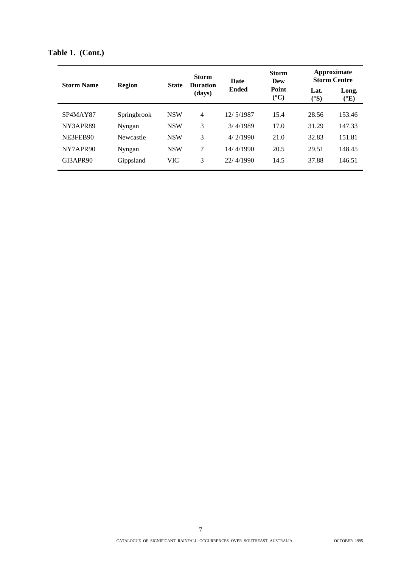|                   | <b>Region</b> |              | <b>Storm</b><br><b>Duration</b><br>(days) | <b>Date</b><br><b>Ended</b> | <b>Storm</b><br>Dew      |                      | Approximate<br><b>Storm Centre</b> |
|-------------------|---------------|--------------|-------------------------------------------|-----------------------------|--------------------------|----------------------|------------------------------------|
| <b>Storm Name</b> |               | <b>State</b> |                                           |                             | Point<br>$({}^{\circ}C)$ | Lat.<br>$(^\circ S)$ | Long.<br>$({}^{\circ}E)$           |
| SP4MAY87          | Springbrook   | <b>NSW</b>   | $\overline{4}$                            | 12/5/1987                   | 15.4                     | 28.56                | 153.46                             |
| NY3APR89          | Nyngan        | <b>NSW</b>   | 3                                         | 3/4/1989                    | 17.0                     | 31.29                | 147.33                             |
| NE3FEB90          | Newcastle     | <b>NSW</b>   | 3                                         | 4/2/1990                    | 21.0                     | 32.83                | 151.81                             |
| NY7APR90          | Nyngan        | <b>NSW</b>   | 7                                         | 14/4/1990                   | 20.5                     | 29.51                | 148.45                             |
| GI3APR90          | Gippsland     | <b>VIC</b>   | 3                                         | 22/4/1990                   | 14.5                     | 37.88                | 146.51                             |

**Table 1. (Cont.)**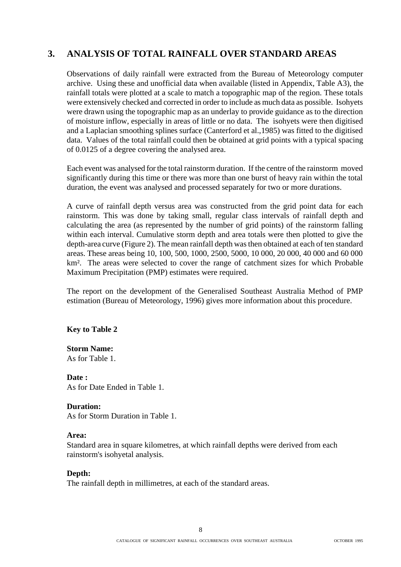# **3. ANALYSIS OF TOTAL RAINFALL OVER STANDARD AREAS**

Observations of daily rainfall were extracted from the Bureau of Meteorology computer archive. Using these and unofficial data when available (listed in Appendix, Table A3), the rainfall totals were plotted at a scale to match a topographic map of the region. These totals were extensively checked and corrected in order to include as much data as possible. Isohyets were drawn using the topographic map as an underlay to provide guidance as to the direction of moisture inflow, especially in areas of little or no data. The isohyets were then digitised and a Laplacian smoothing splines surface (Canterford et al.,1985) was fitted to the digitised data. Values of the total rainfall could then be obtained at grid points with a typical spacing of 0.0125 of a degree covering the analysed area.

Each event was analysed for the total rainstorm duration. If the centre of the rainstorm moved significantly during this time or there was more than one burst of heavy rain within the total duration, the event was analysed and processed separately for two or more durations.

A curve of rainfall depth versus area was constructed from the grid point data for each rainstorm. This was done by taking small, regular class intervals of rainfall depth and calculating the area (as represented by the number of grid points) of the rainstorm falling within each interval. Cumulative storm depth and area totals were then plotted to give the depth-area curve (Figure 2). The mean rainfall depth was then obtained at each of ten standard areas. These areas being 10, 100, 500, 1000, 2500, 5000, 10 000, 20 000, 40 000 and 60 000 km². The areas were selected to cover the range of catchment sizes for which Probable Maximum Precipitation (PMP) estimates were required.

The report on the development of the Generalised Southeast Australia Method of PMP estimation (Bureau of Meteorology, 1996) gives more information about this procedure.

## **Key to Table 2**

## **Storm Name:**

As for Table 1.

## **Date :**

As for Date Ended in Table 1.

#### **Duration:**

As for Storm Duration in Table 1.

#### **Area:**

Standard area in square kilometres, at which rainfall depths were derived from each rainstorm's isohyetal analysis.

## **Depth:**

The rainfall depth in millimetres, at each of the standard areas.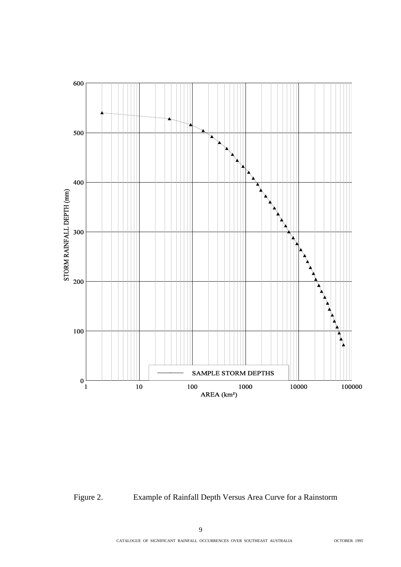

Figure 2. Example of Rainfall Depth Versus Area Curve for a Rainstorm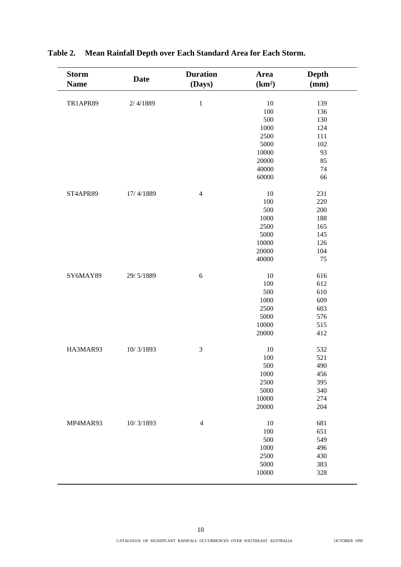| <b>Storm</b> | <b>Date</b> | <b>Duration</b> | Area               | Depth |
|--------------|-------------|-----------------|--------------------|-------|
| <b>Name</b>  |             | (Days)          | (km <sup>2</sup> ) | (mm)  |
|              |             |                 |                    |       |
| TR1APR89     | 2/4/1889    | $\mathbf 1$     | 10                 | 139   |
|              |             |                 | 100                | 136   |
|              |             |                 | 500                | 130   |
|              |             |                 | 1000               | 124   |
|              |             |                 | 2500               | 111   |
|              |             |                 | 5000               | 102   |
|              |             |                 | 10000              | 93    |
|              |             |                 | 20000              | 85    |
|              |             |                 | 40000              | 74    |
|              |             |                 | 60000              | 66    |
| ST4APR89     | 17/4/1889   | $\overline{4}$  | 10                 | 231   |
|              |             |                 | 100                | 220   |
|              |             |                 | 500                | 200   |
|              |             |                 |                    |       |
|              |             |                 | 1000               | 188   |
|              |             |                 | 2500               | 165   |
|              |             |                 | 5000               | 145   |
|              |             |                 | 10000              | 126   |
|              |             |                 | 20000              | 104   |
|              |             |                 | 40000              | 75    |
| SY6MAY89     | 29/5/1889   | $\sqrt{6}$      | 10                 | 616   |
|              |             |                 | 100                | 612   |
|              |             |                 | 500                | 610   |
|              |             |                 | 1000               | 609   |
|              |             |                 | 2500               | 603   |
|              |             |                 | 5000               | 576   |
|              |             |                 | 10000              | 515   |
|              |             |                 | 20000              | 412   |
| HA3MAR93     | 10/3/1893   | 3               | 10                 | 532   |
|              |             |                 | 100                | 521   |
|              |             |                 | 500                | 490   |
|              |             |                 |                    |       |
|              |             |                 | 1000<br>2500       | 456   |
|              |             |                 |                    | 395   |
|              |             |                 | 5000               | 340   |
|              |             |                 | 10000              | 274   |
|              |             |                 | 20000              | 204   |
| MP4MAR93     | 10/3/1893   | $\overline{4}$  | 10                 | 681   |
|              |             |                 | 100                | 651   |
|              |             |                 | 500                | 549   |
|              |             |                 | 1000               | 496   |
|              |             |                 | 2500               | 430   |
|              |             |                 | 5000               | 383   |
|              |             |                 | 10000              | 328   |
|              |             |                 |                    |       |

# **Table 2. Mean Rainfall Depth over Each Standard Area for Each Storm.**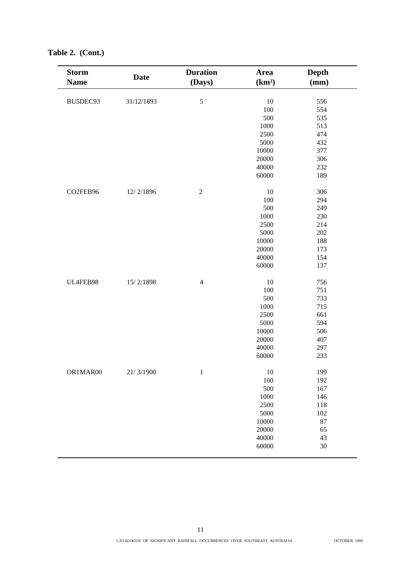| <b>Storm</b> | <b>Date</b> | <b>Duration</b> | Area               | <b>Depth</b> |
|--------------|-------------|-----------------|--------------------|--------------|
| <b>Name</b>  |             | (Days)          | (km <sup>2</sup> ) | (mm)         |
|              |             |                 |                    |              |
| BU5DEC93     | 31/12/1893  | $\sqrt{5}$      | 10                 | 556          |
|              |             |                 | 100                | 554          |
|              |             |                 | 500                | 535          |
|              |             |                 | 1000               | 513          |
|              |             |                 | 2500               | 474          |
|              |             |                 | 5000               | 432          |
|              |             |                 | 10000              | 377          |
|              |             |                 | 20000              | 306          |
|              |             |                 | 40000              | 232          |
|              |             |                 | 60000              | 189          |
| CO2FEB96     | 12/2/1896   | $\sqrt{2}$      | 10                 | 306          |
|              |             |                 | 100                | 294          |
|              |             |                 | 500                | 249          |
|              |             |                 | 1000               | 230          |
|              |             |                 | 2500               | 214          |
|              |             |                 | 5000               | 202          |
|              |             |                 | 10000              | 188          |
|              |             |                 | 20000              | 173          |
|              |             |                 | 40000              | 154          |
|              |             |                 | 60000              | 137          |
| UL4FEB98     | 15/2/1898   | $\overline{4}$  | 10                 | 756          |
|              |             |                 | 100                | 751          |
|              |             |                 | 500                | 733          |
|              |             |                 | 1000               | 715          |
|              |             |                 | 2500               | 661          |
|              |             |                 | 5000               | 594          |
|              |             |                 | 10000              | 506          |
|              |             |                 | 20000              | 407          |
|              |             |                 | 40000              | 297          |
|              |             |                 | 60000              | 233          |
| OR1MAR00     | 21/3/1900   | $\mathbf{1}$    | 10                 | 199          |
|              |             |                 | 100                | 192          |
|              |             |                 | 500                | 167          |
|              |             |                 | 1000               | 146          |
|              |             |                 | 2500               | 118          |
|              |             |                 | 5000               | 102          |
|              |             |                 | 10000              | 87           |
|              |             |                 | 20000              | 65           |
|              |             |                 |                    |              |
|              |             |                 | 40000<br>60000     | 43<br>$30\,$ |
|              |             |                 |                    |              |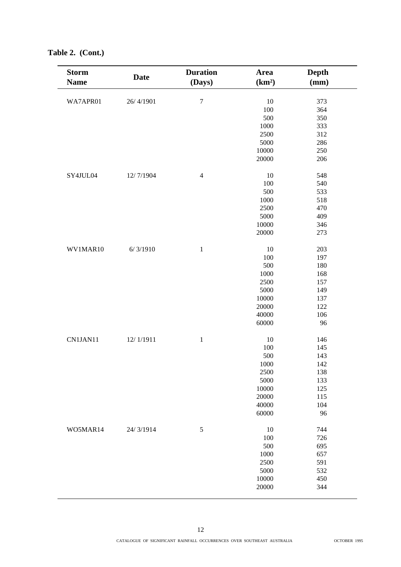| <b>Storm</b><br><b>Name</b> | <b>Date</b> | <b>Duration</b><br>(Days) | Area<br>(km <sup>2</sup> ) | Depth<br>(mm) |
|-----------------------------|-------------|---------------------------|----------------------------|---------------|
| WA7APR01                    | 26/4/1901   | $\overline{7}$            | $10\,$                     | 373           |
|                             |             |                           |                            | 364           |
|                             |             |                           | 100<br>500                 | 350           |
|                             |             |                           |                            | 333           |
|                             |             |                           | 1000<br>2500               | 312           |
|                             |             |                           |                            |               |
|                             |             |                           | 5000                       | 286           |
|                             |             |                           | 10000                      | 250           |
|                             |             |                           | 20000                      | 206           |
| SY4JUL04                    | 12/7/1904   | $\overline{4}$            | 10                         | 548           |
|                             |             |                           | 100                        | 540           |
|                             |             |                           | 500                        | 533           |
|                             |             |                           | 1000                       | 518           |
|                             |             |                           | 2500                       | 470           |
|                             |             |                           | 5000                       | 409           |
|                             |             |                           | 10000                      | 346           |
|                             |             |                           | 20000                      | 273           |
| WV1MAR10                    | 6/3/1910    | $1\,$                     | 10                         | 203           |
|                             |             |                           | 100                        | 197           |
|                             |             |                           | 500                        | 180           |
|                             |             |                           | 1000                       | 168           |
|                             |             |                           | 2500                       | 157           |
|                             |             |                           | 5000                       | 149           |
|                             |             |                           | 10000                      | 137           |
|                             |             |                           | 20000                      | 122           |
|                             |             |                           | 40000                      | 106           |
|                             |             |                           | 60000                      | 96            |
| CN1JAN11                    | 12/1/1911   | $\,1\,$                   | 10                         | 146           |
|                             |             |                           | 100                        | 145           |
|                             |             |                           | 500                        | 143           |
|                             |             |                           | 1000                       | 142           |
|                             |             |                           |                            |               |
|                             |             |                           | 2500<br>5000               | 138<br>133    |
|                             |             |                           | 10000                      | 125           |
|                             |             |                           | 20000                      | 115           |
|                             |             |                           | 40000                      | 104           |
|                             |             |                           | 60000                      | 96            |
|                             |             |                           |                            |               |
| WO5MAR14                    | 24/3/1914   | $\sqrt{5}$                | 10                         | 744           |
|                             |             |                           | 100                        | 726           |
|                             |             |                           | 500                        | 695           |
|                             |             |                           | 1000                       | 657           |
|                             |             |                           | 2500                       | 591           |
|                             |             |                           | 5000                       | 532           |
|                             |             |                           | 10000                      | 450           |
|                             |             |                           | 20000                      | 344           |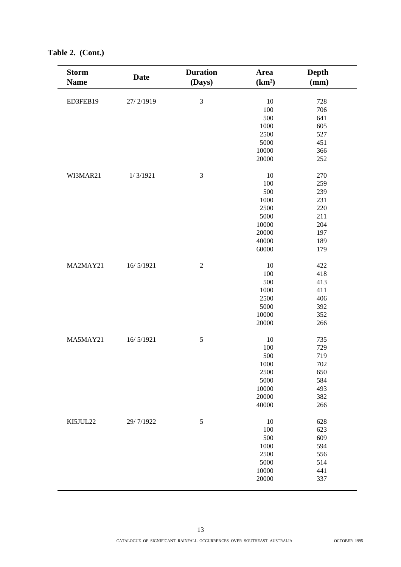| <b>Storm</b><br><b>Name</b> | <b>Date</b> | <b>Duration</b><br>(Days) | Area<br>(km <sup>2</sup> ) | <b>Depth</b><br>(mm) |
|-----------------------------|-------------|---------------------------|----------------------------|----------------------|
|                             |             |                           |                            |                      |
| ED3FEB19                    | 27/2/1919   | 3                         | 10                         | 728                  |
|                             |             |                           | 100                        | 706                  |
|                             |             |                           | 500                        | 641                  |
|                             |             |                           | 1000                       | 605                  |
|                             |             |                           | 2500                       | 527                  |
|                             |             |                           | 5000                       | 451                  |
|                             |             |                           | 10000                      | 366                  |
|                             |             |                           | 20000                      | 252                  |
| WI3MAR21                    | 1/3/1921    | $\mathfrak 3$             | 10                         | 270                  |
|                             |             |                           | 100                        | 259                  |
|                             |             |                           | 500                        | 239                  |
|                             |             |                           | 1000                       | 231                  |
|                             |             |                           | 2500                       | 220                  |
|                             |             |                           | 5000                       | 211                  |
|                             |             |                           | 10000                      | 204                  |
|                             |             |                           | 20000                      | 197                  |
|                             |             |                           | 40000                      | 189                  |
|                             |             |                           | 60000                      | 179                  |
|                             |             |                           |                            |                      |
| MA2MAY21                    | 16/5/1921   | $\sqrt{2}$                | $10\,$                     | 422                  |
|                             |             |                           | 100                        | 418                  |
|                             |             |                           | 500                        | 413                  |
|                             |             |                           | 1000                       | 411                  |
|                             |             |                           | 2500                       | 406                  |
|                             |             |                           | 5000                       | 392                  |
|                             |             |                           | 10000                      | 352                  |
|                             |             |                           | 20000                      | 266                  |
| MA5MAY21                    | 16/5/1921   | 5                         | 10                         | 735                  |
|                             |             |                           | 100                        | 729                  |
|                             |             |                           | 500                        | 719                  |
|                             |             |                           | 1000                       | 702                  |
|                             |             |                           | 2500                       | 650                  |
|                             |             |                           | 5000                       | 584                  |
|                             |             |                           | 10000                      | 493                  |
|                             |             |                           | 20000                      | 382                  |
|                             |             |                           | 40000                      | 266                  |
| KI5JUL22                    | 29/7/1922   | $\sqrt{5}$                | 10                         | 628                  |
|                             |             |                           | 100                        | 623                  |
|                             |             |                           | 500                        | 609                  |
|                             |             |                           | 1000                       | 594                  |
|                             |             |                           | 2500                       | 556                  |
|                             |             |                           | 5000                       | 514                  |
|                             |             |                           | 10000                      | 441                  |
|                             |             |                           | 20000                      | 337                  |
|                             |             |                           |                            |                      |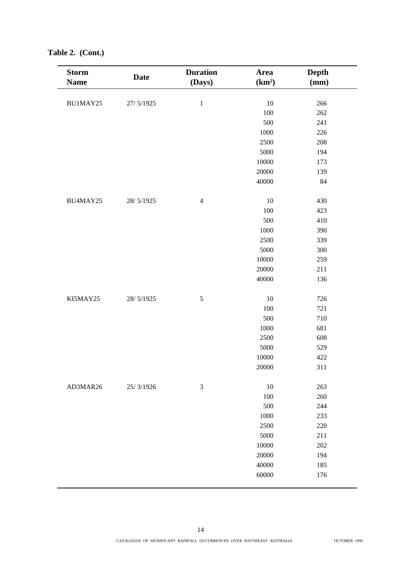| <b>Storm</b><br><b>Name</b> | <b>Date</b> | <b>Duration</b><br>(Days) | Area<br>(km <sup>2</sup> ) | Depth<br>(mm) |
|-----------------------------|-------------|---------------------------|----------------------------|---------------|
|                             |             |                           |                            |               |
| BU1MAY25                    | 27/5/1925   | $\,1\,$                   | $10\,$                     | 266           |
|                             |             |                           | 100                        | 262           |
|                             |             |                           | 500                        | 241           |
|                             |             |                           | 1000                       | 226           |
|                             |             |                           | 2500                       | 208           |
|                             |             |                           | 5000                       | 194           |
|                             |             |                           | 10000                      | 173           |
|                             |             |                           | 20000                      | 139           |
|                             |             |                           | 40000                      | 84            |
| BU4MAY25                    | 28/5/1925   | $\overline{4}$            | 10                         | 430           |
|                             |             |                           | 100                        | 423           |
|                             |             |                           | 500                        | 410           |
|                             |             |                           | 1000                       | 390           |
|                             |             |                           | 2500                       | 339           |
|                             |             |                           | 5000                       | 300           |
|                             |             |                           | 10000                      | 259           |
|                             |             |                           | 20000                      | 211           |
|                             |             |                           | 40000                      | 136           |
| KI5MAY25                    | 28/5/1925   | $\sqrt{5}$                | 10                         | 726           |
|                             |             |                           | 100                        | 721           |
|                             |             |                           | 500                        | 710           |
|                             |             |                           | 1000                       | 681           |
|                             |             |                           | 2500                       | 608           |
|                             |             |                           | 5000                       | 529           |
|                             |             |                           | 10000                      | 422           |
|                             |             |                           | 20000                      | 311           |
| AD3MAR26                    | 25/3/1926   | $\mathfrak{Z}$            | 10                         | 263           |
|                             |             |                           | 100                        | 260           |
|                             |             |                           | 500                        | 244           |
|                             |             |                           | 1000                       | 233           |
|                             |             |                           | 2500                       | 220           |
|                             |             |                           | 5000                       | 211           |
|                             |             |                           | 10000                      | 202           |
|                             |             |                           | 20000                      | 194           |
|                             |             |                           | 40000                      | 185           |
|                             |             |                           | 60000                      | 176           |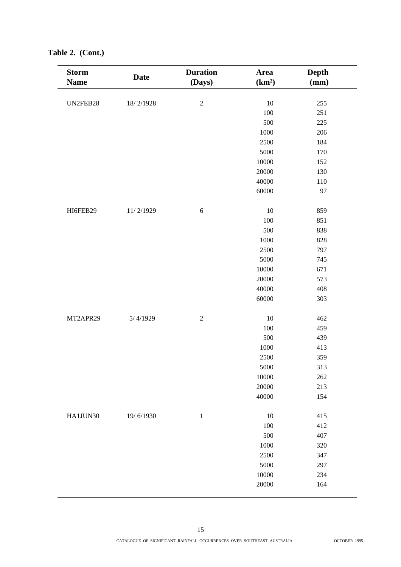| <b>Storm</b><br><b>Name</b> | <b>Date</b> | <b>Duration</b><br>(Days) | Area               | <b>Depth</b><br>(mm) |
|-----------------------------|-------------|---------------------------|--------------------|----------------------|
|                             |             |                           | (km <sup>2</sup> ) |                      |
| UN2FEB28                    | 18/2/1928   | $\overline{c}$            | 10                 | 255                  |
|                             |             |                           | 100                | 251                  |
|                             |             |                           | 500                | 225                  |
|                             |             |                           | 1000               | 206                  |
|                             |             |                           | 2500               | 184                  |
|                             |             |                           | 5000               | 170                  |
|                             |             |                           | 10000              | 152                  |
|                             |             |                           | 20000              | 130                  |
|                             |             |                           | 40000              | $110\,$              |
|                             |             |                           | 60000              | 97                   |
|                             |             |                           |                    |                      |
| HI6FEB29                    | 11/2/1929   | 6                         | 10                 | 859                  |
|                             |             |                           | 100                | 851                  |
|                             |             |                           | 500                | 838                  |
|                             |             |                           | 1000               | 828                  |
|                             |             |                           | 2500               | 797                  |
|                             |             |                           | 5000               | 745                  |
|                             |             |                           | 10000              | 671                  |
|                             |             |                           | 20000              | 573                  |
|                             |             |                           | 40000              | 408                  |
|                             |             |                           | 60000              | 303                  |
|                             |             |                           |                    |                      |
| MT2APR29                    | 5/4/1929    | $\sqrt{2}$                | 10                 | 462                  |
|                             |             |                           | 100                | 459                  |
|                             |             |                           | 500                | 439                  |
|                             |             |                           | 1000               | 413                  |
|                             |             |                           | 2500               | 359                  |
|                             |             |                           | 5000               | 313                  |
|                             |             |                           | 10000              | 262                  |
|                             |             |                           | 20000              | 213                  |
|                             |             |                           | 40000              | 154                  |
|                             |             |                           |                    |                      |
| HA1JUN30                    | 19/6/1930   | $1\,$                     | 10                 | 415                  |
|                             |             |                           | 100                | 412                  |
|                             |             |                           | 500                | 407                  |
|                             |             |                           | 1000               | 320                  |
|                             |             |                           | 2500               | 347                  |
|                             |             |                           | 5000               | 297                  |
|                             |             |                           | 10000              | 234                  |
|                             |             |                           | 20000              | 164                  |
|                             |             |                           |                    |                      |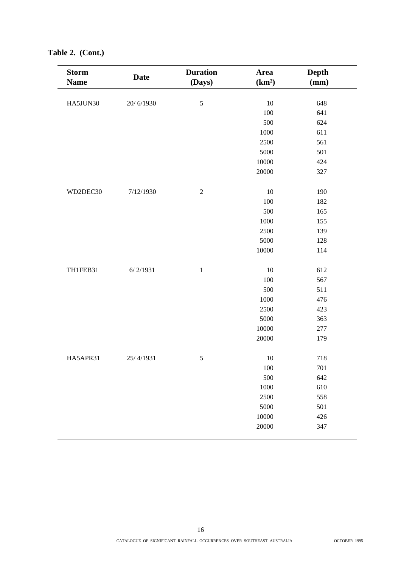| <b>Storm</b><br><b>Name</b> | <b>Date</b> | <b>Duration</b><br>(Days) | Area<br>(km <sup>2</sup> ) | <b>Depth</b><br>(mm) |
|-----------------------------|-------------|---------------------------|----------------------------|----------------------|
| HA5JUN30                    | 20/6/1930   | $\sqrt{5}$                | $10\,$                     | 648                  |
|                             |             |                           | 100                        | 641                  |
|                             |             |                           | 500                        | 624                  |
|                             |             |                           | 1000                       | 611                  |
|                             |             |                           | 2500                       | 561                  |
|                             |             |                           | 5000                       | 501                  |
|                             |             |                           | 10000                      | 424                  |
|                             |             |                           | 20000                      | 327                  |
| WD2DEC30                    | 7/12/1930   | $\sqrt{2}$                | 10                         | 190                  |
|                             |             |                           | 100                        | 182                  |
|                             |             |                           | 500                        | 165                  |
|                             |             |                           | 1000                       | 155                  |
|                             |             |                           | 2500                       | 139                  |
|                             |             |                           | 5000                       | 128                  |
|                             |             |                           | 10000                      | 114                  |
| TH1FEB31                    | 6/2/1931    | $\,1\,$                   | $10\,$                     | 612                  |
|                             |             |                           | 100                        | 567                  |
|                             |             |                           | 500                        | 511                  |
|                             |             |                           | 1000                       | 476                  |
|                             |             |                           | 2500                       | 423                  |
|                             |             |                           | 5000                       | 363                  |
|                             |             |                           | 10000                      | 277                  |
|                             |             |                           | 20000                      | 179                  |
| HA5APR31                    | 25/4/1931   | $\sqrt{5}$                | $10\,$                     | 718                  |
|                             |             |                           | 100                        | 701                  |
|                             |             |                           | 500                        | 642                  |
|                             |             |                           | 1000                       | 610                  |
|                             |             |                           | 2500                       | 558                  |
|                             |             |                           | 5000                       | 501                  |
|                             |             |                           | 10000                      | 426                  |
|                             |             |                           | 20000                      | 347                  |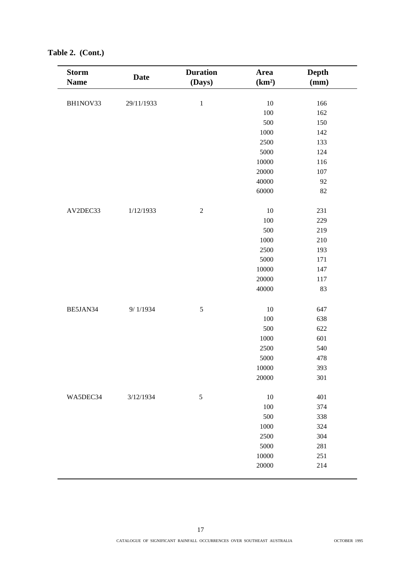| <b>Storm</b> | <b>Date</b> | <b>Duration</b> | Area               | <b>Depth</b> |
|--------------|-------------|-----------------|--------------------|--------------|
| <b>Name</b>  |             | (Days)          | (km <sup>2</sup> ) | (mm)         |
| BH1NOV33     | 29/11/1933  | $1\,$           | 10                 | 166          |
|              |             |                 | 100                | 162          |
|              |             |                 | 500                | 150          |
|              |             |                 | 1000               | 142          |
|              |             |                 | 2500               | 133          |
|              |             |                 | 5000               | 124          |
|              |             |                 | 10000              | 116          |
|              |             |                 | 20000              | 107          |
|              |             |                 | 40000              | 92           |
|              |             |                 | 60000              | 82           |
|              |             |                 |                    |              |
| AV2DEC33     | 1/12/1933   | $\overline{c}$  | 10                 | 231          |
|              |             |                 | 100                | 229          |
|              |             |                 | 500                | 219          |
|              |             |                 | 1000               | 210          |
|              |             |                 | 2500               | 193          |
|              |             |                 | 5000               | 171          |
|              |             |                 | 10000              | 147          |
|              |             |                 | 20000              | 117          |
|              |             | 40000           | 83                 |              |
|              |             |                 |                    |              |
| BE5JAN34     | 9/1/1934    | $\sqrt{5}$      | 10                 | 647          |
|              |             |                 | 100                | 638          |
|              |             |                 | 500                | 622          |
|              |             |                 | 1000               | 601          |
|              |             |                 | 2500               | 540          |
|              |             |                 | 5000               | 478          |
|              |             |                 | 10000              | 393          |
|              |             |                 | 20000              | 301          |
|              |             |                 |                    |              |
| WA5DEC34     | 3/12/1934   | $\mathfrak{S}$  | 10                 | 401          |
|              |             |                 | 100                | 374          |
|              |             |                 | 500                | 338          |
|              |             |                 | 1000               | 324          |
|              |             |                 | 2500               | 304          |
|              |             |                 | 5000               | 281          |
|              |             |                 | 10000              | 251          |
|              |             |                 | 20000              | 214          |
|              |             |                 |                    |              |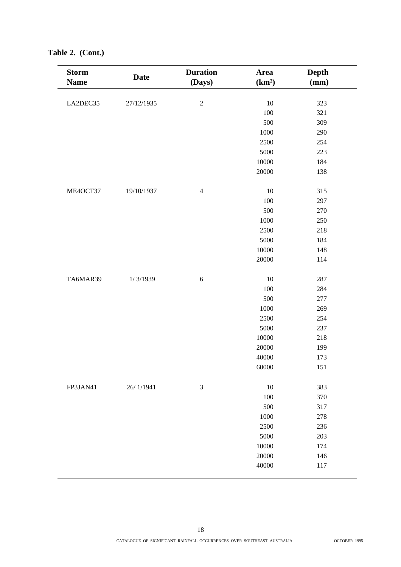| <b>Storm</b> | <b>Date</b> | <b>Duration</b> | Area               | <b>Depth</b> |
|--------------|-------------|-----------------|--------------------|--------------|
| <b>Name</b>  |             | (Days)          | (km <sup>2</sup> ) | (mm)         |
| LA2DEC35     | 27/12/1935  | $\sqrt{2}$      | $10\,$             | 323          |
|              |             |                 | 100                | 321          |
|              |             |                 | 500                | 309          |
|              |             |                 | 1000               | 290          |
|              |             |                 | 2500               | 254          |
|              |             |                 | 5000               | 223          |
|              |             |                 | 10000              | 184          |
|              |             |                 | 20000              | 138          |
|              |             |                 |                    |              |
| ME4OCT37     | 19/10/1937  | $\overline{4}$  | 10                 | 315          |
|              |             |                 | 100                | 297          |
|              |             |                 | 500                | 270          |
|              |             |                 | 1000               | 250          |
|              |             |                 | 2500               | 218          |
|              |             |                 | 5000               | 184          |
|              |             |                 | 10000              | 148          |
|              |             |                 | 20000              | 114          |
| TA6MAR39     | 1/3/1939    | 6               | 10                 | 287          |
|              |             |                 | 100                | 284          |
|              |             |                 | 500                | 277          |
|              |             |                 | 1000               | 269          |
|              |             |                 | 2500               | 254          |
|              |             |                 | 5000               | 237          |
|              |             |                 | 10000              | 218          |
|              |             |                 | 20000              | 199          |
|              |             |                 | 40000              | 173          |
|              |             |                 | 60000              | 151          |
| FP3JAN41     | 26/1/1941   | $\mathfrak{Z}$  | 10                 | 383          |
|              |             |                 | 100                | 370          |
|              |             |                 | 500                | 317          |
|              |             |                 | 1000               | 278          |
|              |             |                 | 2500               | 236          |
|              |             |                 | 5000               | 203          |
|              |             |                 | 10000              | 174          |
|              |             |                 | 20000              | 146          |
|              |             |                 | 40000              | 117          |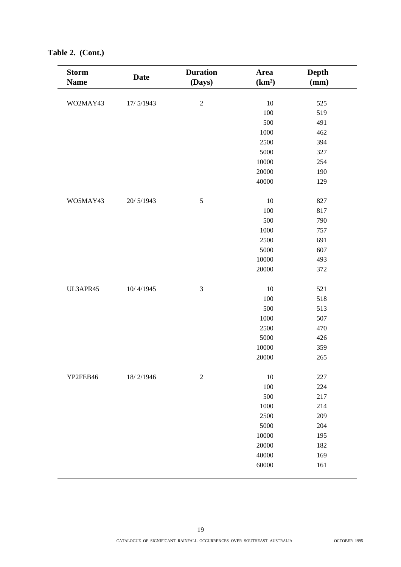| <b>Storm</b> | <b>Date</b> | <b>Duration</b> | Area               | <b>Depth</b> |
|--------------|-------------|-----------------|--------------------|--------------|
| <b>Name</b>  |             | (Days)          | (km <sup>2</sup> ) | (mm)         |
| WO2MAY43     | 17/5/1943   | $\sqrt{2}$      | 10                 | 525          |
|              |             |                 | 100                | 519          |
|              |             |                 | 500                | 491          |
|              |             |                 | 1000               | 462          |
|              |             |                 | 2500               | 394          |
|              |             |                 | 5000               | 327          |
|              |             |                 | 10000              | 254          |
|              |             |                 | 20000              | 190          |
|              |             |                 | 40000              | 129          |
|              |             |                 |                    |              |
| WO5MAY43     | 20/5/1943   | $\sqrt{5}$      | 10                 | 827          |
|              |             |                 | 100                | 817          |
|              |             |                 | 500                | 790          |
|              |             |                 | 1000               | 757          |
|              |             |                 | 2500               | 691          |
|              |             |                 | 5000               | 607          |
|              |             |                 | 10000              | 493          |
|              |             |                 | 20000              | 372          |
| UL3APR45     | 10/4/1945   | $\mathfrak 3$   | 10                 | 521          |
|              |             |                 | 100                | 518          |
|              |             |                 | 500                | 513          |
|              |             |                 | 1000               | 507          |
|              |             |                 | 2500               | 470          |
|              |             |                 | 5000               | 426          |
|              |             |                 | 10000              | 359          |
|              |             |                 | 20000              | 265          |
| YP2FEB46     | 18/2/1946   | $\sqrt{2}$      | $10\,$             | 227          |
|              |             |                 | 100                | 224          |
|              |             |                 | 500                | 217          |
|              |             |                 | 1000               | 214          |
|              |             |                 | 2500               | 209          |
|              |             |                 | 5000               | 204          |
|              |             |                 | 10000              | 195          |
|              |             |                 | 20000              | 182          |
|              |             |                 | 40000              | 169          |
|              |             |                 | 60000              | 161          |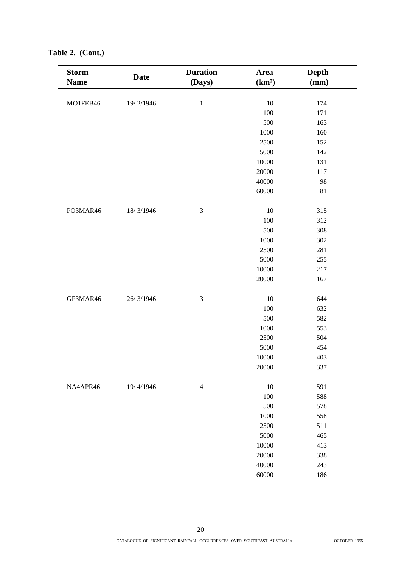| <b>Storm</b><br><b>Name</b> | <b>Date</b> | <b>Duration</b><br>(Days) | Area<br>(km <sup>2</sup> ) | <b>Depth</b><br>(mm) |
|-----------------------------|-------------|---------------------------|----------------------------|----------------------|
|                             |             |                           |                            |                      |
| MO1FEB46                    | 19/2/1946   | $\mathbf 1$               | 10                         | 174                  |
|                             |             |                           | 100                        | 171                  |
|                             |             |                           | 500                        | 163                  |
|                             |             |                           | 1000                       | 160                  |
|                             |             |                           | 2500                       | 152                  |
|                             |             |                           | 5000                       | 142                  |
|                             |             |                           | 10000                      | 131                  |
|                             |             |                           | 20000                      | 117                  |
|                             |             |                           | 40000                      | 98                   |
|                             |             |                           | 60000                      | $81\,$               |
| PO3MAR46                    | 18/3/1946   | $\mathfrak{Z}$            | 10                         | 315                  |
|                             |             |                           | 100                        | 312                  |
|                             |             |                           | 500                        | 308                  |
|                             |             |                           | 1000                       | 302                  |
|                             |             |                           | 2500                       | 281                  |
|                             |             |                           | 5000                       | 255                  |
|                             |             |                           | 10000                      | 217                  |
|                             |             |                           | 20000                      | 167                  |
| GF3MAR46                    | 26/3/1946   | $\mathfrak 3$             | 10                         | 644                  |
|                             |             |                           | 100                        | 632                  |
|                             |             |                           | 500                        | 582                  |
|                             |             |                           | 1000                       | 553                  |
|                             |             |                           | 2500                       | 504                  |
|                             |             |                           | 5000                       | 454                  |
|                             |             |                           | 10000                      | 403                  |
|                             |             |                           | 20000                      | 337                  |
| NA4APR46                    | 19/4/1946   | $\overline{4}$            | 10                         | 591                  |
|                             |             |                           | 100                        | 588                  |
|                             |             |                           | 500                        | 578                  |
|                             |             |                           | 1000                       | 558                  |
|                             |             |                           | 2500                       | 511                  |
|                             |             |                           | 5000                       | 465                  |
|                             |             |                           | 10000                      | 413                  |
|                             |             |                           | 20000                      | 338                  |
|                             |             |                           | 40000                      | 243                  |
|                             |             |                           | 60000                      | 186                  |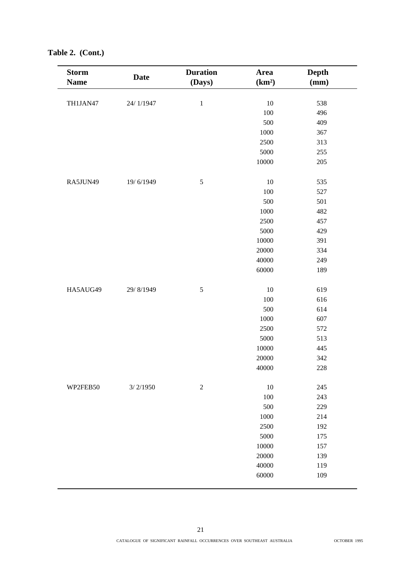| <b>Storm</b><br><b>Name</b> | <b>Date</b> | <b>Duration</b><br>(Days) | Area<br>(km <sup>2</sup> ) | <b>Depth</b><br>(mm) |
|-----------------------------|-------------|---------------------------|----------------------------|----------------------|
|                             |             |                           |                            |                      |
| TH1JAN47                    | 24/1/1947   | $\,1\,$                   | $10\,$                     | 538                  |
|                             |             |                           | 100                        | 496                  |
|                             |             |                           | 500                        | 409                  |
|                             |             |                           | 1000                       | 367                  |
|                             |             |                           | 2500                       | 313                  |
|                             |             |                           | 5000                       | 255                  |
|                             |             |                           | 10000                      | 205                  |
| RA5JUN49                    | 19/6/1949   | $\sqrt{5}$                | $10\,$                     | 535                  |
|                             |             |                           | 100                        | 527                  |
|                             |             |                           | 500                        | 501                  |
|                             |             |                           | 1000                       | 482                  |
|                             |             |                           | 2500                       | 457                  |
|                             |             |                           | 5000                       | 429                  |
|                             |             |                           | 10000                      | 391                  |
|                             |             |                           | 20000                      | 334                  |
|                             |             |                           | 40000                      | 249                  |
|                             |             |                           | 60000                      | 189                  |
| HA5AUG49                    | 29/8/1949   | $\sqrt{5}$                | 10                         | 619                  |
|                             |             |                           | 100                        | 616                  |
|                             |             |                           | 500                        | 614                  |
|                             |             |                           | 1000                       | 607                  |
|                             |             |                           | 2500                       | 572                  |
|                             |             |                           | 5000                       | 513                  |
|                             |             |                           | 10000                      | 445                  |
|                             |             |                           | 20000                      | 342                  |
|                             |             |                           | 40000                      | 228                  |
| WP2FEB50                    | 3/2/1950    | $\boldsymbol{2}$          | 10                         | 245                  |
|                             |             |                           | 100                        | 243                  |
|                             |             |                           | 500                        | 229                  |
|                             |             |                           | 1000                       | 214                  |
|                             |             |                           | 2500                       | 192                  |
|                             |             |                           | 5000                       | 175                  |
|                             |             |                           | 10000                      | 157                  |
|                             |             |                           | 20000                      | 139                  |
|                             |             |                           | 40000                      | 119                  |
|                             |             |                           | 60000                      | 109                  |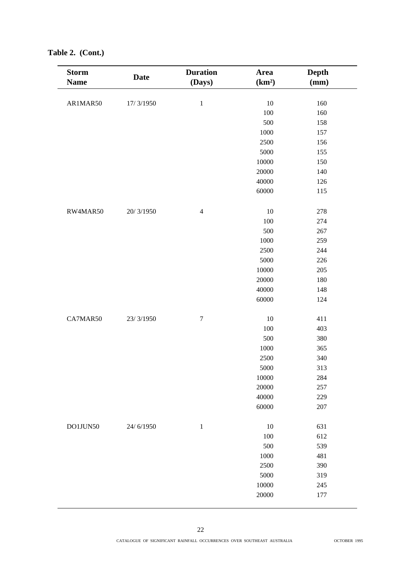| <b>Storm</b><br><b>Name</b> | <b>Date</b> | <b>Duration</b><br>(Days) | Area<br>(km <sup>2</sup> ) | Depth<br>(mm) |
|-----------------------------|-------------|---------------------------|----------------------------|---------------|
|                             |             |                           |                            |               |
| AR1MAR50                    | 17/3/1950   | $\,1\,$                   | $10\,$                     | 160           |
|                             |             |                           | 100                        | 160           |
|                             |             |                           | 500                        | 158           |
|                             |             |                           | 1000                       | 157           |
|                             |             |                           | 2500                       | 156           |
|                             |             |                           | 5000                       | 155           |
|                             |             |                           | 10000                      | 150           |
|                             |             |                           | 20000                      | 140           |
|                             |             |                           | 40000                      | 126           |
|                             |             |                           | 60000                      | 115           |
| RW4MAR50                    | 20/3/1950   | $\overline{4}$            | 10                         | 278           |
|                             |             |                           | 100                        | 274           |
|                             |             |                           | 500                        | 267           |
|                             |             |                           | 1000                       | 259           |
|                             |             |                           | 2500                       | 244           |
|                             |             |                           | 5000                       | 226           |
|                             |             |                           | 10000                      | 205           |
|                             |             |                           | 20000                      | 180           |
|                             |             |                           | 40000                      | 148           |
|                             |             |                           | 60000                      | 124           |
| CA7MAR50                    | 23/3/1950   | $\boldsymbol{7}$          | 10                         | 411           |
|                             |             |                           | 100                        | 403           |
|                             |             |                           | 500                        | 380           |
|                             |             |                           | 1000                       | 365           |
|                             |             |                           | 2500                       | 340           |
|                             |             |                           | 5000                       | 313           |
|                             |             |                           | 10000                      | 284           |
|                             |             |                           | 20000                      | 257           |
|                             |             |                           | 40000                      | 229           |
|                             |             |                           | 60000                      | 207           |
| DO1JUN50                    | 24/6/1950   | $\,1\,$                   | 10                         | 631           |
|                             |             |                           | 100                        | 612           |
|                             |             |                           | 500                        | 539           |
|                             |             |                           | 1000                       | 481           |
|                             |             |                           | 2500                       | 390           |
|                             |             |                           | 5000                       | 319           |
|                             |             |                           | $10000\,$                  | 245           |
|                             |             |                           | 20000                      | 177           |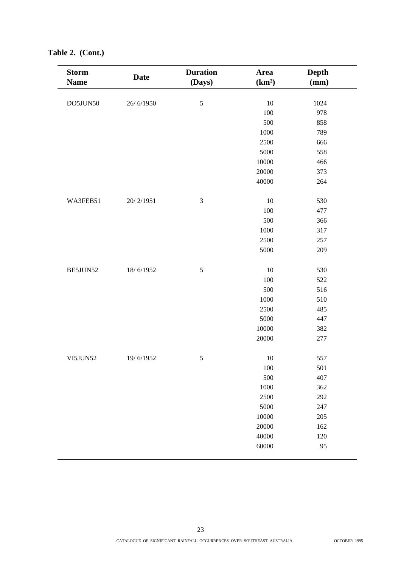| <b>Storm</b><br><b>Name</b> | <b>Date</b> | <b>Duration</b><br>(Days) | Area<br>(km <sup>2</sup> ) | <b>Depth</b><br>(mm) |
|-----------------------------|-------------|---------------------------|----------------------------|----------------------|
| DO5JUN50                    | 26/6/1950   | 5                         | 10                         | 1024                 |
|                             |             |                           | 100                        | 978                  |
|                             |             |                           | 500                        | 858                  |
|                             |             |                           | 1000                       | 789                  |
|                             |             |                           | 2500                       | 666                  |
|                             |             |                           | 5000                       | 558                  |
|                             |             |                           | 10000                      | 466                  |
|                             |             |                           | 20000                      | 373                  |
|                             |             |                           | 40000                      | 264                  |
|                             |             |                           |                            |                      |
| WA3FEB51                    | 20/2/1951   | $\mathfrak 3$             | 10                         | 530                  |
|                             |             |                           | 100                        | 477                  |
|                             |             |                           | 500                        | 366                  |
|                             |             |                           | 1000                       | 317                  |
|                             |             |                           | 2500                       | 257                  |
|                             |             |                           | 5000                       | 209                  |
|                             |             |                           | 10                         | 530                  |
| BE5JUN52                    | 18/6/1952   | $\sqrt{5}$                |                            |                      |
|                             |             |                           | 100                        | 522                  |
|                             |             |                           | 500                        | 516                  |
|                             |             |                           | 1000                       | 510                  |
|                             |             |                           | 2500                       | 485                  |
|                             |             |                           | 5000                       | 447                  |
|                             |             |                           | 10000                      | 382                  |
|                             |             |                           | 20000                      | 277                  |
| VI5JUN52                    | 19/6/1952   | $\sqrt{5}$                | 10                         | 557                  |
|                             |             |                           | 100                        | 501                  |
|                             |             |                           | 500                        | 407                  |
|                             |             |                           | 1000                       | 362                  |
|                             |             |                           | 2500                       | 292                  |
|                             |             |                           | 5000                       | 247                  |
|                             |             |                           | 10000                      | 205                  |
|                             |             |                           | 20000                      | 162                  |
|                             |             |                           | 40000                      | 120                  |
|                             |             |                           | 60000                      | 95                   |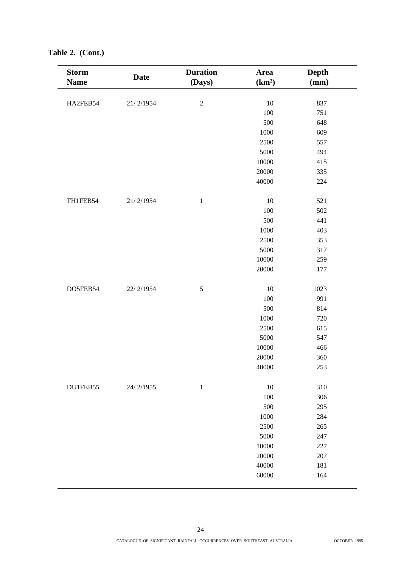| <b>Storm</b><br><b>Name</b> | <b>Date</b> | <b>Duration</b><br>(Days) | Area<br>(km <sup>2</sup> ) | Depth<br>(mm) |
|-----------------------------|-------------|---------------------------|----------------------------|---------------|
|                             |             |                           |                            |               |
| HA2FEB54                    | 21/2/1954   | $\sqrt{2}$                | 10                         | 837           |
|                             |             |                           | 100                        | 751           |
|                             |             |                           | 500                        | 648           |
|                             |             |                           | 1000                       | 609           |
|                             |             |                           | 2500                       | 557           |
|                             |             |                           | 5000                       | 494           |
|                             |             |                           | 10000                      | 415           |
|                             |             |                           | 20000                      | 335           |
|                             |             |                           | 40000                      | 224           |
| TH1FEB54                    | 21/2/1954   | $\mathbf 1$               | 10                         | 521           |
|                             |             |                           | 100                        | 502           |
|                             |             |                           | 500                        | 441           |
|                             |             |                           | 1000                       | 403           |
|                             |             |                           | 2500                       | 353           |
|                             |             |                           | 5000                       | 317           |
|                             |             |                           | 10000                      | 259           |
|                             |             |                           | 20000                      | 177           |
| DO5FEB54                    | 22/2/1954   | $\sqrt{5}$                | 10                         | 1023          |
|                             |             |                           | 100                        | 991           |
|                             |             |                           | 500                        | 814           |
|                             |             |                           | 1000                       | 720           |
|                             |             |                           | 2500                       | 615           |
|                             |             |                           | 5000                       | 547           |
|                             |             |                           | 10000                      | 466           |
|                             |             |                           | 20000                      | 360           |
|                             |             |                           | 40000                      | 253           |
| DU1FEB55                    | 24/2/1955   | $\mathbf{1}$              | 10                         | 310           |
|                             |             |                           | 100                        | 306           |
|                             |             |                           | 500                        | 295           |
|                             |             |                           | 1000                       | 284           |
|                             |             |                           | 2500                       | 265           |
|                             |             |                           | 5000                       | 247           |
|                             |             |                           | 10000                      | 227           |
|                             |             |                           | 20000                      | 207           |
|                             |             |                           | 40000                      | 181           |
|                             |             |                           | 60000                      | 164           |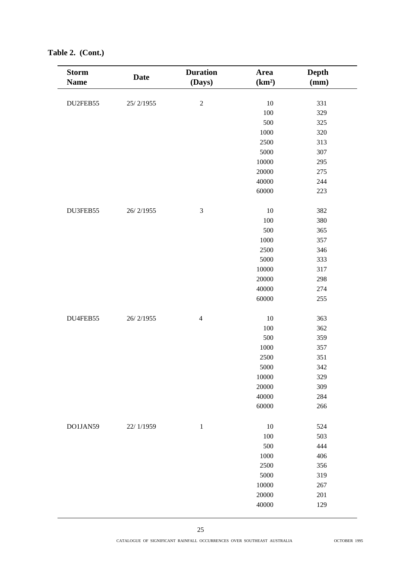| <b>Storm</b><br><b>Name</b> | <b>Date</b> | <b>Duration</b><br>(Days) | Area<br>(km <sup>2</sup> ) | Depth<br>(mm) |
|-----------------------------|-------------|---------------------------|----------------------------|---------------|
| DU2FEB55                    | 25/2/1955   | $\sqrt{2}$                | $10\,$                     | 331           |
|                             |             |                           | 100                        | 329           |
|                             |             |                           | 500                        | 325           |
|                             |             |                           | 1000                       | 320           |
|                             |             |                           | 2500                       | 313           |
|                             |             |                           | 5000                       | 307           |
|                             |             |                           | 10000                      | 295           |
|                             |             |                           | 20000                      | 275           |
|                             |             |                           | 40000                      | 244           |
|                             |             |                           | 60000                      | 223           |
|                             |             |                           |                            |               |
| DU3FEB55                    | 26/2/1955   | $\mathfrak{Z}$            | 10                         | 382           |
|                             |             |                           | 100                        | 380           |
|                             |             |                           | 500                        | 365           |
|                             |             |                           | 1000                       | 357           |
|                             |             |                           | 2500                       | 346           |
|                             |             |                           | 5000                       | 333           |
|                             |             |                           | 10000                      | 317           |
|                             |             |                           | 20000                      | 298           |
|                             |             |                           | 40000                      | 274           |
|                             |             |                           | 60000                      | 255           |
| DU4FEB55                    | 26/2/1955   | $\overline{4}$            | 10                         | 363           |
|                             |             |                           | 100                        | 362           |
|                             |             |                           | 500                        | 359           |
|                             |             |                           | 1000                       | 357           |
|                             |             |                           | 2500                       | 351           |
|                             |             |                           | 5000                       | 342           |
|                             |             |                           | 10000                      | 329           |
|                             |             |                           | 20000                      | 309           |
|                             |             |                           | 40000                      | 284           |
|                             |             |                           | 60000                      | 266           |
|                             |             |                           |                            |               |
| DO1JAN59                    | 22/1/1959   | $\mathbf{1}$              | 10                         | 524           |
|                             |             |                           | 100                        | 503           |
|                             |             |                           | 500                        | 444           |
|                             |             |                           | 1000                       | 406           |
|                             |             |                           | 2500                       | 356           |
|                             |             |                           | 5000                       | 319           |
|                             |             |                           | 10000                      | 267           |
|                             |             |                           | 20000                      | 201           |
|                             |             |                           | 40000                      | 129           |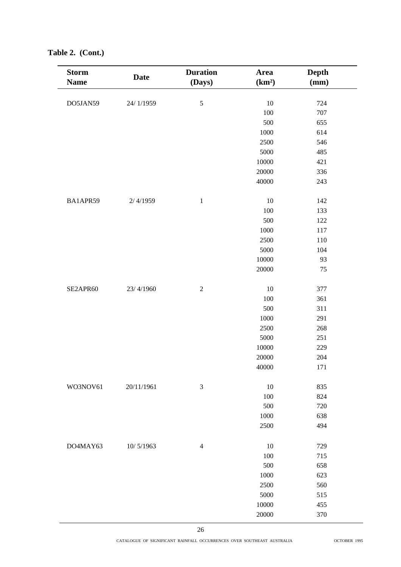| <b>Storm</b> |             | <b>Duration</b> | <b>Area</b>        | <b>Depth</b> |
|--------------|-------------|-----------------|--------------------|--------------|
| <b>Name</b>  | <b>Date</b> | (Days)          | (km <sup>2</sup> ) | (mm)         |
|              |             |                 |                    |              |
| DO5JAN59     | 24/1/1959   | $\sqrt{5}$      | $10\,$             | 724          |
|              |             |                 | 100                | 707          |
|              |             |                 | 500                | 655          |
|              |             |                 | 1000               | 614          |
|              |             |                 | 2500               | 546          |
|              |             |                 | 5000               | 485          |
|              |             |                 | 10000              | 421          |
|              |             |                 | 20000              | 336          |
|              |             |                 | 40000              | 243          |
|              |             |                 |                    |              |
| BA1APR59     | 2/4/1959    | $\,1\,$         | $10\,$             | 142          |
|              |             |                 | 100                | 133          |
|              |             |                 | 500                | 122          |
|              |             |                 | 1000               | 117          |
|              |             |                 | 2500               | 110          |
|              |             |                 | 5000               | 104          |
|              |             |                 | 10000              | 93           |
|              |             |                 | 20000              | 75           |
|              |             |                 |                    |              |
| SE2APR60     | 23/4/1960   | $\sqrt{2}$      | $10\,$             | 377          |
|              |             |                 | 100                | 361          |
|              |             |                 | 500                | 311          |
|              |             |                 | 1000               | 291          |
|              |             |                 | 2500               | 268          |
|              |             |                 | 5000               | 251          |
|              |             |                 | 10000              | 229          |
|              |             |                 | 20000              | 204          |
|              |             |                 | 40000              | 171          |
|              |             |                 |                    |              |
| WO3NOV61     | 20/11/1961  | $\mathfrak{Z}$  | 10                 | 835          |
|              |             |                 | 100                | 824          |
|              |             |                 | 500                | 720          |
|              |             |                 | $1000\,$           | 638          |
|              |             |                 | 2500               | 494          |
|              |             |                 |                    |              |
| DO4MAY63     | 10/5/1963   | $\overline{4}$  | 10                 | 729          |
|              |             |                 | 100                | 715          |
|              |             |                 | 500                | 658          |
|              |             |                 | 1000               | 623          |
|              |             |                 |                    |              |
|              |             |                 | 2500               | 560          |
|              |             |                 | 5000               | 515          |
|              |             |                 | 10000              | 455          |
|              |             |                 | 20000              | 370          |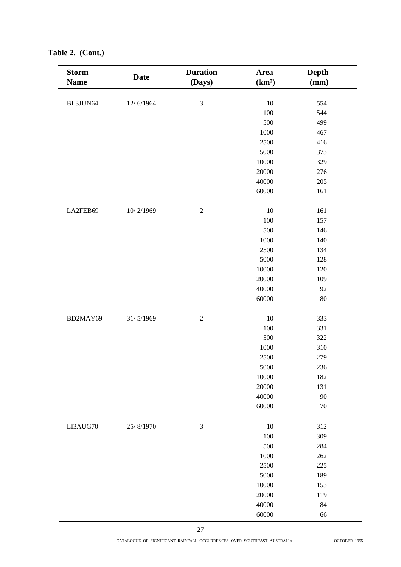| <b>Storm</b><br><b>Name</b> | <b>Date</b> | <b>Duration</b><br>(Days) | Area<br>(km <sup>2</sup> ) | Depth<br>(mm) |  |
|-----------------------------|-------------|---------------------------|----------------------------|---------------|--|
|                             |             |                           |                            |               |  |
| BL3JUN64                    | 12/6/1964   | 3                         | $10\,$<br>100              | 554           |  |
|                             |             |                           | 500                        | 544<br>499    |  |
|                             |             |                           | 1000                       | 467           |  |
|                             |             |                           | 2500                       | 416           |  |
|                             |             |                           | 5000                       | 373           |  |
|                             |             |                           | 10000                      | 329           |  |
|                             |             |                           | 20000                      | 276           |  |
|                             |             |                           | 40000                      | 205           |  |
|                             |             |                           | 60000                      | 161           |  |
|                             |             |                           |                            |               |  |
| LA2FEB69                    | 10/2/1969   | $\overline{2}$            | $10\,$                     | 161           |  |
|                             |             |                           | 100                        | 157           |  |
|                             |             |                           | 500                        | 146           |  |
|                             |             |                           | 1000                       | 140           |  |
|                             |             |                           | 2500                       | 134           |  |
|                             |             |                           | 5000                       | 128           |  |
|                             |             |                           | 10000                      | 120           |  |
|                             |             |                           | 20000                      | 109           |  |
|                             |             |                           | 40000                      | 92            |  |
|                             |             |                           | 60000                      | 80            |  |
|                             |             |                           |                            |               |  |
| BD2MAY69                    | 31/5/1969   | $\overline{2}$            | 10                         | 333           |  |
|                             |             |                           | 100                        | 331           |  |
|                             |             |                           | 500                        | 322           |  |
|                             |             |                           | 1000                       | 310           |  |
|                             |             |                           | 2500                       | 279           |  |
|                             |             |                           | 5000                       | 236           |  |
|                             |             |                           | 10000                      | 182           |  |
|                             |             |                           | 20000                      | 131           |  |
|                             |             |                           | 40000                      | 90            |  |
|                             |             |                           | 60000                      | $70\,$        |  |
| LI3AUG70                    | 25/8/1970   | $\mathfrak{Z}$            | $10\,$                     | 312           |  |
|                             |             |                           | 100                        | 309           |  |
|                             |             |                           | 500                        | 284           |  |
|                             |             |                           | 1000                       | 262           |  |
|                             |             |                           | 2500                       | 225           |  |
|                             |             |                           | 5000                       | 189           |  |
|                             |             |                           | 10000                      | 153           |  |
|                             |             |                           | 20000                      | 119           |  |
|                             |             |                           | 40000                      | $84\,$        |  |
|                             |             |                           | 60000                      | 66            |  |
|                             |             |                           |                            |               |  |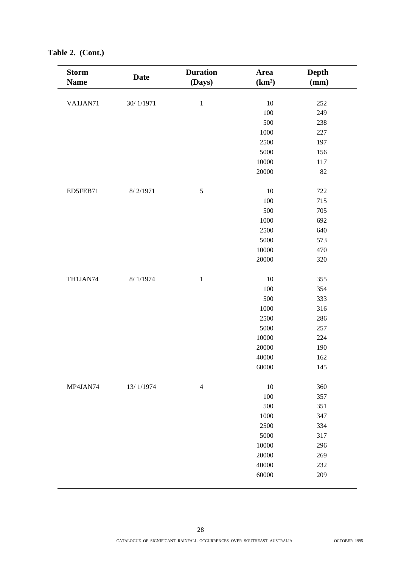| <b>Storm</b><br><b>Name</b> | <b>Date</b> | <b>Duration</b><br>(Days) | Area<br>(km <sup>2</sup> ) | Depth<br>(mm) |
|-----------------------------|-------------|---------------------------|----------------------------|---------------|
|                             |             |                           |                            |               |
| VA1JAN71                    | 30/1/1971   | $\mathbf 1$               | 10                         | 252           |
|                             |             |                           | 100                        | 249           |
|                             |             |                           | 500                        | 238           |
|                             |             |                           | 1000                       | 227           |
|                             |             |                           | 2500                       | 197           |
|                             |             |                           | 5000                       | 156           |
|                             |             |                           | 10000                      | 117           |
|                             |             |                           | 20000                      | 82            |
| ED5FEB71                    | 8/2/1971    | $\sqrt{5}$                | 10                         | 722           |
|                             |             |                           | 100                        | 715           |
|                             |             |                           | 500                        | 705           |
|                             |             |                           | 1000                       | 692           |
|                             |             |                           | 2500                       | 640           |
|                             |             |                           | 5000                       | 573           |
|                             |             |                           | 10000                      | 470           |
|                             |             |                           | 20000                      | 320           |
| TH1JAN74                    | 8/1/1974    | $\,1\,$                   | 10                         | 355           |
|                             |             |                           | 100                        | 354           |
|                             |             |                           | 500                        | 333           |
|                             |             |                           | 1000                       | 316           |
|                             |             |                           | 2500                       | 286           |
|                             |             |                           | 5000                       | 257           |
|                             |             |                           | 10000                      | 224           |
|                             |             |                           | 20000                      | 190           |
|                             |             |                           | 40000                      | 162           |
|                             |             |                           | 60000                      | 145           |
| MP4JAN74                    | 13/1/1974   | $\overline{4}$            | 10                         | 360           |
|                             |             |                           | 100                        | 357           |
|                             |             |                           | 500                        | 351           |
|                             |             |                           | 1000                       | 347           |
|                             |             |                           | 2500                       | 334           |
|                             |             |                           | 5000                       | 317           |
|                             |             |                           | 10000                      | 296           |
|                             |             |                           | 20000                      | 269           |
|                             |             |                           | 40000                      | 232           |
|                             |             |                           | 60000                      | 209           |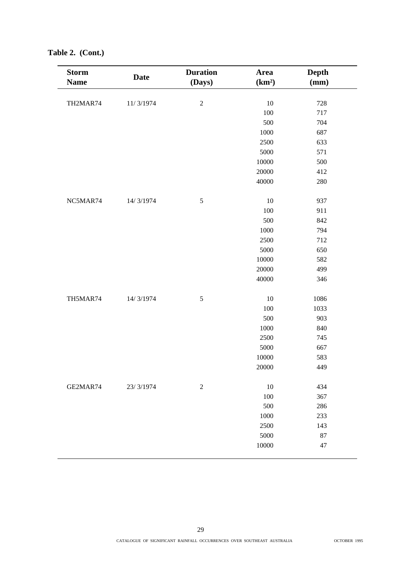| <b>Storm</b><br><b>Name</b> | <b>Date</b> | <b>Duration</b><br>(Days) | Area<br>(km <sup>2</sup> ) | Depth<br>(mm) |
|-----------------------------|-------------|---------------------------|----------------------------|---------------|
| TH2MAR74                    | 11/3/1974   | $\sqrt{2}$                | 10                         | 728           |
|                             |             |                           | 100                        | 717           |
|                             |             |                           | 500                        | 704           |
|                             |             |                           | 1000                       | 687           |
|                             |             |                           | 2500                       | 633           |
|                             |             |                           | 5000                       | 571           |
|                             |             |                           | 10000                      | 500           |
|                             |             |                           | 20000                      | 412           |
|                             |             |                           |                            |               |
|                             |             |                           | 40000                      | 280           |
| NC5MAR74                    | 14/3/1974   | $\sqrt{5}$                | 10                         | 937           |
|                             |             |                           | 100                        | 911           |
|                             |             |                           | 500                        | 842           |
|                             |             |                           | 1000                       | 794           |
|                             |             |                           | 2500                       | 712           |
|                             |             |                           | 5000                       | 650           |
|                             |             |                           | 10000                      | 582           |
|                             |             |                           | 20000                      | 499           |
|                             |             |                           | 40000                      | 346           |
| TH5MAR74                    | 14/3/1974   | $\sqrt{5}$                | 10                         | 1086          |
|                             |             |                           | 100                        | 1033          |
|                             |             |                           | 500                        | 903           |
|                             |             |                           | 1000                       | 840           |
|                             |             |                           | 2500                       | 745           |
|                             |             |                           | 5000                       | 667           |
|                             |             |                           | 10000                      | 583           |
|                             |             |                           | 20000                      | 449           |
|                             |             |                           |                            |               |
| GE2MAR74                    | 23/3/1974   | $\sqrt{2}$                | 10                         | 434           |
|                             |             |                           | 100                        | 367           |
|                             |             |                           | 500                        | 286           |
|                             |             |                           | 1000                       | 233           |
|                             |             |                           | 2500                       | 143           |
|                             |             |                           | 5000                       | 87            |
|                             |             |                           | 10000                      | $47\,$        |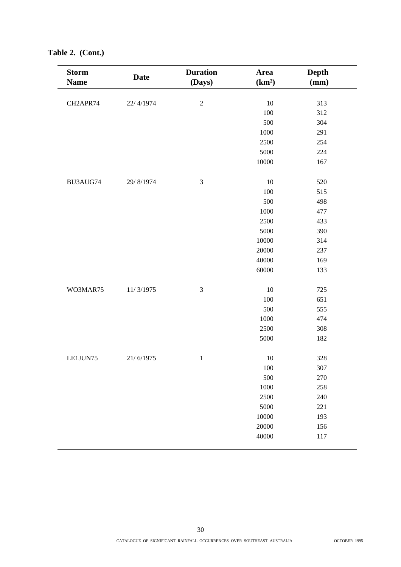| <b>Storm</b> | <b>Date</b> | <b>Duration</b> | Area               | <b>Depth</b> |
|--------------|-------------|-----------------|--------------------|--------------|
| <b>Name</b>  |             | (Days)          | (km <sup>2</sup> ) | (mm)         |
|              |             |                 |                    |              |
| CH2APR74     | 22/4/1974   | $\sqrt{2}$      | 10                 | 313          |
|              |             |                 | 100                | 312          |
|              |             |                 | 500                | 304          |
|              |             |                 | 1000               | 291          |
|              |             |                 | 2500               | 254          |
|              |             |                 | 5000               | 224          |
|              |             |                 | 10000              | 167          |
|              |             |                 |                    |              |
| BU3AUG74     | 29/8/1974   | $\mathfrak{Z}$  | 10                 | 520          |
|              |             |                 | 100                | 515          |
|              |             |                 | 500                | 498          |
|              |             |                 | 1000               | 477          |
|              |             |                 | 2500               | 433          |
|              |             |                 | 5000               | 390          |
|              |             |                 | 10000              | 314          |
|              |             |                 | 20000              | 237          |
|              |             |                 | 40000              | 169          |
|              |             |                 | 60000              | 133          |
|              |             |                 |                    |              |
| WO3MAR75     | 11/3/1975   | $\mathfrak 3$   | 10                 | 725          |
|              |             |                 | 100                | 651          |
|              |             |                 | 500                | 555          |
|              |             |                 | 1000               | 474          |
|              |             |                 | 2500               | 308          |
|              |             |                 | 5000               | 182          |
|              |             |                 |                    |              |
| LE1JUN75     | 21/6/1975   | $\,1$           | 10                 | 328          |
|              |             |                 | 100                | 307          |
|              |             |                 | 500                | 270          |
|              |             |                 | 1000               | 258          |
|              |             |                 | 2500               | 240          |
|              |             |                 | 5000               | 221          |
|              |             |                 | 10000              | 193          |
|              |             |                 | 20000              | 156          |
|              |             |                 | 40000              | 117          |
|              |             |                 |                    |              |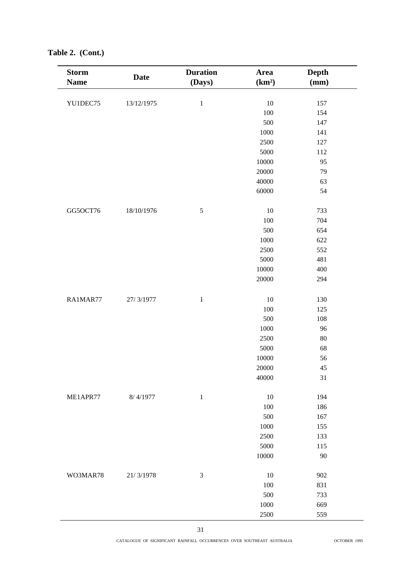| <b>Storm</b><br><b>Name</b> | <b>Date</b> | <b>Duration</b><br>(Days) | Area<br>(km <sup>2</sup> ) | Depth<br>(mm) |  |
|-----------------------------|-------------|---------------------------|----------------------------|---------------|--|
|                             |             |                           |                            |               |  |
| YU1DEC75                    | 13/12/1975  | $\,1\,$                   | 10<br>100                  | 157<br>154    |  |
|                             |             |                           | 500                        | 147           |  |
|                             |             |                           | 1000                       | 141           |  |
|                             |             |                           | 2500                       | 127           |  |
|                             |             |                           | 5000                       | 112           |  |
|                             |             |                           | $10000\,$                  | 95            |  |
|                             |             |                           | 20000                      | 79            |  |
|                             |             |                           | 40000                      | 63            |  |
|                             |             |                           | 60000                      | 54            |  |
|                             |             |                           |                            |               |  |
| GG5OCT76                    | 18/10/1976  | $\sqrt{5}$                | 10                         | 733           |  |
|                             |             |                           | 100                        | 704           |  |
|                             |             |                           | 500                        | 654           |  |
|                             |             |                           | 1000                       | 622           |  |
|                             |             |                           | 2500                       | 552           |  |
|                             |             |                           | 5000                       | 481           |  |
|                             |             |                           | 10000                      | 400           |  |
|                             |             |                           | 20000                      | 294           |  |
|                             |             |                           |                            |               |  |
| RA1MAR77                    | 27/3/1977   | $\,1\,$                   | $10\,$                     | 130           |  |
|                             |             |                           | 100                        | 125           |  |
|                             |             |                           | 500                        | 108           |  |
|                             |             |                           | 1000                       | 96            |  |
|                             |             |                           | 2500                       | 80            |  |
|                             |             |                           | 5000                       | 68            |  |
|                             |             |                           | 10000                      | 56            |  |
|                             |             |                           | 20000                      | 45            |  |
|                             |             |                           | 40000                      | 31            |  |
|                             |             |                           |                            |               |  |
| ME1APR77                    | 8/4/1977    | $1\,$                     | 10                         | 194           |  |
|                             |             |                           | 100                        | 186           |  |
|                             |             |                           | 500                        | 167           |  |
|                             |             |                           | 1000                       | 155           |  |
|                             |             |                           | 2500                       | 133           |  |
|                             |             |                           | 5000                       | 115           |  |
|                             |             |                           | $10000\,$                  | 90            |  |
|                             |             |                           |                            |               |  |
| WO3MAR78                    | 21/3/1978   | $\mathfrak{Z}$            | 10                         | 902           |  |
|                             |             |                           | 100                        | 831           |  |
|                             |             |                           | 500                        | 733           |  |
|                             |             |                           | 1000                       | 669           |  |
|                             |             |                           | 2500                       | 559           |  |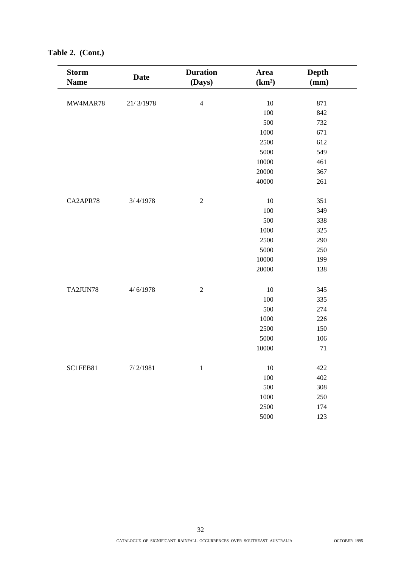| <b>Storm</b><br><b>Name</b> | <b>Date</b> | <b>Duration</b><br>(Days) | Area<br>(km <sup>2</sup> ) | <b>Depth</b><br>(mm) |
|-----------------------------|-------------|---------------------------|----------------------------|----------------------|
|                             |             |                           |                            |                      |
| MW4MAR78                    | 21/3/1978   | $\overline{4}$            | $10\,$                     | 871                  |
|                             |             |                           | 100                        | 842                  |
|                             |             |                           | 500                        | 732                  |
|                             |             |                           | 1000                       | 671                  |
|                             |             |                           | 2500                       | 612                  |
|                             |             |                           | 5000                       | 549                  |
|                             |             |                           | 10000                      | 461                  |
|                             |             |                           | 20000                      | 367                  |
|                             |             |                           | 40000                      | 261                  |
| CA2APR78                    | 3/4/1978    | $\sqrt{2}$                | $10\,$                     | 351                  |
|                             |             |                           | 100                        | 349                  |
|                             |             |                           | 500                        | 338                  |
|                             |             |                           | 1000                       | 325                  |
|                             |             |                           | 2500                       | 290                  |
|                             |             |                           | 5000                       | 250                  |
|                             |             |                           | 10000                      | 199                  |
|                             |             |                           | 20000                      | 138                  |
| TA2JUN78                    | 4/6/1978    | $\overline{2}$            | $10\,$                     | 345                  |
|                             |             |                           | 100                        | 335                  |
|                             |             |                           | 500                        | 274                  |
|                             |             |                           | 1000                       | 226                  |
|                             |             |                           | 2500                       | 150                  |
|                             |             |                           | 5000                       | 106                  |
|                             |             |                           | 10000                      | $71\,$               |
|                             |             |                           |                            |                      |
| SC1FEB81                    | 7/2/1981    | $\,1\,$                   | $10\,$                     | 422                  |
|                             |             |                           | $100\,$                    | 402                  |
|                             |             |                           | 500                        | 308                  |
|                             |             |                           | 1000                       | 250                  |
|                             |             |                           | 2500                       | 174                  |
|                             |             |                           | 5000                       | 123                  |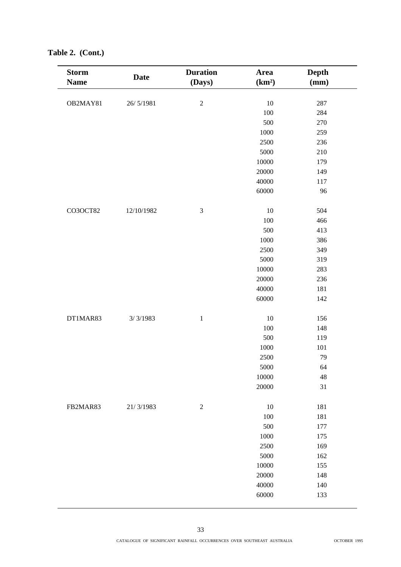| <b>Storm</b> | <b>Date</b> | <b>Duration</b> | Area               | <b>Depth</b> |
|--------------|-------------|-----------------|--------------------|--------------|
| <b>Name</b>  |             | (Days)          | (km <sup>2</sup> ) | (mm)         |
|              |             |                 |                    |              |
| OB2MAY81     | 26/5/1981   | $\sqrt{2}$      | $10\,$             | 287          |
|              |             |                 | 100                | 284          |
|              |             |                 | 500                | 270          |
|              |             |                 | 1000               | 259          |
|              |             |                 | 2500               | 236          |
|              |             |                 | 5000               | 210          |
|              |             |                 | 10000              | 179          |
|              |             |                 | 20000              | 149          |
|              |             |                 | 40000              | 117          |
|              |             |                 | 60000              | 96           |
|              |             |                 |                    |              |
| CO3OCT82     | 12/10/1982  | $\mathfrak{Z}$  | 10                 | 504          |
|              |             |                 | 100                | 466          |
|              |             |                 | 500                | 413          |
|              |             |                 | 1000               | 386          |
|              |             |                 | 2500               | 349          |
|              |             |                 | 5000               | 319          |
|              |             |                 | 10000              | 283          |
|              |             |                 | 20000              | 236          |
|              |             |                 | 40000              | 181          |
|              |             |                 | 60000              | 142          |
|              |             |                 |                    |              |
| DT1MAR83     | 3/3/1983    | $\mathbf 1$     | $10\,$             | 156          |
|              |             |                 | 100                | 148          |
|              |             |                 | 500                | 119          |
|              |             |                 | 1000               | 101          |
|              |             |                 | 2500               | 79           |
|              |             |                 | 5000               | 64           |
|              |             |                 | 10000              | 48           |
|              |             |                 | 20000              | 31           |
|              |             |                 |                    |              |
| FB2MAR83     | 21/3/1983   | $\sqrt{2}$      | 10                 | 181          |
|              |             |                 | 100                | 181          |
|              |             |                 | 500                | 177          |
|              |             |                 | 1000               | 175          |
|              |             |                 | 2500               | 169          |
|              |             |                 | 5000               | 162          |
|              |             |                 | 10000              | 155          |
|              |             |                 | 20000              | 148          |
|              |             |                 | 40000              | 140          |
|              |             |                 | 60000              | 133          |
|              |             |                 |                    |              |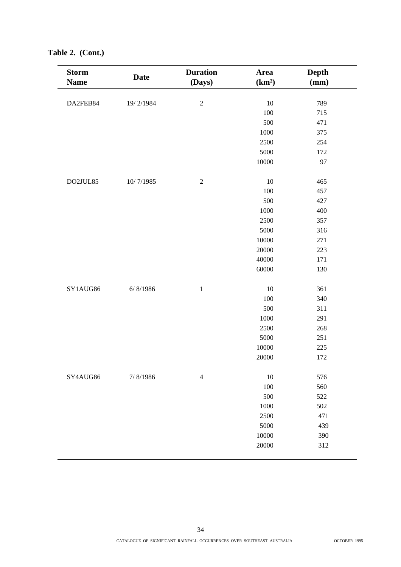| <b>Storm</b><br><b>Date</b><br><b>Name</b> |           | <b>Duration</b><br>(Days) | Area<br>(km <sup>2</sup> ) | Depth<br>(mm) |  |
|--------------------------------------------|-----------|---------------------------|----------------------------|---------------|--|
| DA2FEB84                                   | 19/2/1984 | $\sqrt{2}$                | 10                         | 789           |  |
|                                            |           |                           | 100                        |               |  |
|                                            |           |                           |                            | 715<br>471    |  |
|                                            |           |                           | 500                        |               |  |
|                                            |           |                           | 1000                       | 375           |  |
|                                            |           |                           | 2500                       | 254           |  |
|                                            |           |                           | 5000                       | 172           |  |
|                                            |           |                           | 10000                      | 97            |  |
| DO2JUL85                                   | 10/7/1985 | $\sqrt{2}$                | 10                         | 465           |  |
|                                            |           |                           | 100                        | 457           |  |
|                                            |           |                           | 500                        | 427           |  |
|                                            |           |                           | 1000                       | 400           |  |
|                                            |           |                           | 2500                       | 357           |  |
|                                            |           |                           | 5000                       | 316           |  |
|                                            |           |                           | 10000                      | 271           |  |
|                                            |           |                           | 20000                      | 223           |  |
|                                            |           |                           | 40000                      | 171           |  |
|                                            |           |                           | 60000                      | 130           |  |
| SY1AUG86                                   | 6/ 8/1986 | $\mathbf 1$               | 10                         | 361           |  |
|                                            |           |                           | 100                        | 340           |  |
|                                            |           |                           | 500                        | 311           |  |
|                                            |           |                           | 1000                       | 291           |  |
|                                            |           |                           | 2500                       | 268           |  |
|                                            |           |                           | 5000                       | 251           |  |
|                                            |           |                           | 10000                      | 225           |  |
|                                            |           |                           | 20000                      | 172           |  |
| SY4AUG86                                   | 7/8/1986  | $\overline{4}$            | 10                         | 576           |  |
|                                            |           |                           | 100                        | 560           |  |
|                                            |           |                           | 500                        | 522           |  |
|                                            |           |                           | 1000                       | 502           |  |
|                                            |           |                           | 2500                       | 471           |  |
|                                            |           |                           | 5000                       | 439           |  |
|                                            |           |                           | 10000                      | 390           |  |
|                                            |           |                           | 20000                      | 312           |  |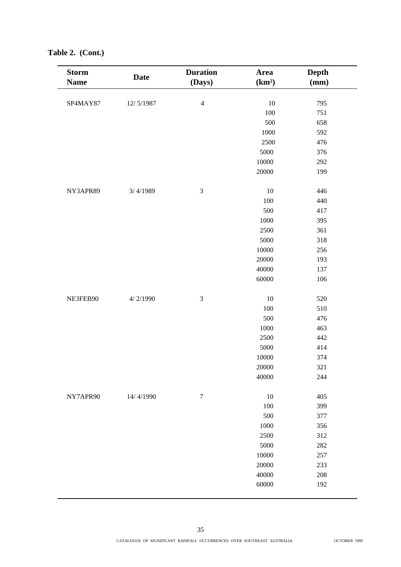| <b>Storm</b><br><b>Name</b> | <b>Date</b> | <b>Duration</b><br>(Days) | Area<br>(km <sup>2</sup> ) | Depth<br>(mm) |
|-----------------------------|-------------|---------------------------|----------------------------|---------------|
| SP4MAY87                    | 12/5/1987   | $\overline{4}$            | $10\,$                     | 795           |
|                             |             |                           | $100\,$                    | 751           |
|                             |             |                           | 500                        | 658           |
|                             |             |                           | 1000                       | 592           |
|                             |             |                           | 2500                       | 476           |
|                             |             |                           | 5000                       | 376           |
|                             |             |                           | $10000\,$                  | 292           |
|                             |             |                           | 20000                      | 199           |
| NY3APR89                    | 3/4/1989    | $\mathfrak{Z}$            | $10\,$                     | 446           |
|                             |             |                           | 100                        | 440           |
|                             |             |                           | 500                        | 417           |
|                             |             |                           | 1000                       | 395           |
|                             |             |                           | 2500                       | 361           |
|                             |             |                           | 5000                       | 318           |
|                             |             |                           | 10000                      | 256           |
|                             |             |                           | 20000                      | 193           |
|                             |             |                           | 40000                      | 137           |
|                             |             |                           | 60000                      | 106           |
| NE3FEB90                    | 4/2/1990    | $\mathfrak{Z}$            | $10\,$                     | 520           |
|                             |             |                           | 100                        | 510           |
|                             |             |                           | 500                        | 476           |
|                             |             |                           | 1000                       | 463           |
|                             |             |                           | 2500                       | 442           |
|                             |             |                           | 5000                       | 414           |
|                             |             |                           | $10000\,$                  | 374           |
|                             |             |                           | 20000                      | 321           |
|                             |             |                           | 40000                      | 244           |
| NY7APR90                    | 14/4/1990   | $\overline{7}$            | $10\,$                     | 405           |
|                             |             |                           | 100                        | 399           |
|                             |             |                           | 500                        | 377           |
|                             |             |                           | 1000                       | 356           |
|                             |             |                           | 2500                       | 312           |
|                             |             |                           | 5000                       | 282           |
|                             |             |                           | 10000                      | 257           |
|                             |             |                           | 20000                      | 233           |
|                             |             |                           | 40000                      | 208           |
|                             |             |                           | 60000                      | 192           |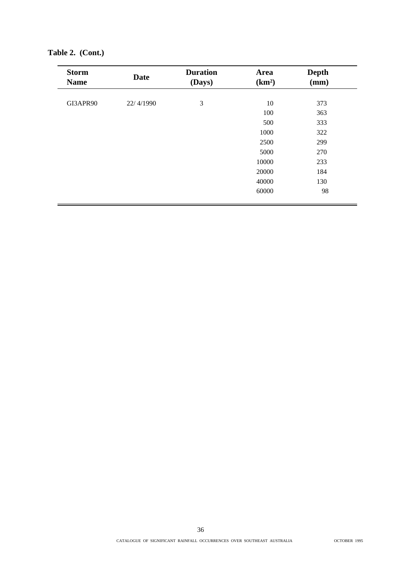| <b>Storm</b><br><b>Name</b> | <b>Date</b> | <b>Duration</b><br>(Days) | Area<br>(km <sup>2</sup> ) | <b>Depth</b><br>(mm) |
|-----------------------------|-------------|---------------------------|----------------------------|----------------------|
| GI3APR90                    | 22/4/1990   | 3                         | 10                         | 373                  |
|                             |             |                           | 100                        | 363                  |
|                             |             |                           | 500                        | 333                  |
|                             |             |                           | 1000                       | 322                  |
|                             |             |                           | 2500                       | 299                  |
|                             |             |                           | 5000                       | 270                  |
|                             |             |                           | 10000                      | 233                  |
|                             |             |                           | 20000                      | 184                  |
|                             |             |                           | 40000                      | 130                  |
|                             |             |                           | 60000                      | 98                   |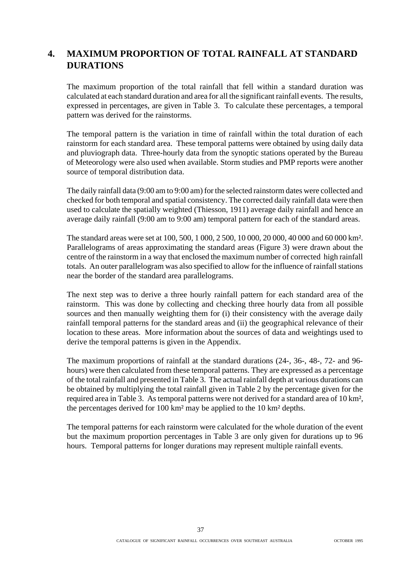## **4. MAXIMUM PROPORTION OF TOTAL RAINFALL AT STANDARD DURATIONS**

The maximum proportion of the total rainfall that fell within a standard duration was calculated at each standard duration and area for all the significant rainfall events. The results, expressed in percentages, are given in Table 3. To calculate these percentages, a temporal pattern was derived for the rainstorms.

The temporal pattern is the variation in time of rainfall within the total duration of each rainstorm for each standard area. These temporal patterns were obtained by using daily data and pluviograph data. Three-hourly data from the synoptic stations operated by the Bureau of Meteorology were also used when available. Storm studies and PMP reports were another source of temporal distribution data.

The daily rainfall data (9:00 am to 9:00 am) for the selected rainstorm dates were collected and checked for both temporal and spatial consistency. The corrected daily rainfall data were then used to calculate the spatially weighted (Thiesson, 1911) average daily rainfall and hence an average daily rainfall (9:00 am to 9:00 am) temporal pattern for each of the standard areas.

The standard areas were set at 100, 500, 1 000, 2 500, 10 000, 20 000, 40 000 and 60 000 km². Parallelograms of areas approximating the standard areas (Figure 3) were drawn about the centre of the rainstorm in a way that enclosed the maximum number of corrected high rainfall totals. An outer parallelogram was also specified to allow for the influence of rainfall stations near the border of the standard area parallelograms.

The next step was to derive a three hourly rainfall pattern for each standard area of the rainstorm. This was done by collecting and checking three hourly data from all possible sources and then manually weighting them for (i) their consistency with the average daily rainfall temporal patterns for the standard areas and (ii) the geographical relevance of their location to these areas. More information about the sources of data and weightings used to derive the temporal patterns is given in the Appendix.

The maximum proportions of rainfall at the standard durations (24-, 36-, 48-, 72- and 96 hours) were then calculated from these temporal patterns. They are expressed as a percentage of the total rainfall and presented in Table 3. The actual rainfall depth at various durations can be obtained by multiplying the total rainfall given in Table 2 by the percentage given for the required area in Table 3. As temporal patterns were not derived for a standard area of 10 km², the percentages derived for 100 km² may be applied to the 10 km² depths.

The temporal patterns for each rainstorm were calculated for the whole duration of the event but the maximum proportion percentages in Table 3 are only given for durations up to 96 hours. Temporal patterns for longer durations may represent multiple rainfall events.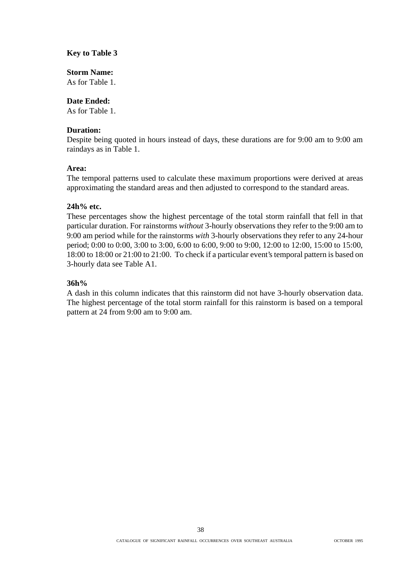#### **Key to Table 3**

#### **Storm Name:**

As for Table 1.

#### **Date Ended:**

As for Table 1.

#### **Duration:**

Despite being quoted in hours instead of days, these durations are for 9:00 am to 9:00 am raindays as in Table 1.

#### **Area:**

The temporal patterns used to calculate these maximum proportions were derived at areas approximating the standard areas and then adjusted to correspond to the standard areas.

#### **24h% etc.**

These percentages show the highest percentage of the total storm rainfall that fell in that particular duration. For rainstorms *without* 3-hourly observations they refer to the 9:00 am to 9:00 am period while for the rainstorms *with* 3-hourly observations they refer to any 24-hour period; 0:00 to 0:00, 3:00 to 3:00, 6:00 to 6:00, 9:00 to 9:00, 12:00 to 12:00, 15:00 to 15:00, 18:00 to 18:00 or 21:00 to 21:00. To check if a particular event's temporal pattern is based on 3-hourly data see Table A1.

#### **36h%**

A dash in this column indicates that this rainstorm did not have 3-hourly observation data. The highest percentage of the total storm rainfall for this rainstorm is based on a temporal pattern at 24 from 9:00 am to 9:00 am.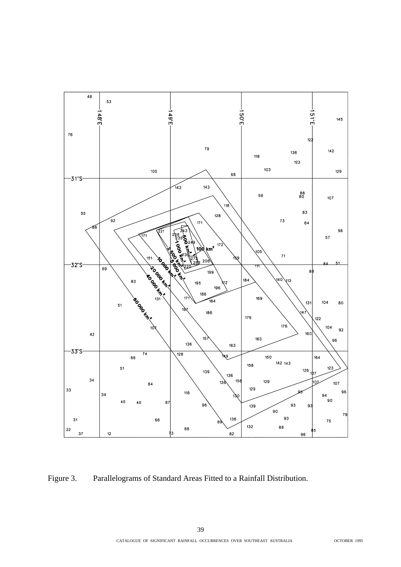

Figure 3. Parallelograms of Standard Areas Fitted to a Rainfall Distribution.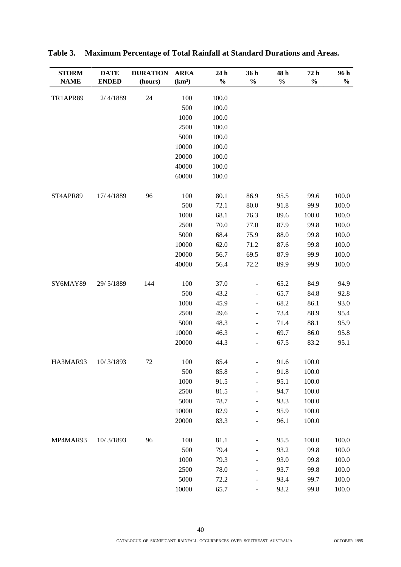| <b>STORM</b><br><b>NAME</b> | <b>DATE</b><br><b>ENDED</b> | <b>DURATION</b><br>(hours) | <b>AREA</b><br>(km <sup>2</sup> ) | 24 h<br>$\frac{0}{0}$ | 36 h<br>$\frac{0}{0}$        | 48 h<br>$\frac{0}{0}$ | 72 h<br>$\frac{0}{0}$ | 96 h<br>$\frac{0}{0}$ |
|-----------------------------|-----------------------------|----------------------------|-----------------------------------|-----------------------|------------------------------|-----------------------|-----------------------|-----------------------|
|                             |                             |                            |                                   |                       |                              |                       |                       |                       |
| TR1APR89                    | 2/4/1889                    | 24                         | 100                               | 100.0                 |                              |                       |                       |                       |
|                             |                             |                            | 500                               | 100.0                 |                              |                       |                       |                       |
|                             |                             |                            | 1000                              | 100.0                 |                              |                       |                       |                       |
|                             |                             |                            | 2500                              | 100.0                 |                              |                       |                       |                       |
|                             |                             |                            | 5000                              | 100.0                 |                              |                       |                       |                       |
|                             |                             |                            | 10000                             | 100.0                 |                              |                       |                       |                       |
|                             |                             |                            | 20000                             | 100.0                 |                              |                       |                       |                       |
|                             |                             |                            | 40000                             | 100.0                 |                              |                       |                       |                       |
|                             |                             |                            | 60000                             | 100.0                 |                              |                       |                       |                       |
| ST4APR89                    | 17/4/1889                   | 96                         | 100                               | 80.1                  | 86.9                         | 95.5                  | 99.6                  | 100.0                 |
|                             |                             |                            | 500                               | 72.1                  | 80.0                         | 91.8                  | 99.9                  | 100.0                 |
|                             |                             |                            | 1000                              | 68.1                  | 76.3                         | 89.6                  | 100.0                 | 100.0                 |
|                             |                             |                            | 2500                              | 70.0                  | 77.0                         | 87.9                  | 99.8                  | 100.0                 |
|                             |                             |                            | 5000                              | 68.4                  | 75.9                         | 88.0                  | 99.8                  | 100.0                 |
|                             |                             |                            | 10000                             | 62.0                  | 71.2                         | 87.6                  | 99.8                  | 100.0                 |
|                             |                             |                            | 20000                             | 56.7                  | 69.5                         | 87.9                  | 99.9                  | 100.0                 |
|                             |                             |                            | 40000                             | 56.4                  | 72.2                         | 89.9                  | 99.9                  | 100.0                 |
| SY6MAY89                    | 29/5/1889                   | 144                        | 100                               | 37.0                  | $\overline{\phantom{a}}$     | 65.2                  | 84.9                  | 94.9                  |
|                             |                             |                            | 500                               | 43.2                  | $\blacksquare$               | 65.7                  | 84.8                  | 92.8                  |
|                             |                             |                            | 1000                              | 45.9                  | $\overline{\phantom{a}}$     | 68.2                  | 86.1                  | 93.0                  |
|                             |                             |                            | 2500                              | 49.6                  | $\qquad \qquad \blacksquare$ | 73.4                  | 88.9                  | 95.4                  |
|                             |                             |                            | 5000                              | 48.3                  | $\qquad \qquad \blacksquare$ | 71.4                  | 88.1                  | 95.9                  |
|                             |                             |                            | 10000                             | 46.3                  | $\frac{1}{2}$                | 69.7                  | 86.0                  | 95.8                  |
|                             |                             |                            | 20000                             | 44.3                  | $\qquad \qquad \blacksquare$ | 67.5                  | 83.2                  | 95.1                  |
| HA3MAR93                    | 10/3/1893                   | 72                         | 100                               | 85.4                  | $\frac{1}{2}$                | 91.6                  | 100.0                 |                       |
|                             |                             |                            | 500                               | 85.8                  | $\overline{\phantom{a}}$     | 91.8                  | 100.0                 |                       |
|                             |                             |                            | 1000                              | 91.5                  | $\overline{a}$               | 95.1                  | 100.0                 |                       |
|                             |                             |                            | 2500                              | 81.5                  | $\qquad \qquad \blacksquare$ | 94.7                  | 100.0                 |                       |
|                             |                             |                            | 5000                              | 78.7                  | $\qquad \qquad \blacksquare$ | 93.3                  | 100.0                 |                       |
|                             |                             |                            | 10000                             | 82.9                  | $\overline{\phantom{a}}$     | 95.9                  | 100.0                 |                       |
|                             |                             |                            | 20000                             | 83.3                  | $\overline{\phantom{a}}$     | 96.1                  | 100.0                 |                       |
| MP4MAR93                    | 10/3/1893                   | 96                         | 100                               | 81.1                  | -                            | 95.5                  | 100.0                 | 100.0                 |
|                             |                             |                            | 500                               | 79.4                  | $\qquad \qquad \blacksquare$ | 93.2                  | 99.8                  | 100.0                 |
|                             |                             |                            | 1000                              | 79.3                  | $\overline{\phantom{a}}$     | 93.0                  | 99.8                  | 100.0                 |
|                             |                             |                            | 2500                              | 78.0                  | $\overline{\phantom{0}}$     | 93.7                  | 99.8                  | 100.0                 |
|                             |                             |                            | 5000                              | 72.2                  | $\frac{1}{2}$                | 93.4                  | 99.7                  | 100.0                 |
|                             |                             |                            | 10000                             | 65.7                  | $\qquad \qquad \blacksquare$ | 93.2                  | 99.8                  | 100.0                 |

| Table 3. Maximum Percentage of Total Rainfall at Standard Durations and Areas. |
|--------------------------------------------------------------------------------|
|                                                                                |

40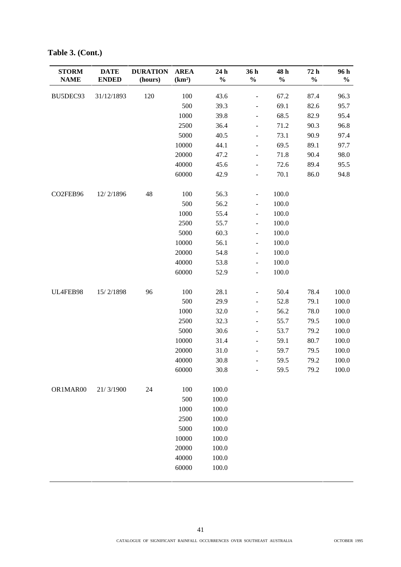| <b>STORM</b><br><b>NAME</b> | <b>DATE</b><br><b>ENDED</b> | <b>DURATION</b><br>(hours) | <b>AREA</b><br>(km <sup>2</sup> ) | 24 h<br>$\frac{0}{0}$ | 36 h<br>$\frac{0}{0}$        | 48 h<br>$\frac{0}{0}$ | 72 h<br>$\frac{0}{0}$ | 96 h<br>$\frac{0}{0}$ |
|-----------------------------|-----------------------------|----------------------------|-----------------------------------|-----------------------|------------------------------|-----------------------|-----------------------|-----------------------|
| BU5DEC93                    | 31/12/1893                  | 120                        | 100                               | 43.6                  | $\qquad \qquad \blacksquare$ | 67.2                  | 87.4                  | 96.3                  |
|                             |                             |                            | 500                               | 39.3                  | $\overline{\phantom{a}}$     | 69.1                  | 82.6                  | 95.7                  |
|                             |                             |                            | 1000                              | 39.8                  | $\blacksquare$               | 68.5                  | 82.9                  | 95.4                  |
|                             |                             |                            | 2500                              | 36.4                  | $\overline{\phantom{a}}$     | 71.2                  | 90.3                  | 96.8                  |
|                             |                             |                            | 5000                              | 40.5                  | $\overline{\phantom{a}}$     | 73.1                  | 90.9                  | 97.4                  |
|                             |                             |                            | 10000                             | 44.1                  | $\qquad \qquad \blacksquare$ | 69.5                  | 89.1                  | 97.7                  |
|                             |                             |                            | 20000                             | 47.2                  | $\overline{\phantom{a}}$     | 71.8                  | 90.4                  | 98.0                  |
|                             |                             |                            | 40000                             | 45.6                  | $\overline{\phantom{a}}$     | 72.6                  | 89.4                  | 95.5                  |
|                             |                             |                            | 60000                             | 42.9                  | $\overline{\phantom{a}}$     | 70.1                  | 86.0                  | 94.8                  |
| CO2FEB96                    | 12/2/1896                   | 48                         | 100                               | 56.3                  | $\qquad \qquad \blacksquare$ | 100.0                 |                       |                       |
|                             |                             |                            | 500                               | 56.2                  | $\frac{1}{2}$                | 100.0                 |                       |                       |
|                             |                             |                            | 1000                              | 55.4                  | $\blacksquare$               | 100.0                 |                       |                       |
|                             |                             |                            | 2500                              | 55.7                  | $\blacksquare$               | 100.0                 |                       |                       |
|                             |                             |                            | 5000                              | 60.3                  | $\frac{1}{2}$                | 100.0                 |                       |                       |
|                             |                             |                            | 10000                             | 56.1                  | $\blacksquare$               | 100.0                 |                       |                       |
|                             |                             |                            | 20000                             | 54.8                  | $\overline{\phantom{a}}$     | 100.0                 |                       |                       |
|                             |                             |                            | 40000                             | 53.8                  | $\qquad \qquad \blacksquare$ | 100.0                 |                       |                       |
|                             |                             |                            | 60000                             | 52.9                  | $\frac{1}{2}$                | 100.0                 |                       |                       |
| UL4FEB98                    | 15/2/1898                   | 96                         | 100                               | 28.1                  | $\qquad \qquad \blacksquare$ | 50.4                  | 78.4                  | 100.0                 |
|                             |                             |                            | 500                               | 29.9                  | $\qquad \qquad \blacksquare$ | 52.8                  | 79.1                  | 100.0                 |
|                             |                             |                            | 1000                              | 32.0                  | $\overline{\phantom{a}}$     | 56.2                  | 78.0                  | 100.0                 |
|                             |                             |                            | 2500                              | 32.3                  | $\overline{\phantom{a}}$     | 55.7                  | 79.5                  | 100.0                 |
|                             |                             |                            | 5000                              | 30.6                  | $\qquad \qquad \blacksquare$ | 53.7                  | 79.2                  | 100.0                 |
|                             |                             |                            | 10000                             | 31.4                  | $\overline{\phantom{a}}$     | 59.1                  | 80.7                  | 100.0                 |
|                             |                             |                            | 20000                             | 31.0                  | $\frac{1}{2}$                | 59.7                  | 79.5                  | 100.0                 |
|                             |                             |                            | 40000                             | 30.8                  | $\overline{\phantom{a}}$     | 59.5                  | 79.2                  | 100.0                 |
|                             |                             |                            | 60000                             | 30.8                  | $\overline{a}$               | 59.5                  | 79.2                  | 100.0                 |
| OR1MAR00                    | 21/3/1900                   | 24                         | 100                               | 100.0                 |                              |                       |                       |                       |
|                             |                             |                            | 500                               | 100.0                 |                              |                       |                       |                       |
|                             |                             |                            | 1000                              | 100.0                 |                              |                       |                       |                       |
|                             |                             |                            | 2500                              | 100.0                 |                              |                       |                       |                       |
|                             |                             |                            | 5000                              | 100.0                 |                              |                       |                       |                       |
|                             |                             |                            | 10000                             | 100.0                 |                              |                       |                       |                       |
|                             |                             |                            | 20000                             | 100.0                 |                              |                       |                       |                       |
|                             |                             |                            | 40000                             | 100.0                 |                              |                       |                       |                       |
|                             |                             |                            | 60000                             | 100.0                 |                              |                       |                       |                       |

**Table 3. (Cont.)**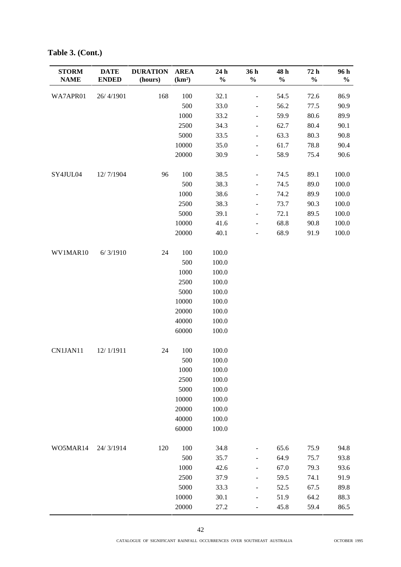| 168<br>26/4/1901<br>100<br>32.1<br>54.5<br>WA7APR01<br>72.6<br>86.9<br>$\frac{1}{2}$<br>500<br>33.0<br>56.2<br>77.5<br>90.9<br>$\qquad \qquad \blacksquare$<br>1000<br>33.2<br>59.9<br>80.6<br>89.9<br>$\overline{\phantom{a}}$<br>2500<br>34.3<br>62.7<br>80.4<br>90.1<br>$\qquad \qquad \blacksquare$<br>5000<br>63.3<br>90.8<br>33.5<br>80.3<br>$\overline{\phantom{a}}$<br>10000<br>35.0<br>61.7<br>78.8<br>90.4<br>$\blacksquare$<br>20000<br>58.9<br>90.6<br>30.9<br>75.4<br>$\overline{\phantom{a}}$<br>SY4JUL04<br>12/7/1904<br>96<br>100<br>38.5<br>74.5<br>89.1<br>100.0<br>$\qquad \qquad \blacksquare$<br>500<br>100.0<br>38.3<br>74.5<br>89.0<br>$\overline{\phantom{a}}$<br>100.0<br>1000<br>38.6<br>74.2<br>89.9<br>$\qquad \qquad \blacksquare$<br>2500<br>38.3<br>100.0<br>73.7<br>90.3<br>$\overline{\phantom{a}}$<br>100.0<br>5000<br>39.1<br>89.5<br>72.1<br>$\overline{\phantom{a}}$<br>10000<br>100.0<br>41.6<br>68.8<br>90.8<br>$\qquad \qquad \blacksquare$<br>20000<br>40.1<br>68.9<br>100.0<br>91.9<br>$\overline{a}$<br>WV1MAR10<br>24<br>100<br>100.0<br>6/3/1910<br>500<br>100.0<br>1000<br>100.0<br>2500<br>100.0<br>5000<br>100.0<br>100.0<br>10000<br>100.0<br>20000<br>40000<br>100.0<br>60000<br>100.0<br>100.0<br>CN1JAN11<br>12/1/1911<br>24<br>100<br>500<br>100.0<br>100.0<br>1000<br>100.0<br>2500<br>5000<br>100.0<br>10000<br>100.0<br>20000<br>100.0<br>100.0<br>40000<br>100.0<br>60000<br>WO5MAR14<br>24/3/1914<br>120<br>100<br>34.8<br>65.6<br>75.9<br>94.8<br>$\qquad \qquad \blacksquare$<br>500<br>93.8<br>35.7<br>64.9<br>75.7<br>$\overline{\phantom{a}}$<br>1000<br>42.6<br>67.0<br>93.6<br>79.3<br>$\qquad \qquad \blacksquare$<br>2500<br>91.9<br>37.9<br>59.5<br>74.1<br>$\overline{\phantom{a}}$<br>5000<br>33.3<br>52.5<br>89.8<br>67.5<br>$\qquad \qquad \blacksquare$<br>10000<br>88.3<br>30.1<br>51.9<br>64.2<br>$\qquad \qquad \blacksquare$<br>20000<br>27.2<br>86.5<br>45.8<br>59.4<br>$\overline{\phantom{a}}$ | <b>STORM</b><br><b>NAME</b> | <b>DATE</b><br><b>ENDED</b> | <b>DURATION</b><br>(hours) | <b>AREA</b><br>(km <sup>2</sup> ) | 24 h<br>$\frac{0}{0}$ | 36 h<br>$\frac{0}{0}$ | 48 h<br>$\%$ | 72 h<br>$\frac{0}{0}$ | 96 h<br>$\frac{0}{0}$ |
|--------------------------------------------------------------------------------------------------------------------------------------------------------------------------------------------------------------------------------------------------------------------------------------------------------------------------------------------------------------------------------------------------------------------------------------------------------------------------------------------------------------------------------------------------------------------------------------------------------------------------------------------------------------------------------------------------------------------------------------------------------------------------------------------------------------------------------------------------------------------------------------------------------------------------------------------------------------------------------------------------------------------------------------------------------------------------------------------------------------------------------------------------------------------------------------------------------------------------------------------------------------------------------------------------------------------------------------------------------------------------------------------------------------------------------------------------------------------------------------------------------------------------------------------------------------------------------------------------------------------------------------------------------------------------------------------------------------------------------------------------------------------------------------------------------------------------------------------------------------------------------------------------------------------------------------------------------------------------------|-----------------------------|-----------------------------|----------------------------|-----------------------------------|-----------------------|-----------------------|--------------|-----------------------|-----------------------|
|                                                                                                                                                                                                                                                                                                                                                                                                                                                                                                                                                                                                                                                                                                                                                                                                                                                                                                                                                                                                                                                                                                                                                                                                                                                                                                                                                                                                                                                                                                                                                                                                                                                                                                                                                                                                                                                                                                                                                                                |                             |                             |                            |                                   |                       |                       |              |                       |                       |
|                                                                                                                                                                                                                                                                                                                                                                                                                                                                                                                                                                                                                                                                                                                                                                                                                                                                                                                                                                                                                                                                                                                                                                                                                                                                                                                                                                                                                                                                                                                                                                                                                                                                                                                                                                                                                                                                                                                                                                                |                             |                             |                            |                                   |                       |                       |              |                       |                       |
|                                                                                                                                                                                                                                                                                                                                                                                                                                                                                                                                                                                                                                                                                                                                                                                                                                                                                                                                                                                                                                                                                                                                                                                                                                                                                                                                                                                                                                                                                                                                                                                                                                                                                                                                                                                                                                                                                                                                                                                |                             |                             |                            |                                   |                       |                       |              |                       |                       |
|                                                                                                                                                                                                                                                                                                                                                                                                                                                                                                                                                                                                                                                                                                                                                                                                                                                                                                                                                                                                                                                                                                                                                                                                                                                                                                                                                                                                                                                                                                                                                                                                                                                                                                                                                                                                                                                                                                                                                                                |                             |                             |                            |                                   |                       |                       |              |                       |                       |
|                                                                                                                                                                                                                                                                                                                                                                                                                                                                                                                                                                                                                                                                                                                                                                                                                                                                                                                                                                                                                                                                                                                                                                                                                                                                                                                                                                                                                                                                                                                                                                                                                                                                                                                                                                                                                                                                                                                                                                                |                             |                             |                            |                                   |                       |                       |              |                       |                       |
|                                                                                                                                                                                                                                                                                                                                                                                                                                                                                                                                                                                                                                                                                                                                                                                                                                                                                                                                                                                                                                                                                                                                                                                                                                                                                                                                                                                                                                                                                                                                                                                                                                                                                                                                                                                                                                                                                                                                                                                |                             |                             |                            |                                   |                       |                       |              |                       |                       |
|                                                                                                                                                                                                                                                                                                                                                                                                                                                                                                                                                                                                                                                                                                                                                                                                                                                                                                                                                                                                                                                                                                                                                                                                                                                                                                                                                                                                                                                                                                                                                                                                                                                                                                                                                                                                                                                                                                                                                                                |                             |                             |                            |                                   |                       |                       |              |                       |                       |
|                                                                                                                                                                                                                                                                                                                                                                                                                                                                                                                                                                                                                                                                                                                                                                                                                                                                                                                                                                                                                                                                                                                                                                                                                                                                                                                                                                                                                                                                                                                                                                                                                                                                                                                                                                                                                                                                                                                                                                                |                             |                             |                            |                                   |                       |                       |              |                       |                       |
|                                                                                                                                                                                                                                                                                                                                                                                                                                                                                                                                                                                                                                                                                                                                                                                                                                                                                                                                                                                                                                                                                                                                                                                                                                                                                                                                                                                                                                                                                                                                                                                                                                                                                                                                                                                                                                                                                                                                                                                |                             |                             |                            |                                   |                       |                       |              |                       |                       |
|                                                                                                                                                                                                                                                                                                                                                                                                                                                                                                                                                                                                                                                                                                                                                                                                                                                                                                                                                                                                                                                                                                                                                                                                                                                                                                                                                                                                                                                                                                                                                                                                                                                                                                                                                                                                                                                                                                                                                                                |                             |                             |                            |                                   |                       |                       |              |                       |                       |
|                                                                                                                                                                                                                                                                                                                                                                                                                                                                                                                                                                                                                                                                                                                                                                                                                                                                                                                                                                                                                                                                                                                                                                                                                                                                                                                                                                                                                                                                                                                                                                                                                                                                                                                                                                                                                                                                                                                                                                                |                             |                             |                            |                                   |                       |                       |              |                       |                       |
|                                                                                                                                                                                                                                                                                                                                                                                                                                                                                                                                                                                                                                                                                                                                                                                                                                                                                                                                                                                                                                                                                                                                                                                                                                                                                                                                                                                                                                                                                                                                                                                                                                                                                                                                                                                                                                                                                                                                                                                |                             |                             |                            |                                   |                       |                       |              |                       |                       |
|                                                                                                                                                                                                                                                                                                                                                                                                                                                                                                                                                                                                                                                                                                                                                                                                                                                                                                                                                                                                                                                                                                                                                                                                                                                                                                                                                                                                                                                                                                                                                                                                                                                                                                                                                                                                                                                                                                                                                                                |                             |                             |                            |                                   |                       |                       |              |                       |                       |
|                                                                                                                                                                                                                                                                                                                                                                                                                                                                                                                                                                                                                                                                                                                                                                                                                                                                                                                                                                                                                                                                                                                                                                                                                                                                                                                                                                                                                                                                                                                                                                                                                                                                                                                                                                                                                                                                                                                                                                                |                             |                             |                            |                                   |                       |                       |              |                       |                       |
|                                                                                                                                                                                                                                                                                                                                                                                                                                                                                                                                                                                                                                                                                                                                                                                                                                                                                                                                                                                                                                                                                                                                                                                                                                                                                                                                                                                                                                                                                                                                                                                                                                                                                                                                                                                                                                                                                                                                                                                |                             |                             |                            |                                   |                       |                       |              |                       |                       |
|                                                                                                                                                                                                                                                                                                                                                                                                                                                                                                                                                                                                                                                                                                                                                                                                                                                                                                                                                                                                                                                                                                                                                                                                                                                                                                                                                                                                                                                                                                                                                                                                                                                                                                                                                                                                                                                                                                                                                                                |                             |                             |                            |                                   |                       |                       |              |                       |                       |
|                                                                                                                                                                                                                                                                                                                                                                                                                                                                                                                                                                                                                                                                                                                                                                                                                                                                                                                                                                                                                                                                                                                                                                                                                                                                                                                                                                                                                                                                                                                                                                                                                                                                                                                                                                                                                                                                                                                                                                                |                             |                             |                            |                                   |                       |                       |              |                       |                       |
|                                                                                                                                                                                                                                                                                                                                                                                                                                                                                                                                                                                                                                                                                                                                                                                                                                                                                                                                                                                                                                                                                                                                                                                                                                                                                                                                                                                                                                                                                                                                                                                                                                                                                                                                                                                                                                                                                                                                                                                |                             |                             |                            |                                   |                       |                       |              |                       |                       |
|                                                                                                                                                                                                                                                                                                                                                                                                                                                                                                                                                                                                                                                                                                                                                                                                                                                                                                                                                                                                                                                                                                                                                                                                                                                                                                                                                                                                                                                                                                                                                                                                                                                                                                                                                                                                                                                                                                                                                                                |                             |                             |                            |                                   |                       |                       |              |                       |                       |
|                                                                                                                                                                                                                                                                                                                                                                                                                                                                                                                                                                                                                                                                                                                                                                                                                                                                                                                                                                                                                                                                                                                                                                                                                                                                                                                                                                                                                                                                                                                                                                                                                                                                                                                                                                                                                                                                                                                                                                                |                             |                             |                            |                                   |                       |                       |              |                       |                       |
|                                                                                                                                                                                                                                                                                                                                                                                                                                                                                                                                                                                                                                                                                                                                                                                                                                                                                                                                                                                                                                                                                                                                                                                                                                                                                                                                                                                                                                                                                                                                                                                                                                                                                                                                                                                                                                                                                                                                                                                |                             |                             |                            |                                   |                       |                       |              |                       |                       |
|                                                                                                                                                                                                                                                                                                                                                                                                                                                                                                                                                                                                                                                                                                                                                                                                                                                                                                                                                                                                                                                                                                                                                                                                                                                                                                                                                                                                                                                                                                                                                                                                                                                                                                                                                                                                                                                                                                                                                                                |                             |                             |                            |                                   |                       |                       |              |                       |                       |
|                                                                                                                                                                                                                                                                                                                                                                                                                                                                                                                                                                                                                                                                                                                                                                                                                                                                                                                                                                                                                                                                                                                                                                                                                                                                                                                                                                                                                                                                                                                                                                                                                                                                                                                                                                                                                                                                                                                                                                                |                             |                             |                            |                                   |                       |                       |              |                       |                       |
|                                                                                                                                                                                                                                                                                                                                                                                                                                                                                                                                                                                                                                                                                                                                                                                                                                                                                                                                                                                                                                                                                                                                                                                                                                                                                                                                                                                                                                                                                                                                                                                                                                                                                                                                                                                                                                                                                                                                                                                |                             |                             |                            |                                   |                       |                       |              |                       |                       |
|                                                                                                                                                                                                                                                                                                                                                                                                                                                                                                                                                                                                                                                                                                                                                                                                                                                                                                                                                                                                                                                                                                                                                                                                                                                                                                                                                                                                                                                                                                                                                                                                                                                                                                                                                                                                                                                                                                                                                                                |                             |                             |                            |                                   |                       |                       |              |                       |                       |
|                                                                                                                                                                                                                                                                                                                                                                                                                                                                                                                                                                                                                                                                                                                                                                                                                                                                                                                                                                                                                                                                                                                                                                                                                                                                                                                                                                                                                                                                                                                                                                                                                                                                                                                                                                                                                                                                                                                                                                                |                             |                             |                            |                                   |                       |                       |              |                       |                       |
|                                                                                                                                                                                                                                                                                                                                                                                                                                                                                                                                                                                                                                                                                                                                                                                                                                                                                                                                                                                                                                                                                                                                                                                                                                                                                                                                                                                                                                                                                                                                                                                                                                                                                                                                                                                                                                                                                                                                                                                |                             |                             |                            |                                   |                       |                       |              |                       |                       |
|                                                                                                                                                                                                                                                                                                                                                                                                                                                                                                                                                                                                                                                                                                                                                                                                                                                                                                                                                                                                                                                                                                                                                                                                                                                                                                                                                                                                                                                                                                                                                                                                                                                                                                                                                                                                                                                                                                                                                                                |                             |                             |                            |                                   |                       |                       |              |                       |                       |
|                                                                                                                                                                                                                                                                                                                                                                                                                                                                                                                                                                                                                                                                                                                                                                                                                                                                                                                                                                                                                                                                                                                                                                                                                                                                                                                                                                                                                                                                                                                                                                                                                                                                                                                                                                                                                                                                                                                                                                                |                             |                             |                            |                                   |                       |                       |              |                       |                       |
|                                                                                                                                                                                                                                                                                                                                                                                                                                                                                                                                                                                                                                                                                                                                                                                                                                                                                                                                                                                                                                                                                                                                                                                                                                                                                                                                                                                                                                                                                                                                                                                                                                                                                                                                                                                                                                                                                                                                                                                |                             |                             |                            |                                   |                       |                       |              |                       |                       |
|                                                                                                                                                                                                                                                                                                                                                                                                                                                                                                                                                                                                                                                                                                                                                                                                                                                                                                                                                                                                                                                                                                                                                                                                                                                                                                                                                                                                                                                                                                                                                                                                                                                                                                                                                                                                                                                                                                                                                                                |                             |                             |                            |                                   |                       |                       |              |                       |                       |
|                                                                                                                                                                                                                                                                                                                                                                                                                                                                                                                                                                                                                                                                                                                                                                                                                                                                                                                                                                                                                                                                                                                                                                                                                                                                                                                                                                                                                                                                                                                                                                                                                                                                                                                                                                                                                                                                                                                                                                                |                             |                             |                            |                                   |                       |                       |              |                       |                       |
|                                                                                                                                                                                                                                                                                                                                                                                                                                                                                                                                                                                                                                                                                                                                                                                                                                                                                                                                                                                                                                                                                                                                                                                                                                                                                                                                                                                                                                                                                                                                                                                                                                                                                                                                                                                                                                                                                                                                                                                |                             |                             |                            |                                   |                       |                       |              |                       |                       |
|                                                                                                                                                                                                                                                                                                                                                                                                                                                                                                                                                                                                                                                                                                                                                                                                                                                                                                                                                                                                                                                                                                                                                                                                                                                                                                                                                                                                                                                                                                                                                                                                                                                                                                                                                                                                                                                                                                                                                                                |                             |                             |                            |                                   |                       |                       |              |                       |                       |
|                                                                                                                                                                                                                                                                                                                                                                                                                                                                                                                                                                                                                                                                                                                                                                                                                                                                                                                                                                                                                                                                                                                                                                                                                                                                                                                                                                                                                                                                                                                                                                                                                                                                                                                                                                                                                                                                                                                                                                                |                             |                             |                            |                                   |                       |                       |              |                       |                       |
|                                                                                                                                                                                                                                                                                                                                                                                                                                                                                                                                                                                                                                                                                                                                                                                                                                                                                                                                                                                                                                                                                                                                                                                                                                                                                                                                                                                                                                                                                                                                                                                                                                                                                                                                                                                                                                                                                                                                                                                |                             |                             |                            |                                   |                       |                       |              |                       |                       |
|                                                                                                                                                                                                                                                                                                                                                                                                                                                                                                                                                                                                                                                                                                                                                                                                                                                                                                                                                                                                                                                                                                                                                                                                                                                                                                                                                                                                                                                                                                                                                                                                                                                                                                                                                                                                                                                                                                                                                                                |                             |                             |                            |                                   |                       |                       |              |                       |                       |
|                                                                                                                                                                                                                                                                                                                                                                                                                                                                                                                                                                                                                                                                                                                                                                                                                                                                                                                                                                                                                                                                                                                                                                                                                                                                                                                                                                                                                                                                                                                                                                                                                                                                                                                                                                                                                                                                                                                                                                                |                             |                             |                            |                                   |                       |                       |              |                       |                       |
|                                                                                                                                                                                                                                                                                                                                                                                                                                                                                                                                                                                                                                                                                                                                                                                                                                                                                                                                                                                                                                                                                                                                                                                                                                                                                                                                                                                                                                                                                                                                                                                                                                                                                                                                                                                                                                                                                                                                                                                |                             |                             |                            |                                   |                       |                       |              |                       |                       |
|                                                                                                                                                                                                                                                                                                                                                                                                                                                                                                                                                                                                                                                                                                                                                                                                                                                                                                                                                                                                                                                                                                                                                                                                                                                                                                                                                                                                                                                                                                                                                                                                                                                                                                                                                                                                                                                                                                                                                                                |                             |                             |                            |                                   |                       |                       |              |                       |                       |

**Table 3. (Cont.)**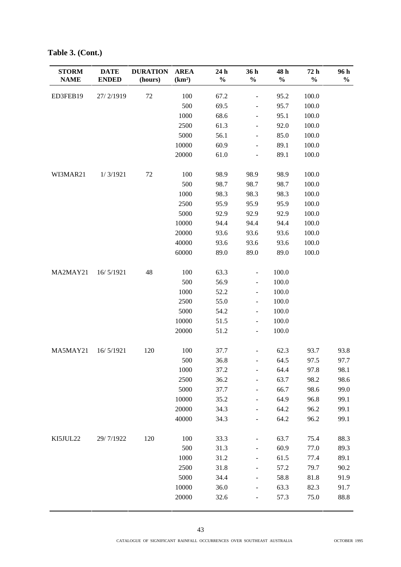| <b>STORM</b> | <b>DATE</b>  | <b>DURATION</b> | <b>AREA</b>        | 24 h          | 36 h                         | 48 h          | 72 h          | 96 h          |
|--------------|--------------|-----------------|--------------------|---------------|------------------------------|---------------|---------------|---------------|
| <b>NAME</b>  | <b>ENDED</b> | (hours)         | (km <sup>2</sup> ) | $\frac{0}{0}$ | $\frac{0}{0}$                | $\frac{0}{0}$ | $\frac{0}{0}$ | $\frac{0}{0}$ |
| ED3FEB19     | 27/2/1919    | 72              | 100                | 67.2          | $\qquad \qquad \blacksquare$ | 95.2          | 100.0         |               |
|              |              |                 | 500                | 69.5          | $\overline{\phantom{a}}$     | 95.7          | 100.0         |               |
|              |              |                 | 1000               | 68.6          | $\qquad \qquad \blacksquare$ | 95.1          | 100.0         |               |
|              |              |                 | 2500               | 61.3          | $\overline{\phantom{m}}$     | 92.0          | 100.0         |               |
|              |              |                 | 5000               | 56.1          |                              | 85.0          | 100.0         |               |
|              |              |                 | 10000              | 60.9          | $\frac{1}{2}$                | 89.1          | 100.0         |               |
|              |              |                 | 20000              | 61.0          | $\qquad \qquad \blacksquare$ | 89.1          | 100.0         |               |
| WI3MAR21     | 1/3/1921     | 72              | 100                | 98.9          | 98.9                         | 98.9          | 100.0         |               |
|              |              |                 | 500                | 98.7          | 98.7                         | 98.7          | 100.0         |               |
|              |              |                 | 1000               | 98.3          | 98.3                         | 98.3          | 100.0         |               |
|              |              |                 | 2500               | 95.9          | 95.9                         | 95.9          | 100.0         |               |
|              |              |                 | 5000               | 92.9          | 92.9                         | 92.9          | 100.0         |               |
|              |              |                 | 10000              | 94.4          | 94.4                         | 94.4          | 100.0         |               |
|              |              |                 | 20000              | 93.6          | 93.6                         | 93.6          | 100.0         |               |
|              |              |                 | 40000              | 93.6          | 93.6                         | 93.6          | 100.0         |               |
|              |              |                 | 60000              | 89.0          | 89.0                         | 89.0          | 100.0         |               |
| MA2MAY21     | 16/5/1921    | 48              | 100                | 63.3          | $\blacksquare$               | 100.0         |               |               |
|              |              |                 | 500                | 56.9          | $\overline{\phantom{a}}$     | 100.0         |               |               |
|              |              |                 | 1000               | 52.2          | $\qquad \qquad \blacksquare$ | 100.0         |               |               |
|              |              |                 | 2500               | 55.0          | $\overline{\phantom{a}}$     | 100.0         |               |               |
|              |              |                 | 5000               | 54.2          | $\qquad \qquad \blacksquare$ | 100.0         |               |               |
|              |              |                 | 10000              | 51.5          | $\overline{\phantom{a}}$     | 100.0         |               |               |
|              |              |                 | 20000              | 51.2          | $\overline{\phantom{a}}$     | 100.0         |               |               |
|              |              |                 |                    |               |                              |               |               |               |
| MA5MAY21     | 16/5/1921    | 120             | 100                | 37.7          | $\overline{\phantom{a}}$     | 62.3          | 93.7          | 93.8          |
|              |              |                 | 500                | 36.8          | $\overline{\phantom{a}}$     | 64.5          | 97.5          | 97.7          |
|              |              |                 | 1000               | 37.2          |                              | 64.4          | 97.8          | 98.1          |
|              |              |                 | 2500               | 36.2          |                              | 63.7          | 98.2          | 98.6          |
|              |              |                 | 5000               | 37.7          | $\qquad \qquad \blacksquare$ | 66.7          | 98.6          | 99.0          |
|              |              |                 | 10000              | 35.2          | $\frac{1}{2}$                | 64.9          | 96.8          | 99.1          |
|              |              |                 | 20000              | 34.3          | $\overline{\phantom{a}}$     | 64.2          | 96.2          | 99.1          |
|              |              |                 | 40000              | 34.3          |                              | 64.2          | 96.2          | 99.1          |
| KI5JUL22     | 29/7/1922    | 120             | 100                | 33.3          |                              | 63.7          | 75.4          | 88.3          |
|              |              |                 | 500                | 31.3          |                              | 60.9          | 77.0          | 89.3          |
|              |              |                 | 1000               | 31.2          | $\overline{\phantom{a}}$     | 61.5          | 77.4          | 89.1          |
|              |              |                 | 2500               | 31.8          |                              | 57.2          | 79.7          | 90.2          |
|              |              |                 | 5000               | 34.4          | $\qquad \qquad \blacksquare$ | 58.8          | 81.8          | 91.9          |
|              |              |                 | 10000              | 36.0          | $\frac{1}{2}$                | 63.3          | 82.3          | 91.7          |
|              |              |                 | 20000              | 32.6          | $\overline{\phantom{0}}$     | 57.3          | 75.0          | 88.8          |
|              |              |                 |                    |               |                              |               |               |               |

**Table 3. (Cont.)**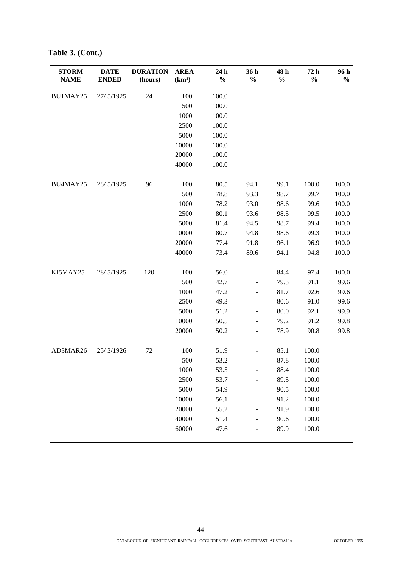| <b>STORM</b><br><b>NAME</b> | <b>DATE</b><br><b>ENDED</b> | <b>DURATION</b><br>(hours) | <b>AREA</b><br>(km <sup>2</sup> ) | 24 h<br>$\%$ | 36h<br>$\frac{0}{0}$         | 48h<br>$\frac{0}{0}$ | 72 h<br>$\frac{0}{0}$ | 96 h<br>$\frac{0}{0}$ |
|-----------------------------|-----------------------------|----------------------------|-----------------------------------|--------------|------------------------------|----------------------|-----------------------|-----------------------|
| BU1MAY25                    | 27/5/1925                   | 24                         | 100                               | 100.0        |                              |                      |                       |                       |
|                             |                             |                            | 500                               | 100.0        |                              |                      |                       |                       |
|                             |                             |                            | 1000                              | 100.0        |                              |                      |                       |                       |
|                             |                             |                            | 2500                              | 100.0        |                              |                      |                       |                       |
|                             |                             |                            | 5000                              | 100.0        |                              |                      |                       |                       |
|                             |                             |                            | 10000                             | 100.0        |                              |                      |                       |                       |
|                             |                             |                            | 20000                             | 100.0        |                              |                      |                       |                       |
|                             |                             |                            | 40000                             | 100.0        |                              |                      |                       |                       |
| BU4MAY25                    | 28/5/1925                   | 96                         | 100                               | 80.5         | 94.1                         | 99.1                 | 100.0                 | 100.0                 |
|                             |                             |                            | 500                               | 78.8         | 93.3                         | 98.7                 | 99.7                  | 100.0                 |
|                             |                             |                            | 1000                              | 78.2         | 93.0                         | 98.6                 | 99.6                  | 100.0                 |
|                             |                             |                            | 2500                              | 80.1         | 93.6                         | 98.5                 | 99.5                  | 100.0                 |
|                             |                             |                            | 5000                              | 81.4         | 94.5                         | 98.7                 | 99.4                  | 100.0                 |
|                             |                             |                            | 10000                             | 80.7         | 94.8                         | 98.6                 | 99.3                  | 100.0                 |
|                             |                             |                            | 20000                             | 77.4         | 91.8                         | 96.1                 | 96.9                  | 100.0                 |
|                             |                             |                            | 40000                             | 73.4         | 89.6                         | 94.1                 | 94.8                  | 100.0                 |
| KI5MAY25                    | 28/5/1925                   | 120                        | 100                               | 56.0         | $\frac{1}{2}$                | 84.4                 | 97.4                  | 100.0                 |
|                             |                             |                            | 500                               | 42.7         | $\blacksquare$               | 79.3                 | 91.1                  | 99.6                  |
|                             |                             |                            | 1000                              | 47.2         | $\overline{\phantom{0}}$     | 81.7                 | 92.6                  | 99.6                  |
|                             |                             |                            | 2500                              | 49.3         | $\frac{1}{2}$                | 80.6                 | 91.0                  | 99.6                  |
|                             |                             |                            | 5000                              | 51.2         | $\frac{1}{2}$                | $80.0\,$             | 92.1                  | 99.9                  |
|                             |                             |                            | 10000                             | 50.5         | $\blacksquare$               | 79.2                 | 91.2                  | 99.8                  |
|                             |                             |                            | 20000                             | 50.2         | $\frac{1}{2}$                | 78.9                 | 90.8                  | 99.8                  |
| AD3MAR26                    | 25/3/1926                   | 72                         | 100                               | 51.9         | $\frac{1}{2}$                | 85.1                 | 100.0                 |                       |
|                             |                             |                            | 500                               | 53.2         | $\overline{\phantom{0}}$     | 87.8                 | 100.0                 |                       |
|                             |                             |                            | 1000                              | 53.5         | -                            | 88.4                 | 100.0                 |                       |
|                             |                             |                            | 2500                              | 53.7         |                              | 89.5                 | 100.0                 |                       |
|                             |                             |                            | 5000                              | 54.9         | $\qquad \qquad \blacksquare$ | 90.5                 | 100.0                 |                       |
|                             |                             |                            | 10000                             | 56.1         | $\overline{\phantom{0}}$     | 91.2                 | 100.0                 |                       |
|                             |                             |                            | 20000                             | 55.2         | $\overline{\phantom{0}}$     | 91.9                 | 100.0                 |                       |
|                             |                             |                            | 40000                             | 51.4         | $\qquad \qquad \blacksquare$ | 90.6                 | 100.0                 |                       |
|                             |                             |                            | 60000                             | 47.6         |                              | 89.9                 | 100.0                 |                       |

**Table 3. (Cont.)**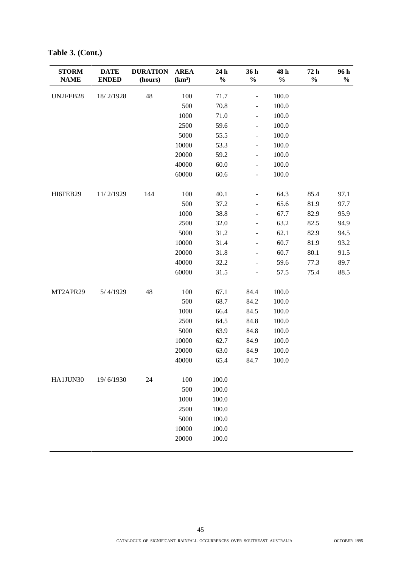| <b>STORM</b><br><b>NAME</b> | <b>DATE</b><br><b>ENDED</b> | <b>DURATION</b><br>(hours) | <b>AREA</b><br>(km <sup>2</sup> ) | 24 h<br>$\%$ | 36h<br>$\frac{0}{0}$         | 48 h<br>$\%$ | 72 h<br>$\frac{0}{0}$ | 96 h<br>$\frac{0}{0}$ |
|-----------------------------|-----------------------------|----------------------------|-----------------------------------|--------------|------------------------------|--------------|-----------------------|-----------------------|
| UN2FEB28                    | 18/2/1928                   | 48                         | 100                               | 71.7         | $\overline{\phantom{0}}$     | 100.0        |                       |                       |
|                             |                             |                            | 500                               | 70.8         | $\frac{1}{2}$                | 100.0        |                       |                       |
|                             |                             |                            | 1000                              | 71.0         | $\overline{\phantom{a}}$     | 100.0        |                       |                       |
|                             |                             |                            | 2500                              | 59.6         | $\frac{1}{2}$                | 100.0        |                       |                       |
|                             |                             |                            | 5000                              | 55.5         | $\overline{\phantom{0}}$     | 100.0        |                       |                       |
|                             |                             |                            | 10000                             | 53.3         | $\blacksquare$               | 100.0        |                       |                       |
|                             |                             |                            | 20000                             | 59.2         | $\blacksquare$               | 100.0        |                       |                       |
|                             |                             |                            | 40000                             | 60.0         | $\overline{\phantom{0}}$     | 100.0        |                       |                       |
|                             |                             |                            | 60000                             | 60.6         | $\overline{\phantom{0}}$     | 100.0        |                       |                       |
| HI6FEB29                    | 11/2/1929                   | 144                        | 100                               | 40.1         | $\frac{1}{2}$                | 64.3         | 85.4                  | 97.1                  |
|                             |                             |                            | 500                               | 37.2         | $\qquad \qquad \blacksquare$ | 65.6         | 81.9                  | 97.7                  |
|                             |                             |                            | 1000                              | 38.8         | $\overline{\phantom{0}}$     | 67.7         | 82.9                  | 95.9                  |
|                             |                             |                            | 2500                              | 32.0         | $\overline{\phantom{a}}$     | 63.2         | 82.5                  | 94.9                  |
|                             |                             |                            | 5000                              | 31.2         | $\overline{\phantom{0}}$     | 62.1         | 82.9                  | 94.5                  |
|                             |                             |                            | 10000                             | 31.4         | $\overline{\phantom{0}}$     | 60.7         | 81.9                  | 93.2                  |
|                             |                             |                            | 20000                             | 31.8         | $\overline{\phantom{a}}$     | 60.7         | 80.1                  | 91.5                  |
|                             |                             |                            | 40000                             | 32.2         | $\overline{\phantom{0}}$     | 59.6         | 77.3                  | 89.7                  |
|                             |                             |                            | 60000                             | 31.5         | $\frac{1}{2}$                | 57.5         | 75.4                  | 88.5                  |
| MT2APR29                    | 5/4/1929                    | 48                         | 100                               | 67.1         | 84.4                         | 100.0        |                       |                       |
|                             |                             |                            | 500                               | 68.7         | 84.2                         | 100.0        |                       |                       |
|                             |                             |                            | 1000                              | 66.4         | 84.5                         | 100.0        |                       |                       |
|                             |                             |                            | 2500                              | 64.5         | 84.8                         | 100.0        |                       |                       |
|                             |                             |                            | 5000                              | 63.9         | 84.8                         | 100.0        |                       |                       |
|                             |                             |                            | 10000                             | 62.7         | 84.9                         | 100.0        |                       |                       |
|                             |                             |                            | 20000                             | 63.0         | 84.9                         | 100.0        |                       |                       |
|                             |                             |                            | 40000                             | 65.4         | 84.7                         | 100.0        |                       |                       |
| HA1JUN30                    | 19/6/1930                   | 24                         | 100                               | 100.0        |                              |              |                       |                       |
|                             |                             |                            | 500                               | 100.0        |                              |              |                       |                       |
|                             |                             |                            | 1000                              | 100.0        |                              |              |                       |                       |
|                             |                             |                            | 2500                              | 100.0        |                              |              |                       |                       |
|                             |                             |                            | 5000                              | 100.0        |                              |              |                       |                       |
|                             |                             |                            | 10000                             | 100.0        |                              |              |                       |                       |
|                             |                             |                            | 20000                             | 100.0        |                              |              |                       |                       |

**Table 3. (Cont.)**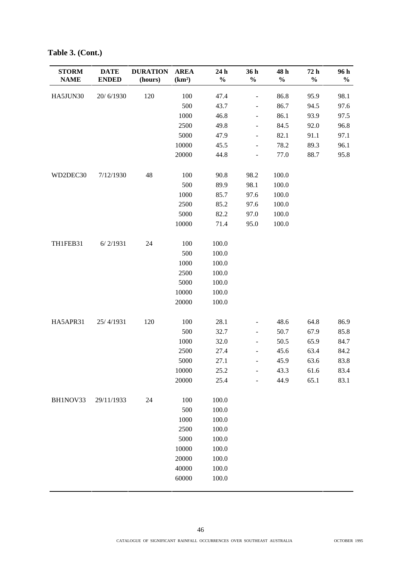| <b>STORM</b><br><b>NAME</b> | <b>DATE</b><br><b>ENDED</b> | <b>DURATION</b><br>(hours) | <b>AREA</b><br>(km <sup>2</sup> ) | 24 h<br>$\%$ | 36 h<br>$\frac{0}{0}$        | 48 h<br>$\frac{1}{2}$ | 72 h<br>$\frac{0}{0}$ | 96 h<br>$\frac{0}{0}$ |
|-----------------------------|-----------------------------|----------------------------|-----------------------------------|--------------|------------------------------|-----------------------|-----------------------|-----------------------|
| HA5JUN30                    | 20/6/1930                   | 120                        | 100                               | 47.4         | $\qquad \qquad -$            | 86.8                  | 95.9                  | 98.1                  |
|                             |                             |                            | 500                               | 43.7         | $\overline{\phantom{a}}$     | 86.7                  | 94.5                  | 97.6                  |
|                             |                             |                            | 1000                              | 46.8         | $\overline{\phantom{0}}$     | 86.1                  | 93.9                  | 97.5                  |
|                             |                             |                            | 2500                              | 49.8         | $\overline{\phantom{a}}$     | 84.5                  | 92.0                  | 96.8                  |
|                             |                             |                            | 5000                              | 47.9         | $\overline{\phantom{a}}$     | 82.1                  | 91.1                  | 97.1                  |
|                             |                             |                            | 10000                             | 45.5         | $\overline{\phantom{0}}$     | 78.2                  | 89.3                  | 96.1                  |
|                             |                             |                            | 20000                             | 44.8         | $\frac{1}{2}$                | 77.0                  | 88.7                  | 95.8                  |
| WD2DEC30                    | 7/12/1930                   | 48                         | 100                               | 90.8         | 98.2                         | 100.0                 |                       |                       |
|                             |                             |                            | 500                               | 89.9         | 98.1                         | 100.0                 |                       |                       |
|                             |                             |                            | 1000                              | 85.7         | 97.6                         | 100.0                 |                       |                       |
|                             |                             |                            | 2500                              | 85.2         | 97.6                         | 100.0                 |                       |                       |
|                             |                             |                            | 5000                              | 82.2         | 97.0                         | 100.0                 |                       |                       |
|                             |                             |                            | 10000                             | 71.4         | 95.0                         | 100.0                 |                       |                       |
| TH1FEB31                    | 6/2/1931                    | 24                         | 100                               | 100.0        |                              |                       |                       |                       |
|                             |                             |                            | 500                               | 100.0        |                              |                       |                       |                       |
|                             |                             |                            | 1000                              | 100.0        |                              |                       |                       |                       |
|                             |                             |                            | 2500                              | 100.0        |                              |                       |                       |                       |
|                             |                             |                            | 5000                              | 100.0        |                              |                       |                       |                       |
|                             |                             |                            | 10000                             | 100.0        |                              |                       |                       |                       |
|                             |                             |                            | 20000                             | 100.0        |                              |                       |                       |                       |
| HA5APR31                    | 25/4/1931                   | 120                        | 100                               | 28.1         | $\qquad \qquad \blacksquare$ | 48.6                  | 64.8                  | 86.9                  |
|                             |                             |                            | 500                               | 32.7         | $\overline{\phantom{0}}$     | 50.7                  | 67.9                  | 85.8                  |
|                             |                             |                            | 1000                              | 32.0         | $\overline{\phantom{a}}$     | 50.5                  | 65.9                  | 84.7                  |
|                             |                             |                            | 2500                              | 27.4         | $\overline{\phantom{0}}$     | 45.6                  | 63.4                  | 84.2                  |
|                             |                             |                            | 5000                              | 27.1         | $\frac{1}{2}$                | 45.9                  | 63.6                  | 83.8                  |
|                             |                             |                            | 10000                             | 25.2         | $\frac{1}{2}$                | 43.3                  | 61.6                  | 83.4                  |
|                             |                             |                            | 20000                             | 25.4         | $\overline{\phantom{0}}$     | 44.9                  | 65.1                  | 83.1                  |
| BH1NOV33                    | 29/11/1933                  | 24                         | 100                               | 100.0        |                              |                       |                       |                       |
|                             |                             |                            | 500                               | 100.0        |                              |                       |                       |                       |
|                             |                             |                            | 1000                              | 100.0        |                              |                       |                       |                       |
|                             |                             |                            | 2500                              | 100.0        |                              |                       |                       |                       |
|                             |                             |                            | 5000                              | 100.0        |                              |                       |                       |                       |
|                             |                             |                            | 10000                             | 100.0        |                              |                       |                       |                       |
|                             |                             |                            | 20000                             | 100.0        |                              |                       |                       |                       |
|                             |                             |                            | 40000                             | 100.0        |                              |                       |                       |                       |
|                             |                             |                            | 60000                             | 100.0        |                              |                       |                       |                       |

**Table 3. (Cont.)**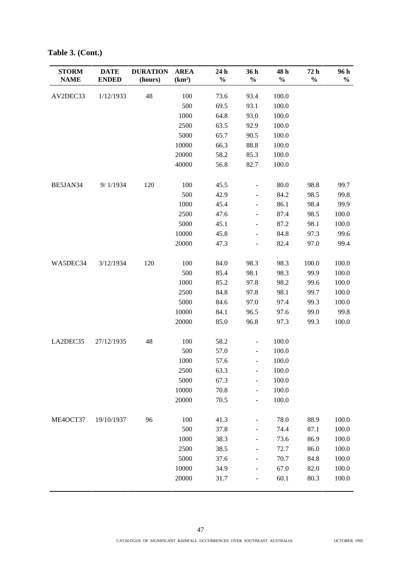| <b>STORM</b><br><b>NAME</b> | <b>DATE</b><br><b>ENDED</b> | <b>DURATION</b><br>(hours) | <b>AREA</b><br>(km <sup>2</sup> ) | 24 h<br>$\%$ | 36 h<br>$\frac{0}{0}$        | 48 h<br>$\%$ | 72 h<br>$\frac{0}{0}$ | 96 h<br>$\frac{0}{0}$ |
|-----------------------------|-----------------------------|----------------------------|-----------------------------------|--------------|------------------------------|--------------|-----------------------|-----------------------|
| AV2DEC33                    | 1/12/1933                   | 48                         | 100                               | 73.6         | 93.4                         | 100.0        |                       |                       |
|                             |                             |                            | 500                               | 69.5         | 93.1                         | 100.0        |                       |                       |
|                             |                             |                            | 1000                              | 64.8         | 93.0                         | 100.0        |                       |                       |
|                             |                             |                            | 2500                              | 63.5         | 92.9                         | 100.0        |                       |                       |
|                             |                             |                            | 5000                              | 65.7         | 90.5                         | 100.0        |                       |                       |
|                             |                             |                            | 10000                             | 66.3         | 88.8                         | 100.0        |                       |                       |
|                             |                             |                            | 20000                             | 58.2         | 85.3                         | 100.0        |                       |                       |
|                             |                             |                            | 40000                             | 56.8         | 82.7                         | 100.0        |                       |                       |
| BE5JAN34                    | 9/1/1934                    | 120                        | 100                               | 45.5         | $\qquad \qquad \blacksquare$ | 80.0         | 98.8                  | 99.7                  |
|                             |                             |                            | 500                               | 42.9         | $\overline{\phantom{a}}$     | 84.2         | 98.5                  | 99.8                  |
|                             |                             |                            | 1000                              | 45.4         | $\qquad \qquad \blacksquare$ | 86.1         | 98.4                  | 99.9                  |
|                             |                             |                            | 2500                              | 47.6         | -                            | 87.4         | 98.5                  | 100.0                 |
|                             |                             |                            | 5000                              | 45.1         | $\overline{\phantom{a}}$     | 87.2         | 98.1                  | 100.0                 |
|                             |                             |                            | 10000                             | 45.8         | $\overline{\phantom{0}}$     | 84.8         | 97.3                  | 99.6                  |
|                             |                             |                            | 20000                             | 47.3         | $\overline{\phantom{m}}$     | 82.4         | 97.0                  | 99.4                  |
| WA5DEC34                    | 3/12/1934                   | 120                        | 100                               | 84.0         | 98.3                         | 98.3         | 100.0                 | 100.0                 |
|                             |                             |                            | 500                               | 85.4         | 98.1                         | 98.3         | 99.9                  | 100.0                 |
|                             |                             |                            | 1000                              | 85.2         | 97.8                         | 98.2         | 99.6                  | 100.0                 |
|                             |                             |                            | 2500                              | 84.8         | 97.8                         | 98.1         | 99.7                  | 100.0                 |
|                             |                             |                            | 5000                              | 84.6         | 97.0                         | 97.4         | 99.3                  | 100.0                 |
|                             |                             |                            | 10000                             | 84.1         | 96.5                         | 97.6         | 99.0                  | 99.8                  |
|                             |                             |                            | 20000                             | 85.0         | 96.8                         | 97.3         | 99.3                  | 100.0                 |
| LA2DEC35                    | 27/12/1935                  | 48                         | 100                               | 58.2         | $\overline{\phantom{0}}$     | 100.0        |                       |                       |
|                             |                             |                            | 500                               | 57.0         | $\overline{\phantom{a}}$     | 100.0        |                       |                       |
|                             |                             |                            | 1000                              | 57.6         | $\qquad \qquad \blacksquare$ | 100.0        |                       |                       |
|                             |                             |                            | 2500                              | 63.3         |                              | 100.0        |                       |                       |
|                             |                             |                            | 5000                              | 67.3         |                              | 100.0        |                       |                       |
|                             |                             |                            | 10000                             | 70.8         | $\qquad \qquad \blacksquare$ | 100.0        |                       |                       |
|                             |                             |                            | 20000                             | 70.5         | $\qquad \qquad \blacksquare$ | 100.0        |                       |                       |
| ME4OCT37                    | 19/10/1937                  | 96                         | 100                               | 41.3         |                              | 78.0         | 88.9                  | 100.0                 |
|                             |                             |                            | 500                               | 37.8         |                              | 74.4         | 87.1                  | 100.0                 |
|                             |                             |                            | 1000                              | 38.3         |                              | 73.6         | 86.9                  | 100.0                 |
|                             |                             |                            | 2500                              | 38.5         |                              | 72.7         | 86.0                  | 100.0                 |
|                             |                             |                            | 5000                              | 37.6         |                              | 70.7         | 84.8                  | 100.0                 |
|                             |                             |                            | 10000                             | 34.9         |                              | 67.0         | 82.0                  | 100.0                 |
|                             |                             |                            | 20000                             | 31.7         | -                            | 60.1         | 80.3                  | 100.0                 |

**Table 3. (Cont.)**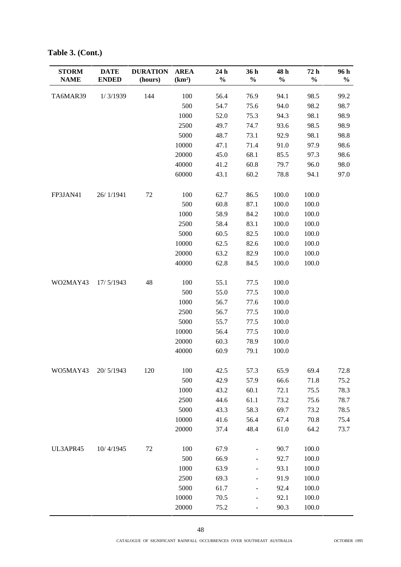| <b>STORM</b><br><b>NAME</b> | <b>DATE</b><br><b>ENDED</b> | <b>DURATION</b><br>(hours) | <b>AREA</b><br>(km <sup>2</sup> ) | 24 h<br>$\frac{0}{0}$ | 36 h<br>$\frac{0}{0}$        | 48 h<br>$\%$ | 72 h<br>$\frac{0}{0}$ | 96 h<br>$\frac{0}{0}$ |
|-----------------------------|-----------------------------|----------------------------|-----------------------------------|-----------------------|------------------------------|--------------|-----------------------|-----------------------|
|                             |                             |                            |                                   |                       |                              |              |                       |                       |
| TA6MAR39                    | 1/3/1939                    | 144                        | 100                               | 56.4                  | 76.9                         | 94.1         | 98.5                  | 99.2                  |
|                             |                             |                            | 500                               | 54.7                  | 75.6                         | 94.0         | 98.2                  | 98.7                  |
|                             |                             |                            | 1000                              | 52.0                  | 75.3                         | 94.3         | 98.1                  | 98.9                  |
|                             |                             |                            | 2500                              | 49.7                  | 74.7                         | 93.6         | 98.5                  | 98.9                  |
|                             |                             |                            | 5000                              | 48.7                  | 73.1                         | 92.9         | 98.1                  | 98.8                  |
|                             |                             |                            | 10000                             | 47.1                  | 71.4                         | 91.0         | 97.9                  | 98.6                  |
|                             |                             |                            | 20000                             | 45.0                  | 68.1                         | 85.5         | 97.3                  | 98.6                  |
|                             |                             |                            | 40000                             | 41.2                  | 60.8                         | 79.7         | 96.0                  | 98.0                  |
|                             |                             |                            | 60000                             | 43.1                  | 60.2                         | 78.8         | 94.1                  | 97.0                  |
| FP3JAN41                    | 26/1/1941                   | $72\,$                     | 100                               | 62.7                  | 86.5                         | 100.0        | 100.0                 |                       |
|                             |                             |                            | 500                               | 60.8                  | 87.1                         | 100.0        | 100.0                 |                       |
|                             |                             |                            | 1000                              | 58.9                  | 84.2                         | 100.0        | 100.0                 |                       |
|                             |                             |                            | 2500                              | 58.4                  | 83.1                         | 100.0        | 100.0                 |                       |
|                             |                             |                            | 5000                              | 60.5                  | 82.5                         | 100.0        | 100.0                 |                       |
|                             |                             |                            | 10000                             | 62.5                  | 82.6                         | 100.0        | 100.0                 |                       |
|                             |                             |                            | 20000                             | 63.2                  | 82.9                         | 100.0        | 100.0                 |                       |
|                             |                             |                            | 40000                             | 62.8                  | 84.5                         | 100.0        | 100.0                 |                       |
| WO2MAY43                    | 17/5/1943                   | 48                         | 100                               | 55.1                  | 77.5                         | 100.0        |                       |                       |
|                             |                             |                            | 500                               | 55.0                  | 77.5                         | 100.0        |                       |                       |
|                             |                             |                            | 1000                              | 56.7                  | 77.6                         | 100.0        |                       |                       |
|                             |                             |                            | 2500                              | 56.7                  | 77.5                         | 100.0        |                       |                       |
|                             |                             |                            | 5000                              | 55.7                  | 77.5                         | 100.0        |                       |                       |
|                             |                             |                            | 10000                             | 56.4                  | 77.5                         | 100.0        |                       |                       |
|                             |                             |                            | 20000                             | 60.3                  | 78.9                         | 100.0        |                       |                       |
|                             |                             |                            | 40000                             | 60.9                  | 79.1                         | 100.0        |                       |                       |
| WO5MAY43                    | 20/5/1943                   | 120                        | 100                               | 42.5                  | 57.3                         | 65.9         | 69.4                  | 72.8                  |
|                             |                             |                            | 500                               | 42.9                  | 57.9                         | 66.6         | 71.8                  | 75.2                  |
|                             |                             |                            | 1000                              | 43.2                  | 60.1                         | 72.1         | 75.5                  | 78.3                  |
|                             |                             |                            | 2500                              | 44.6                  | 61.1                         | 73.2         | 75.6                  | 78.7                  |
|                             |                             |                            | 5000                              | 43.3                  | 58.3                         | 69.7         | 73.2                  | 78.5                  |
|                             |                             |                            | 10000                             | 41.6                  | 56.4                         | 67.4         | 70.8                  | 75.4                  |
|                             |                             |                            | 20000                             | 37.4                  | 48.4                         | 61.0         | 64.2                  | 73.7                  |
| UL3APR45                    | 10/4/1945                   | 72                         | 100                               | 67.9                  | $\overline{\phantom{0}}$     | 90.7         | 100.0                 |                       |
|                             |                             |                            | 500                               | 66.9                  | $\overline{\phantom{a}}$     | 92.7         | 100.0                 |                       |
|                             |                             |                            | 1000                              | 63.9                  | $\qquad \qquad \blacksquare$ | 93.1         | 100.0                 |                       |
|                             |                             |                            | 2500                              | 69.3                  | $\qquad \qquad \blacksquare$ | 91.9         | 100.0                 |                       |
|                             |                             |                            | 5000                              | 61.7                  | $\overline{\phantom{a}}$     | 92.4         | 100.0                 |                       |
|                             |                             |                            | 10000                             | 70.5                  | $\qquad \qquad \blacksquare$ | 92.1         | 100.0                 |                       |
|                             |                             |                            | 20000                             | 75.2                  | $\qquad \qquad \blacksquare$ | 90.3         | 100.0                 |                       |

**Table 3. (Cont.)**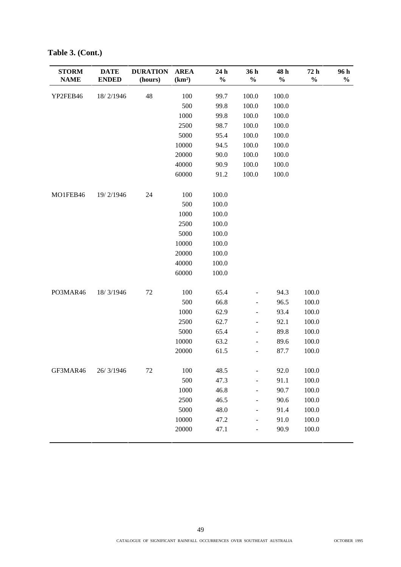| <b>STORM</b><br><b>NAME</b> | <b>DATE</b><br><b>ENDED</b> | <b>DURATION</b><br>(hours) | <b>AREA</b><br>(km <sup>2</sup> ) | 24 h<br>$\%$ | 36 h<br>$\frac{0}{0}$    | 48 h<br>$\frac{0}{0}$ | 72 h<br>$\%$ | 96 h<br>$\frac{0}{0}$ |
|-----------------------------|-----------------------------|----------------------------|-----------------------------------|--------------|--------------------------|-----------------------|--------------|-----------------------|
| YP2FEB46                    | 18/2/1946                   | 48                         | 100                               | 99.7         | 100.0                    | 100.0                 |              |                       |
|                             |                             |                            | 500                               | 99.8         | 100.0                    | 100.0                 |              |                       |
|                             |                             |                            | 1000                              | 99.8         | 100.0                    | 100.0                 |              |                       |
|                             |                             |                            | 2500                              | 98.7         | 100.0                    | 100.0                 |              |                       |
|                             |                             |                            | 5000                              | 95.4         | 100.0                    | 100.0                 |              |                       |
|                             |                             |                            | 10000                             | 94.5         | 100.0                    | 100.0                 |              |                       |
|                             |                             |                            | 20000                             | 90.0         | 100.0                    | 100.0                 |              |                       |
|                             |                             |                            | 40000                             | 90.9         | 100.0                    | 100.0                 |              |                       |
|                             |                             |                            | 60000                             | 91.2         | 100.0                    | 100.0                 |              |                       |
| MO1FEB46                    | 19/2/1946                   | 24                         | 100                               | 100.0        |                          |                       |              |                       |
|                             |                             |                            | 500                               | 100.0        |                          |                       |              |                       |
|                             |                             |                            | 1000                              | 100.0        |                          |                       |              |                       |
|                             |                             |                            | 2500                              | 100.0        |                          |                       |              |                       |
|                             |                             |                            | 5000                              | 100.0        |                          |                       |              |                       |
|                             |                             |                            | 10000                             | 100.0        |                          |                       |              |                       |
|                             |                             |                            | 20000                             | 100.0        |                          |                       |              |                       |
|                             |                             |                            | 40000                             | 100.0        |                          |                       |              |                       |
|                             |                             |                            | 60000                             | 100.0        |                          |                       |              |                       |
| PO3MAR46                    | 18/3/1946                   | $72\,$                     | 100                               | 65.4         | $\overline{\phantom{0}}$ | 94.3                  | 100.0        |                       |
|                             |                             |                            | 500                               | 66.8         | $\overline{a}$           | 96.5                  | 100.0        |                       |
|                             |                             |                            | 1000                              | 62.9         | -                        | 93.4                  | 100.0        |                       |
|                             |                             |                            | 2500                              | 62.7         | $\frac{1}{2}$            | 92.1                  | 100.0        |                       |
|                             |                             |                            | 5000                              | 65.4         | $\overline{\phantom{0}}$ | 89.8                  | 100.0        |                       |
|                             |                             |                            | 10000                             | 63.2         | -                        | 89.6                  | 100.0        |                       |
|                             |                             |                            | 20000                             | 61.5         | -                        | 87.7                  | 100.0        |                       |
| GF3MAR46                    | 26/3/1946                   | 72                         | 100                               | 48.5         | -                        | 92.0                  | 100.0        |                       |
|                             |                             |                            | 500                               | 47.3         | -                        | 91.1                  | 100.0        |                       |
|                             |                             |                            | 1000                              | 46.8         | -                        | 90.7                  | 100.0        |                       |
|                             |                             |                            | 2500                              | 46.5         | $\overline{\phantom{0}}$ | 90.6                  | 100.0        |                       |
|                             |                             |                            | 5000                              | 48.0         | $\overline{\phantom{0}}$ | 91.4                  | 100.0        |                       |
|                             |                             |                            | 10000                             | 47.2         | -                        | 91.0                  | 100.0        |                       |
|                             |                             |                            | 20000                             | 47.1         | $\overline{\phantom{0}}$ | 90.9                  | 100.0        |                       |

**Table 3. (Cont.)**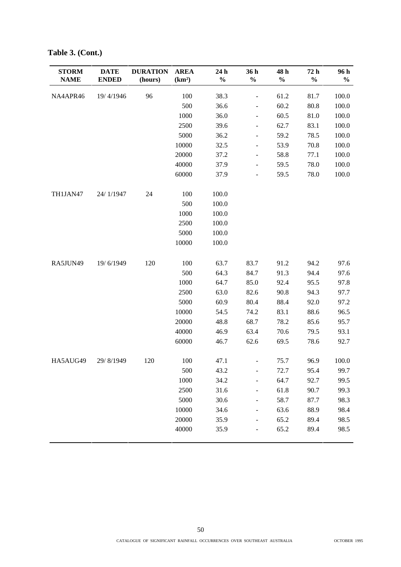| <b>STORM</b><br><b>NAME</b> | <b>DATE</b><br><b>ENDED</b> | <b>DURATION</b><br>(hours) | <b>AREA</b><br>(km <sup>2</sup> ) | 24 h<br>$\%$ | 36 h<br>$\frac{0}{0}$    | 48 h<br>$\frac{0}{0}$ | 72 h<br>$\frac{0}{0}$ | 96 h<br>$\frac{0}{0}$ |
|-----------------------------|-----------------------------|----------------------------|-----------------------------------|--------------|--------------------------|-----------------------|-----------------------|-----------------------|
| NA4APR46                    | 19/4/1946                   | 96                         | 100                               | 38.3         | $\overline{\phantom{0}}$ | 61.2                  | 81.7                  | 100.0                 |
|                             |                             |                            | 500                               | 36.6         | $\frac{1}{2}$            | 60.2                  | 80.8                  | 100.0                 |
|                             |                             |                            | 1000                              | 36.0         | $\overline{\phantom{a}}$ | 60.5                  | 81.0                  | 100.0                 |
|                             |                             |                            | 2500                              | 39.6         | -                        | 62.7                  | 83.1                  | 100.0                 |
|                             |                             |                            | 5000                              | 36.2         | $\overline{\phantom{0}}$ | 59.2                  | 78.5                  | 100.0                 |
|                             |                             |                            | 10000                             | 32.5         | $\frac{1}{2}$            | 53.9                  | 70.8                  | 100.0                 |
|                             |                             |                            | 20000                             | 37.2         | $\overline{\phantom{a}}$ | 58.8                  | 77.1                  | 100.0                 |
|                             |                             |                            | 40000                             | 37.9         | $\overline{\phantom{a}}$ | 59.5                  | 78.0                  | 100.0                 |
|                             |                             |                            | 60000                             | 37.9         | $\overline{\phantom{a}}$ | 59.5                  | 78.0                  | 100.0                 |
| TH1JAN47                    | 24/1/1947                   | 24                         | 100                               | 100.0        |                          |                       |                       |                       |
|                             |                             |                            | 500                               | 100.0        |                          |                       |                       |                       |
|                             |                             |                            | 1000                              | 100.0        |                          |                       |                       |                       |
|                             |                             |                            | 2500                              | 100.0        |                          |                       |                       |                       |
|                             |                             |                            | 5000                              | 100.0        |                          |                       |                       |                       |
|                             |                             |                            | 10000                             | 100.0        |                          |                       |                       |                       |
| RA5JUN49                    | 19/6/1949                   | 120                        | 100                               | 63.7         | 83.7                     | 91.2                  | 94.2                  | 97.6                  |
|                             |                             |                            | 500                               | 64.3         | 84.7                     | 91.3                  | 94.4                  | 97.6                  |
|                             |                             |                            | 1000                              | 64.7         | 85.0                     | 92.4                  | 95.5                  | 97.8                  |
|                             |                             |                            | 2500                              | 63.0         | 82.6                     | 90.8                  | 94.3                  | 97.7                  |
|                             |                             |                            | 5000                              | 60.9         | 80.4                     | 88.4                  | 92.0                  | 97.2                  |
|                             |                             |                            | 10000                             | 54.5         | 74.2                     | 83.1                  | 88.6                  | 96.5                  |
|                             |                             |                            | 20000                             | 48.8         | 68.7                     | 78.2                  | 85.6                  | 95.7                  |
|                             |                             |                            | 40000                             | 46.9         | 63.4                     | 70.6                  | 79.5                  | 93.1                  |
|                             |                             |                            | 60000                             | 46.7         | 62.6                     | 69.5                  | 78.6                  | 92.7                  |
| HA5AUG49                    | 29/8/1949                   | 120                        | 100                               | 47.1         | $\overline{\phantom{0}}$ | 75.7                  | 96.9                  | 100.0                 |
|                             |                             |                            | 500                               | 43.2         | -                        | 72.7                  | 95.4                  | 99.7                  |
|                             |                             |                            | 1000                              | 34.2         | $\overline{\phantom{0}}$ | 64.7                  | 92.7                  | 99.5                  |
|                             |                             |                            | 2500                              | 31.6         | $\overline{\phantom{0}}$ | 61.8                  | 90.7                  | 99.3                  |
|                             |                             |                            | 5000                              | 30.6         | $\overline{\phantom{0}}$ | 58.7                  | 87.7                  | 98.3                  |
|                             |                             |                            | 10000                             | 34.6         | -                        | 63.6                  | 88.9                  | 98.4                  |
|                             |                             |                            | 20000                             | 35.9         |                          | 65.2                  | 89.4                  | 98.5                  |
|                             |                             |                            | 40000                             | 35.9         |                          | 65.2                  | 89.4                  | 98.5                  |

**Table 3. (Cont.)**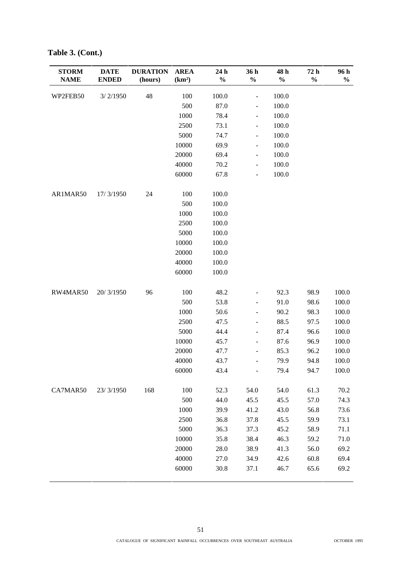| <b>STORM</b><br><b>NAME</b> | <b>DATE</b><br><b>ENDED</b> | <b>DURATION</b><br>(hours) | <b>AREA</b><br>(km <sup>2</sup> ) | 24 h<br>$\frac{0}{0}$ | 36 h<br>$\frac{0}{0}$        | 48 h<br>$\%$ | 72 h<br>$\frac{0}{0}$ | 96 h<br>$\frac{0}{0}$ |
|-----------------------------|-----------------------------|----------------------------|-----------------------------------|-----------------------|------------------------------|--------------|-----------------------|-----------------------|
| WP2FEB50                    | 3/2/1950                    | 48                         | 100                               | 100.0                 | $\qquad \qquad \blacksquare$ | 100.0        |                       |                       |
|                             |                             |                            | 500                               | 87.0                  | $\frac{1}{2}$                | 100.0        |                       |                       |
|                             |                             |                            | 1000                              | 78.4                  | $\frac{1}{2}$                | 100.0        |                       |                       |
|                             |                             |                            | 2500                              | 73.1                  | $\overline{\phantom{a}}$     | 100.0        |                       |                       |
|                             |                             |                            | 5000                              | 74.7                  | $\blacksquare$               | 100.0        |                       |                       |
|                             |                             |                            | 10000                             | 69.9                  | $\qquad \qquad \blacksquare$ | 100.0        |                       |                       |
|                             |                             |                            | 20000                             | 69.4                  | $\overline{\phantom{a}}$     | 100.0        |                       |                       |
|                             |                             |                            | 40000                             | 70.2                  | $\blacksquare$               | 100.0        |                       |                       |
|                             |                             |                            | 60000                             | 67.8                  | $\overline{\phantom{a}}$     | 100.0        |                       |                       |
| AR1MAR50                    | 17/3/1950                   | 24                         | 100                               | 100.0                 |                              |              |                       |                       |
|                             |                             |                            | 500                               | 100.0                 |                              |              |                       |                       |
|                             |                             |                            | 1000                              | 100.0                 |                              |              |                       |                       |
|                             |                             |                            | 2500                              | 100.0                 |                              |              |                       |                       |
|                             |                             |                            | 5000                              | 100.0                 |                              |              |                       |                       |
|                             |                             |                            | 10000                             | 100.0                 |                              |              |                       |                       |
|                             |                             |                            | 20000                             | 100.0                 |                              |              |                       |                       |
|                             |                             |                            | 40000                             | 100.0                 |                              |              |                       |                       |
|                             |                             |                            | 60000                             | 100.0                 |                              |              |                       |                       |
| RW4MAR50                    | 20/3/1950                   | 96                         | 100                               | 48.2                  | $\frac{1}{2}$                | 92.3         | 98.9                  | 100.0                 |
|                             |                             |                            | 500                               | 53.8                  | $\overline{\phantom{0}}$     | 91.0         | 98.6                  | 100.0                 |
|                             |                             |                            | 1000                              | 50.6                  | $\qquad \qquad \blacksquare$ | 90.2         | 98.3                  | 100.0                 |
|                             |                             |                            | 2500                              | 47.5                  | $\frac{1}{2}$                | 88.5         | 97.5                  | 100.0                 |
|                             |                             |                            | 5000                              | 44.4                  | $\overline{\phantom{a}}$     | 87.4         | 96.6                  | 100.0                 |
|                             |                             |                            | 10000                             | 45.7                  | $\overline{\phantom{a}}$     | 87.6         | 96.9                  | 100.0                 |
|                             |                             |                            | 20000                             | 47.7                  | $\qquad \qquad \blacksquare$ | 85.3         | 96.2                  | 100.0                 |
|                             |                             |                            | 40000                             | 43.7                  | $\overline{\phantom{m}}$     | 79.9         | 94.8                  | 100.0                 |
|                             |                             |                            | 60000                             | 43.4                  | $\overline{\phantom{a}}$     | 79.4         | 94.7                  | 100.0                 |
| CA7MAR50                    | 23/3/1950                   | 168                        | 100                               | 52.3                  | 54.0                         | 54.0         | 61.3                  | 70.2                  |
|                             |                             |                            | 500                               | 44.0                  | 45.5                         | 45.5         | 57.0                  | 74.3                  |
|                             |                             |                            | 1000                              | 39.9                  | 41.2                         | 43.0         | 56.8                  | 73.6                  |
|                             |                             |                            | 2500                              | 36.8                  | 37.8                         | 45.5         | 59.9                  | 73.1                  |
|                             |                             |                            | 5000                              | 36.3                  | 37.3                         | 45.2         | 58.9                  | 71.1                  |
|                             |                             |                            | 10000                             | 35.8                  | 38.4                         | 46.3         | 59.2                  | 71.0                  |
|                             |                             |                            | 20000                             | 28.0                  | 38.9                         | 41.3         | 56.0                  | 69.2                  |
|                             |                             |                            | 40000                             | 27.0                  | 34.9                         | 42.6         | 60.8                  | 69.4                  |
|                             |                             |                            | 60000                             | 30.8                  | 37.1                         | 46.7         | 65.6                  | 69.2                  |

**Table 3. (Cont.)**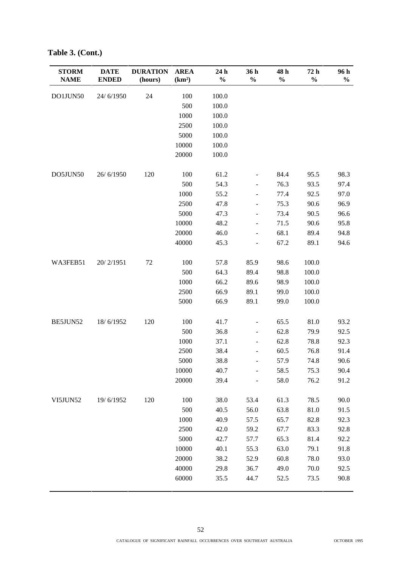| <b>STORM</b><br><b>NAME</b> | <b>DATE</b><br><b>ENDED</b> | <b>DURATION</b><br>(hours) | <b>AREA</b><br>(km <sup>2</sup> ) | 24 h<br>$\%$ | 36 h<br>$\%$                 | 48 h<br>$\%$ | 72 h<br>$\%$ | 96 h<br>$\frac{0}{0}$ |
|-----------------------------|-----------------------------|----------------------------|-----------------------------------|--------------|------------------------------|--------------|--------------|-----------------------|
| DO1JUN50                    | 24/6/1950                   | 24                         | 100                               | 100.0        |                              |              |              |                       |
|                             |                             |                            | 500                               | 100.0        |                              |              |              |                       |
|                             |                             |                            | 1000                              | 100.0        |                              |              |              |                       |
|                             |                             |                            | 2500                              | 100.0        |                              |              |              |                       |
|                             |                             |                            | 5000                              | 100.0        |                              |              |              |                       |
|                             |                             |                            | 10000                             | 100.0        |                              |              |              |                       |
|                             |                             |                            | 20000                             | 100.0        |                              |              |              |                       |
| DO5JUN50                    | 26/6/1950                   | 120                        | 100                               | 61.2         |                              | 84.4         | 95.5         | 98.3                  |
|                             |                             |                            | 500                               | 54.3         | -                            | 76.3         | 93.5         | 97.4                  |
|                             |                             |                            | 1000                              | 55.2         | $\frac{1}{2}$                | 77.4         | 92.5         | 97.0                  |
|                             |                             |                            | 2500                              | 47.8         | $\frac{1}{2}$                | 75.3         | 90.6         | 96.9                  |
|                             |                             |                            | 5000                              | 47.3         | -                            | 73.4         | 90.5         | 96.6                  |
|                             |                             |                            | 10000                             | 48.2         | $\overline{\phantom{0}}$     | 71.5         | 90.6         | 95.8                  |
|                             |                             |                            | 20000                             | 46.0         | $\overline{\phantom{0}}$     | 68.1         | 89.4         | 94.8                  |
|                             |                             |                            | 40000                             | 45.3         |                              | 67.2         | 89.1         | 94.6                  |
| WA3FEB51                    | 20/2/1951                   | $72\,$                     | 100                               | 57.8         | 85.9                         | 98.6         | 100.0        |                       |
|                             |                             |                            | 500                               | 64.3         | 89.4                         | 98.8         | 100.0        |                       |
|                             |                             |                            | 1000                              | 66.2         | 89.6                         | 98.9         | 100.0        |                       |
|                             |                             |                            | 2500                              | 66.9         | 89.1                         | 99.0         | 100.0        |                       |
|                             |                             |                            | 5000                              | 66.9         | 89.1                         | 99.0         | 100.0        |                       |
| BE5JUN52                    | 18/6/1952                   | 120                        | 100                               | 41.7         | $\overline{\phantom{0}}$     | 65.5         | 81.0         | 93.2                  |
|                             |                             |                            | 500                               | 36.8         | $\overline{\phantom{0}}$     | 62.8         | 79.9         | 92.5                  |
|                             |                             |                            | 1000                              | 37.1         | $\qquad \qquad \blacksquare$ | 62.8         | 78.8         | 92.3                  |
|                             |                             |                            | 2500                              | 38.4         | -                            | 60.5         | 76.8         | 91.4                  |
|                             |                             |                            | 5000                              | 38.8         | $\overline{\phantom{0}}$     | 57.9         | 74.8         | 90.6                  |
|                             |                             |                            | 10000                             | 40.7         |                              | 58.5         | 75.3         | 90.4                  |
|                             |                             |                            | 20000                             | 39.4         |                              | 58.0         | 76.2         | 91.2                  |
| VI5JUN52                    | 19/6/1952                   | 120                        | 100                               | 38.0         | 53.4                         | 61.3         | 78.5         | 90.0                  |
|                             |                             |                            | 500                               | 40.5         | 56.0                         | 63.8         | 81.0         | 91.5                  |
|                             |                             |                            | 1000                              | 40.9         | 57.5                         | 65.7         | 82.8         | 92.3                  |
|                             |                             |                            | 2500                              | 42.0         | 59.2                         | 67.7         | 83.3         | 92.8                  |
|                             |                             |                            | 5000                              | 42.7         | 57.7                         | 65.3         | 81.4         | 92.2                  |
|                             |                             |                            | 10000                             | 40.1         | 55.3                         | 63.0         | 79.1         | 91.8                  |
|                             |                             |                            | 20000                             | 38.2         | 52.9                         | 60.8         | 78.0         | 93.0                  |
|                             |                             |                            | 40000                             | 29.8         | 36.7                         | 49.0         | 70.0         | 92.5                  |
|                             |                             |                            | 60000                             | 35.5         | 44.7                         | 52.5         | 73.5         | 90.8                  |

**Table 3. (Cont.)**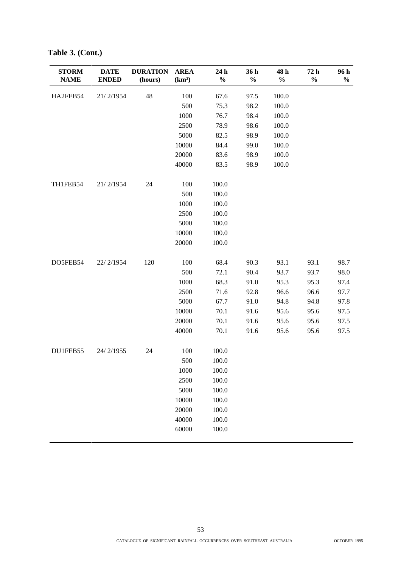| <b>STORM</b><br><b>NAME</b> | <b>DATE</b><br><b>ENDED</b> | <b>DURATION</b><br>(hours) | <b>AREA</b><br>(km <sup>2</sup> ) | 24 h<br>$\frac{0}{0}$ | 36 h<br>$\frac{0}{0}$ | 48 h<br>$\%$ | 72 h<br>$\frac{0}{0}$ | 96 h<br>$\frac{0}{0}$ |
|-----------------------------|-----------------------------|----------------------------|-----------------------------------|-----------------------|-----------------------|--------------|-----------------------|-----------------------|
| HA2FEB54                    | 21/2/1954                   | 48                         | 100                               | 67.6                  | 97.5                  | 100.0        |                       |                       |
|                             |                             |                            | 500                               | 75.3                  | 98.2                  | 100.0        |                       |                       |
|                             |                             |                            | 1000                              | 76.7                  | 98.4                  | 100.0        |                       |                       |
|                             |                             |                            | 2500                              | 78.9                  | 98.6                  | 100.0        |                       |                       |
|                             |                             |                            | 5000                              | 82.5                  | 98.9                  | 100.0        |                       |                       |
|                             |                             |                            | 10000                             | 84.4                  | 99.0                  | 100.0        |                       |                       |
|                             |                             |                            | 20000                             | 83.6                  | 98.9                  | 100.0        |                       |                       |
|                             |                             |                            | 40000                             | 83.5                  | 98.9                  | 100.0        |                       |                       |
| TH1FEB54                    | 21/2/1954                   | 24                         | 100                               | 100.0                 |                       |              |                       |                       |
|                             |                             |                            | 500                               | 100.0                 |                       |              |                       |                       |
|                             |                             |                            | $1000\,$                          | 100.0                 |                       |              |                       |                       |
|                             |                             |                            | 2500                              | 100.0                 |                       |              |                       |                       |
|                             |                             |                            | 5000                              | 100.0                 |                       |              |                       |                       |
|                             |                             |                            | 10000                             | 100.0                 |                       |              |                       |                       |
|                             |                             |                            | 20000                             | 100.0                 |                       |              |                       |                       |
| DO5FEB54                    | 22/2/1954                   | 120                        | 100                               | 68.4                  | 90.3                  | 93.1         | 93.1                  | 98.7                  |
|                             |                             |                            | 500                               | 72.1                  | 90.4                  | 93.7         | 93.7                  | 98.0                  |
|                             |                             |                            | 1000                              | 68.3                  | 91.0                  | 95.3         | 95.3                  | 97.4                  |
|                             |                             |                            | 2500                              | 71.6                  | 92.8                  | 96.6         | 96.6                  | 97.7                  |
|                             |                             |                            | 5000                              | 67.7                  | 91.0                  | 94.8         | 94.8                  | 97.8                  |
|                             |                             |                            | 10000                             | 70.1                  | 91.6                  | 95.6         | 95.6                  | 97.5                  |
|                             |                             |                            | 20000                             | 70.1                  | 91.6                  | 95.6         | 95.6                  | 97.5                  |
|                             |                             |                            | 40000                             | 70.1                  | 91.6                  | 95.6         | 95.6                  | 97.5                  |
| DU1FEB55                    | 24/2/1955                   | 24                         | 100                               | 100.0                 |                       |              |                       |                       |
|                             |                             |                            | 500                               | 100.0                 |                       |              |                       |                       |
|                             |                             |                            | 1000                              | 100.0                 |                       |              |                       |                       |
|                             |                             |                            | 2500                              | 100.0                 |                       |              |                       |                       |
|                             |                             |                            | 5000                              | 100.0                 |                       |              |                       |                       |
|                             |                             |                            | 10000                             | 100.0                 |                       |              |                       |                       |
|                             |                             |                            | 20000                             | 100.0                 |                       |              |                       |                       |
|                             |                             |                            | 40000                             | 100.0                 |                       |              |                       |                       |
|                             |                             |                            | 60000                             | $100.0\,$             |                       |              |                       |                       |

**Table 3. (Cont.)**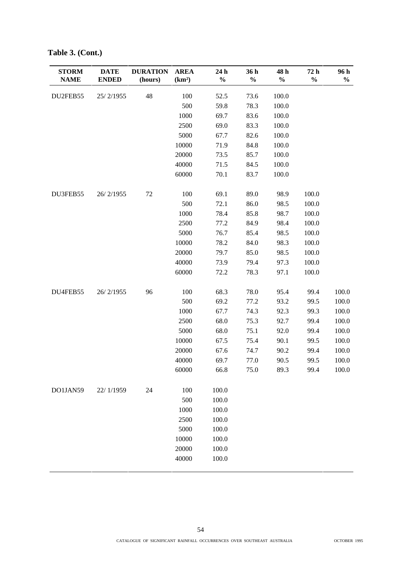| <b>STORM</b><br><b>NAME</b> | <b>DATE</b><br><b>ENDED</b> | <b>DURATION</b><br>(hours) | <b>AREA</b><br>(km <sup>2</sup> ) | 24 h<br>$\frac{0}{0}$ | 36 h<br>$\frac{0}{0}$ | 48 h<br>$\%$ | 72 h<br>$\frac{0}{0}$ | 96 h<br>$\frac{0}{0}$ |
|-----------------------------|-----------------------------|----------------------------|-----------------------------------|-----------------------|-----------------------|--------------|-----------------------|-----------------------|
| DU2FEB55                    | 25/2/1955                   | 48                         | 100                               | 52.5                  | 73.6                  | 100.0        |                       |                       |
|                             |                             |                            | 500                               | 59.8                  | 78.3                  | 100.0        |                       |                       |
|                             |                             |                            | 1000                              | 69.7                  | 83.6                  | 100.0        |                       |                       |
|                             |                             |                            | 2500                              | 69.0                  | 83.3                  | 100.0        |                       |                       |
|                             |                             |                            | 5000                              | 67.7                  | 82.6                  | 100.0        |                       |                       |
|                             |                             |                            | 10000                             | 71.9                  | 84.8                  | 100.0        |                       |                       |
|                             |                             |                            | 20000                             | 73.5                  | 85.7                  | 100.0        |                       |                       |
|                             |                             |                            | 40000                             | 71.5                  | 84.5                  | 100.0        |                       |                       |
|                             |                             |                            | 60000                             | 70.1                  | 83.7                  | 100.0        |                       |                       |
| DU3FEB55                    | 26/2/1955                   | 72                         | 100                               | 69.1                  | 89.0                  | 98.9         | 100.0                 |                       |
|                             |                             |                            | 500                               | 72.1                  | 86.0                  | 98.5         | 100.0                 |                       |
|                             |                             |                            | 1000                              | 78.4                  | 85.8                  | 98.7         | 100.0                 |                       |
|                             |                             |                            | 2500                              | 77.2                  | 84.9                  | 98.4         | 100.0                 |                       |
|                             |                             |                            | 5000                              | 76.7                  | 85.4                  | 98.5         | 100.0                 |                       |
|                             |                             |                            | 10000                             | 78.2                  | 84.0                  | 98.3         | 100.0                 |                       |
|                             |                             |                            | 20000                             | 79.7                  | 85.0                  | 98.5         | 100.0                 |                       |
|                             |                             |                            | 40000                             | 73.9                  | 79.4                  | 97.3         | 100.0                 |                       |
|                             |                             |                            | 60000                             | 72.2                  | 78.3                  | 97.1         | 100.0                 |                       |
| DU4FEB55                    | 26/2/1955                   | 96                         | 100                               | 68.3                  | 78.0                  | 95.4         | 99.4                  | 100.0                 |
|                             |                             |                            | 500                               | 69.2                  | 77.2                  | 93.2         | 99.5                  | 100.0                 |
|                             |                             |                            | 1000                              | 67.7                  | 74.3                  | 92.3         | 99.3                  | 100.0                 |
|                             |                             |                            | 2500                              | 68.0                  | 75.3                  | 92.7         | 99.4                  | 100.0                 |
|                             |                             |                            | 5000                              | 68.0                  | 75.1                  | 92.0         | 99.4                  | 100.0                 |
|                             |                             |                            | 10000                             | 67.5                  | 75.4                  | 90.1         | 99.5                  | 100.0                 |
|                             |                             |                            | 20000                             | 67.6                  | 74.7                  | 90.2         | 99.4                  | 100.0                 |
|                             |                             |                            | 40000                             | 69.7                  | 77.0                  | 90.5         | 99.5                  | 100.0                 |
|                             |                             |                            | 60000                             | 66.8                  | 75.0                  | 89.3         | 99.4                  | 100.0                 |
| DO1JAN59                    | 22/1/1959                   | 24                         | 100                               | 100.0                 |                       |              |                       |                       |
|                             |                             |                            | 500                               | 100.0                 |                       |              |                       |                       |
|                             |                             |                            | 1000                              | 100.0                 |                       |              |                       |                       |
|                             |                             |                            | 2500                              | 100.0                 |                       |              |                       |                       |
|                             |                             |                            | 5000                              | 100.0                 |                       |              |                       |                       |
|                             |                             |                            | 10000                             | 100.0                 |                       |              |                       |                       |
|                             |                             |                            | 20000                             | 100.0                 |                       |              |                       |                       |
|                             |                             |                            | 40000                             | 100.0                 |                       |              |                       |                       |

**Table 3. (Cont.)**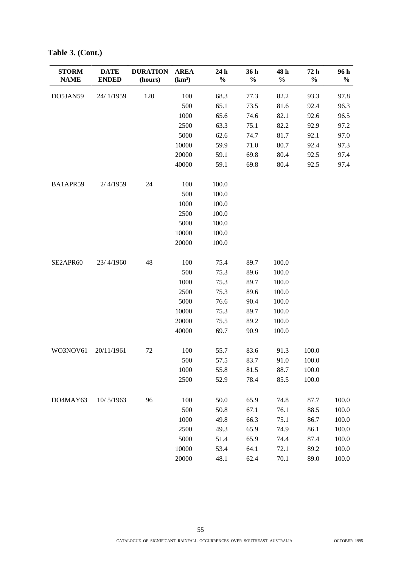| <b>STORM</b><br><b>NAME</b> | <b>DATE</b><br><b>ENDED</b> | <b>DURATION</b><br>(hours) | <b>AREA</b><br>(km <sup>2</sup> ) | 24 h<br>$\%$ | 36 h<br>$\frac{0}{0}$ | 48 h<br>$\%$ | 72 h<br>$\frac{0}{0}$ | 96 h<br>$\frac{0}{0}$ |
|-----------------------------|-----------------------------|----------------------------|-----------------------------------|--------------|-----------------------|--------------|-----------------------|-----------------------|
| DO5JAN59                    | 24/1/1959                   | 120                        | 100                               | 68.3         | 77.3                  | 82.2         | 93.3                  | 97.8                  |
|                             |                             |                            | 500                               | 65.1         | 73.5                  | 81.6         | 92.4                  | 96.3                  |
|                             |                             |                            | 1000                              | 65.6         | 74.6                  | 82.1         | 92.6                  | 96.5                  |
|                             |                             |                            | 2500                              | 63.3         | 75.1                  | 82.2         | 92.9                  | 97.2                  |
|                             |                             |                            | 5000                              | 62.6         | 74.7                  | 81.7         | 92.1                  | 97.0                  |
|                             |                             |                            | 10000                             | 59.9         | 71.0                  | 80.7         | 92.4                  | 97.3                  |
|                             |                             |                            | 20000                             | 59.1         | 69.8                  | 80.4         | 92.5                  | 97.4                  |
|                             |                             |                            | 40000                             | 59.1         | 69.8                  | 80.4         | 92.5                  | 97.4                  |
| BA1APR59                    | 2/4/1959                    | 24                         | 100                               | 100.0        |                       |              |                       |                       |
|                             |                             |                            | 500                               | 100.0        |                       |              |                       |                       |
|                             |                             |                            | 1000                              | 100.0        |                       |              |                       |                       |
|                             |                             |                            | 2500                              | 100.0        |                       |              |                       |                       |
|                             |                             |                            | 5000                              | 100.0        |                       |              |                       |                       |
|                             |                             |                            | 10000                             | 100.0        |                       |              |                       |                       |
|                             |                             |                            | 20000                             | 100.0        |                       |              |                       |                       |
| SE2APR60                    | 23/4/1960                   | 48                         | 100                               | 75.4         | 89.7                  | 100.0        |                       |                       |
|                             |                             |                            | 500                               | 75.3         | 89.6                  | 100.0        |                       |                       |
|                             |                             |                            | 1000                              | 75.3         | 89.7                  | 100.0        |                       |                       |
|                             |                             |                            | 2500                              | 75.3         | 89.6                  | 100.0        |                       |                       |
|                             |                             |                            | 5000                              | 76.6         | 90.4                  | 100.0        |                       |                       |
|                             |                             |                            | 10000                             | 75.3         | 89.7                  | 100.0        |                       |                       |
|                             |                             |                            | 20000                             | 75.5         | 89.2                  | 100.0        |                       |                       |
|                             |                             |                            | 40000                             | 69.7         | 90.9                  | 100.0        |                       |                       |
| WO3NOV61                    | 20/11/1961                  | 72                         | 100                               | 55.7         | 83.6                  | 91.3         | 100.0                 |                       |
|                             |                             |                            | 500                               | 57.5         | 83.7                  | 91.0         | 100.0                 |                       |
|                             |                             |                            | 1000                              | 55.8         | 81.5                  | 88.7         | 100.0                 |                       |
|                             |                             |                            | 2500                              | 52.9         | 78.4                  | 85.5         | 100.0                 |                       |
| DO4MAY63                    | 10/5/1963                   | 96                         | 100                               | 50.0         | 65.9                  | 74.8         | 87.7                  | 100.0                 |
|                             |                             |                            | 500                               | 50.8         | 67.1                  | 76.1         | 88.5                  | 100.0                 |
|                             |                             |                            | 1000                              | 49.8         | 66.3                  | 75.1         | 86.7                  | 100.0                 |
|                             |                             |                            | 2500                              | 49.3         | 65.9                  | 74.9         | 86.1                  | 100.0                 |
|                             |                             |                            | 5000                              | 51.4         | 65.9                  | 74.4         | 87.4                  | 100.0                 |
|                             |                             |                            | 10000                             | 53.4         | 64.1                  | 72.1         | 89.2                  | 100.0                 |
|                             |                             |                            | 20000                             | 48.1         | 62.4                  | 70.1         | 89.0                  | 100.0                 |

**Table 3. (Cont.)**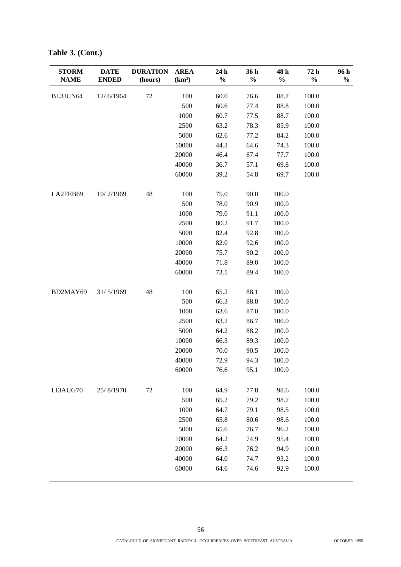| <b>STORM</b><br><b>NAME</b> | <b>DATE</b><br><b>ENDED</b> | <b>DURATION</b><br>(hours) | <b>AREA</b><br>(km <sup>2</sup> ) | 24 h<br>$\%$ | 36 h<br>$\frac{0}{0}$ | 48 h<br>$\%$ | 72 h<br>$\frac{0}{0}$ | 96 h<br>$\%$ |
|-----------------------------|-----------------------------|----------------------------|-----------------------------------|--------------|-----------------------|--------------|-----------------------|--------------|
| BL3JUN64                    | 12/6/1964                   | $72\,$                     | 100                               | 60.0         | 76.6                  | 88.7         | 100.0                 |              |
|                             |                             |                            | 500                               | 60.6         | 77.4                  | 88.8         | 100.0                 |              |
|                             |                             |                            | 1000                              | 60.7         | 77.5                  | 88.7         | 100.0                 |              |
|                             |                             |                            | 2500                              | 63.2         | 78.3                  | 85.9         | 100.0                 |              |
|                             |                             |                            | 5000                              | 62.6         | 77.2                  | 84.2         | 100.0                 |              |
|                             |                             |                            | 10000                             | 44.3         | 64.6                  | 74.3         | 100.0                 |              |
|                             |                             |                            | 20000                             | 46.4         | 67.4                  | 77.7         | 100.0                 |              |
|                             |                             |                            | 40000                             | 36.7         | 57.1                  | 69.8         | 100.0                 |              |
|                             |                             |                            | 60000                             | 39.2         | 54.8                  | 69.7         | 100.0                 |              |
| LA2FEB69                    | 10/2/1969                   | 48                         | 100                               | 75.0         | 90.0                  | 100.0        |                       |              |
|                             |                             |                            | 500                               | 78.0         | 90.9                  | 100.0        |                       |              |
|                             |                             |                            | 1000                              | 79.0         | 91.1                  | 100.0        |                       |              |
|                             |                             |                            | 2500                              | 80.2         | 91.7                  | 100.0        |                       |              |
|                             |                             |                            | 5000                              | 82.4         | 92.8                  | 100.0        |                       |              |
|                             |                             |                            | 10000                             | 82.0         | 92.6                  | 100.0        |                       |              |
|                             |                             |                            | 20000                             | 75.7         | 90.2                  | 100.0        |                       |              |
|                             |                             |                            | 40000                             | 71.8         | 89.0                  | 100.0        |                       |              |
|                             |                             |                            | 60000                             | 73.1         | 89.4                  | 100.0        |                       |              |
| BD2MAY69                    | 31/5/1969                   | 48                         | 100                               | 65.2         | 88.1                  | 100.0        |                       |              |
|                             |                             |                            | 500                               | 66.3         | 88.8                  | 100.0        |                       |              |
|                             |                             |                            | 1000                              | 63.6         | 87.0                  | 100.0        |                       |              |
|                             |                             |                            | 2500                              | 63.2         | 86.7                  | 100.0        |                       |              |
|                             |                             |                            | 5000                              | 64.2         | 88.2                  | 100.0        |                       |              |
|                             |                             |                            | 10000                             | 66.3         | 89.3                  | 100.0        |                       |              |
|                             |                             |                            | 20000                             | 70.0         | 90.5                  | 100.0        |                       |              |
|                             |                             |                            | 40000                             | 72.9         | 94.3                  | 100.0        |                       |              |
|                             |                             |                            | 60000                             | 76.6         | 95.1                  | 100.0        |                       |              |
| LI3AUG70                    | 25/8/1970                   | 72                         | 100                               | 64.9         | 77.8                  | 98.6         | 100.0                 |              |
|                             |                             |                            | 500                               | 65.2         | 79.2                  | 98.7         | 100.0                 |              |
|                             |                             |                            | 1000                              | 64.7         | 79.1                  | 98.5         | 100.0                 |              |
|                             |                             |                            | 2500                              | 65.8         | 80.6                  | 98.6         | 100.0                 |              |
|                             |                             |                            | 5000                              | 65.6         | 76.7                  | 96.2         | 100.0                 |              |
|                             |                             |                            | 10000                             | 64.2         | 74.9                  | 95.4         | 100.0                 |              |
|                             |                             |                            | 20000                             | 66.3         | 76.2                  | 94.9         | 100.0                 |              |
|                             |                             |                            | 40000                             | 64.0         | 74.7                  | 93.2         | 100.0                 |              |
|                             |                             |                            | 60000                             | 64.6         | 74.6                  | 92.9         | 100.0                 |              |

**Table 3. (Cont.)**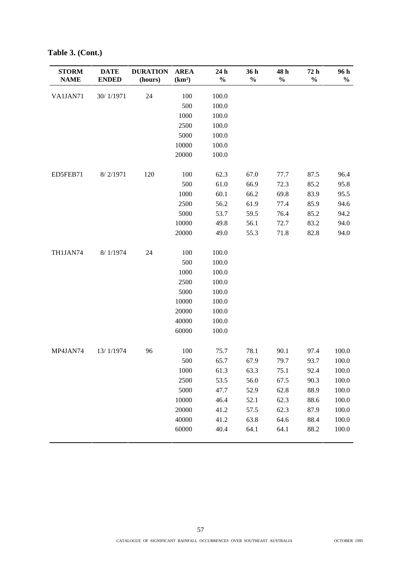| <b>STORM</b><br><b>NAME</b> | <b>DATE</b><br><b>ENDED</b> | <b>DURATION</b><br>(hours) | <b>AREA</b><br>(km <sup>2</sup> ) | 24h<br>$\frac{0}{0}$ | 36 h<br>$\frac{0}{0}$ | 48 h<br>$\%$ | 72 h<br>$\frac{0}{0}$ | 96 h<br>$\frac{0}{0}$ |
|-----------------------------|-----------------------------|----------------------------|-----------------------------------|----------------------|-----------------------|--------------|-----------------------|-----------------------|
| VA1JAN71                    | 30/1/1971                   | 24                         | 100                               | 100.0                |                       |              |                       |                       |
|                             |                             |                            | 500                               | 100.0                |                       |              |                       |                       |
|                             |                             |                            | 1000                              | 100.0                |                       |              |                       |                       |
|                             |                             |                            | 2500                              | 100.0                |                       |              |                       |                       |
|                             |                             |                            | 5000                              | 100.0                |                       |              |                       |                       |
|                             |                             |                            | 10000                             | 100.0                |                       |              |                       |                       |
|                             |                             |                            | 20000                             | 100.0                |                       |              |                       |                       |
| ED5FEB71                    | 8/2/1971                    | 120                        | 100                               | 62.3                 | 67.0                  | 77.7         | 87.5                  | 96.4                  |
|                             |                             |                            | 500                               | 61.0                 | 66.9                  | 72.3         | 85.2                  | 95.8                  |
|                             |                             |                            | 1000                              | 60.1                 | 66.2                  | 69.8         | 83.9                  | 95.5                  |
|                             |                             |                            | 2500                              | 56.2                 | 61.9                  | 77.4         | 85.9                  | 94.6                  |
|                             |                             |                            | 5000                              | 53.7                 | 59.5                  | 76.4         | 85.2                  | 94.2                  |
|                             |                             |                            | 10000                             | 49.8                 | 56.1                  | 72.7         | 83.2                  | 94.0                  |
|                             |                             |                            | 20000                             | 49.0                 | 55.3                  | 71.8         | 82.8                  | 94.0                  |
| TH1JAN74                    | 8/1/1974                    | 24                         | 100                               | 100.0                |                       |              |                       |                       |
|                             |                             |                            | 500                               | 100.0                |                       |              |                       |                       |
|                             |                             |                            | 1000                              | 100.0                |                       |              |                       |                       |
|                             |                             |                            | 2500                              | 100.0                |                       |              |                       |                       |
|                             |                             |                            | 5000                              | 100.0                |                       |              |                       |                       |
|                             |                             |                            | 10000                             | 100.0                |                       |              |                       |                       |
|                             |                             |                            | 20000                             | 100.0                |                       |              |                       |                       |
|                             |                             |                            | 40000                             | 100.0                |                       |              |                       |                       |
|                             |                             |                            | 60000                             | 100.0                |                       |              |                       |                       |
| MP4JAN74                    | 13/1/1974                   | 96                         | 100                               | 75.7                 | 78.1                  | 90.1         | 97.4                  | 100.0                 |
|                             |                             |                            | 500                               | 65.7                 | 67.9                  | 79.7         | 93.7                  | 100.0                 |
|                             |                             |                            | 1000                              | 61.3                 | 63.3                  | 75.1         | 92.4                  | 100.0                 |
|                             |                             |                            | 2500                              | 53.5                 | 56.0                  | 67.5         | 90.3                  | 100.0                 |
|                             |                             |                            | 5000                              | 47.7                 | 52.9                  | 62.8         | 88.9                  | 100.0                 |
|                             |                             |                            | 10000                             | 46.4                 | 52.1                  | 62.3         | 88.6                  | 100.0                 |
|                             |                             |                            | 20000                             | 41.2                 | 57.5                  | 62.3         | 87.9                  | 100.0                 |
|                             |                             |                            | 40000                             | 41.2                 | 63.8                  | 64.6         | 88.4                  | 100.0                 |
|                             |                             |                            | 60000                             | 40.4                 | 64.1                  | 64.1         | 88.2                  | 100.0                 |

**Table 3. (Cont.)**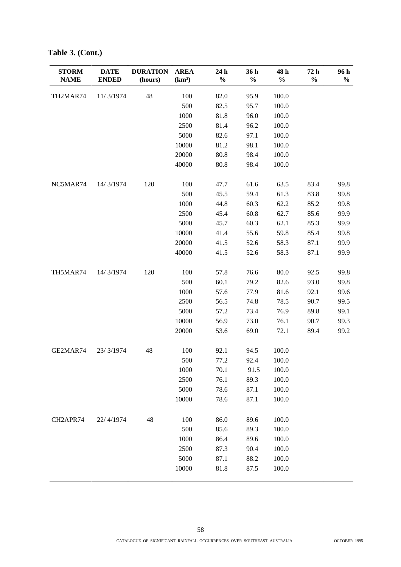| <b>STORM</b><br><b>NAME</b> | <b>DATE</b><br><b>ENDED</b> | <b>DURATION</b><br>(hours) | <b>AREA</b><br>(km <sup>2</sup> ) | 24 h<br>$\frac{0}{0}$ | 36 h<br>$\frac{0}{0}$ | 48 h<br>$\%$ | 72 h<br>$\frac{0}{0}$ | 96 h<br>$\frac{0}{0}$ |
|-----------------------------|-----------------------------|----------------------------|-----------------------------------|-----------------------|-----------------------|--------------|-----------------------|-----------------------|
| TH2MAR74                    | 11/3/1974                   | 48                         | 100                               | 82.0                  | 95.9                  | 100.0        |                       |                       |
|                             |                             |                            | 500                               | 82.5                  | 95.7                  | 100.0        |                       |                       |
|                             |                             |                            | 1000                              | 81.8                  | 96.0                  | 100.0        |                       |                       |
|                             |                             |                            | 2500                              | 81.4                  | 96.2                  | 100.0        |                       |                       |
|                             |                             |                            | 5000                              | 82.6                  | 97.1                  | 100.0        |                       |                       |
|                             |                             |                            | 10000                             | 81.2                  | 98.1                  | 100.0        |                       |                       |
|                             |                             |                            | 20000                             | 80.8                  | 98.4                  | 100.0        |                       |                       |
|                             |                             |                            | 40000                             | 80.8                  | 98.4                  | 100.0        |                       |                       |
| NC5MAR74                    | 14/3/1974                   | 120                        | 100                               | 47.7                  | 61.6                  | 63.5         | 83.4                  | 99.8                  |
|                             |                             |                            | 500                               | 45.5                  | 59.4                  | 61.3         | 83.8                  | 99.8                  |
|                             |                             |                            | 1000                              | 44.8                  | 60.3                  | 62.2         | 85.2                  | 99.8                  |
|                             |                             |                            | 2500                              | 45.4                  | 60.8                  | 62.7         | 85.6                  | 99.9                  |
|                             |                             |                            | 5000                              | 45.7                  | 60.3                  | 62.1         | 85.3                  | 99.9                  |
|                             |                             |                            | 10000                             | 41.4                  | 55.6                  | 59.8         | 85.4                  | 99.8                  |
|                             |                             |                            | 20000                             | 41.5                  | 52.6                  | 58.3         | 87.1                  | 99.9                  |
|                             |                             |                            | 40000                             | 41.5                  | 52.6                  | 58.3         | 87.1                  | 99.9                  |
| TH5MAR74                    | 14/3/1974                   | 120                        | 100                               | 57.8                  | 76.6                  | 80.0         | 92.5                  | 99.8                  |
|                             |                             |                            | 500                               | 60.1                  | 79.2                  | 82.6         | 93.0                  | 99.8                  |
|                             |                             |                            | 1000                              | 57.6                  | 77.9                  | 81.6         | 92.1                  | 99.6                  |
|                             |                             |                            | 2500                              | 56.5                  | 74.8                  | 78.5         | 90.7                  | 99.5                  |
|                             |                             |                            | 5000                              | 57.2                  | 73.4                  | 76.9         | 89.8                  | 99.1                  |
|                             |                             |                            | 10000                             | 56.9                  | 73.0                  | 76.1         | 90.7                  | 99.3                  |
|                             |                             |                            | 20000                             | 53.6                  | 69.0                  | 72.1         | 89.4                  | 99.2                  |
| GE2MAR74                    | 23/3/1974                   | 48                         | 100                               | 92.1                  | 94.5                  | 100.0        |                       |                       |
|                             |                             |                            | 500                               | 77.2                  | 92.4                  | 100.0        |                       |                       |
|                             |                             |                            | 1000                              | 70.1                  | 91.5                  | 100.0        |                       |                       |
|                             |                             |                            | 2500                              | 76.1                  | 89.3                  | 100.0        |                       |                       |
|                             |                             |                            | 5000                              | 78.6                  | 87.1                  | 100.0        |                       |                       |
|                             |                             |                            | 10000                             | 78.6                  | 87.1                  | 100.0        |                       |                       |
| CH2APR74                    | 22/4/1974                   | 48                         | 100                               | 86.0                  | 89.6                  | 100.0        |                       |                       |
|                             |                             |                            | 500                               | 85.6                  | 89.3                  | 100.0        |                       |                       |
|                             |                             |                            | 1000                              | 86.4                  | 89.6                  | 100.0        |                       |                       |
|                             |                             |                            | 2500                              | 87.3                  | 90.4                  | 100.0        |                       |                       |
|                             |                             |                            | 5000                              | 87.1                  | 88.2                  | 100.0        |                       |                       |
|                             |                             |                            | 10000                             | 81.8                  | 87.5                  | 100.0        |                       |                       |

**Table 3. (Cont.)**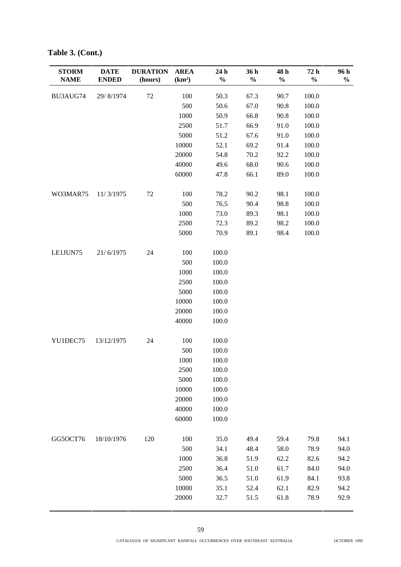| <b>STORM</b> | <b>DATE</b>  | <b>DURATION</b> | <b>AREA</b>        | 24 h          | 36 h          | 48 h          | 72h   | 96 h          |
|--------------|--------------|-----------------|--------------------|---------------|---------------|---------------|-------|---------------|
| <b>NAME</b>  | <b>ENDED</b> | (hours)         | (km <sup>2</sup> ) | $\frac{0}{0}$ | $\frac{0}{0}$ | $\frac{0}{0}$ | $\%$  | $\frac{0}{0}$ |
| BU3AUG74     | 29/8/1974    | 72              | 100                | 50.3          | 67.3          | 90.7          | 100.0 |               |
|              |              |                 | 500                | 50.6          | 67.0          | 90.8          | 100.0 |               |
|              |              |                 | 1000               | 50.9          | 66.8          | 90.8          | 100.0 |               |
|              |              |                 | 2500               | 51.7          | 66.9          | 91.0          | 100.0 |               |
|              |              |                 | 5000               | 51.2          | 67.6          | 91.0          | 100.0 |               |
|              |              |                 | 10000              | 52.1          | 69.2          | 91.4          | 100.0 |               |
|              |              |                 | 20000              | 54.8          | 70.2          | 92.2          | 100.0 |               |
|              |              |                 | 40000              | 49.6          | 68.0          | 90.6          | 100.0 |               |
|              |              |                 | 60000              | 47.8          | 66.1          | 89.0          | 100.0 |               |
| WO3MAR75     | 11/3/1975    | 72              | 100                | 78.2          | 90.2          | 98.1          | 100.0 |               |
|              |              |                 | 500                | 76.5          | 90.4          | 98.8          | 100.0 |               |
|              |              |                 | 1000               | 73.0          | 89.3          | 98.1          | 100.0 |               |
|              |              |                 | 2500               | 72.3          | 89.2          | 98.2          | 100.0 |               |
|              |              |                 | 5000               | 70.9          | 89.1          | 98.4          | 100.0 |               |
| LE1JUN75     | 21/6/1975    | 24              | 100                | 100.0         |               |               |       |               |
|              |              |                 | 500                | 100.0         |               |               |       |               |
|              |              |                 | 1000               | 100.0         |               |               |       |               |
|              |              |                 | 2500               | 100.0         |               |               |       |               |
|              |              |                 | 5000               | 100.0         |               |               |       |               |
|              |              |                 | 10000              | 100.0         |               |               |       |               |
|              |              |                 | 20000              | 100.0         |               |               |       |               |
|              |              |                 | 40000              | 100.0         |               |               |       |               |
| YU1DEC75     | 13/12/1975   | 24              | 100                | 100.0         |               |               |       |               |
|              |              |                 | 500                | 100.0         |               |               |       |               |
|              |              |                 | 1000               | 100.0         |               |               |       |               |
|              |              |                 | 2500               | $100.0\,$     |               |               |       |               |
|              |              |                 | 5000               | 100.0         |               |               |       |               |
|              |              |                 | 10000              | 100.0         |               |               |       |               |
|              |              |                 | 20000              | 100.0         |               |               |       |               |
|              |              |                 | 40000              | 100.0         |               |               |       |               |
|              |              |                 | 60000              | 100.0         |               |               |       |               |
| GG5OCT76     | 18/10/1976   | 120             | 100                | 35.0          | 49.4          | 59.4          | 79.8  | 94.1          |
|              |              |                 | 500                | 34.1          | 48.4          | 58.0          | 78.9  | 94.0          |
|              |              |                 | 1000               | 36.8          | 51.9          | 62.2          | 82.6  | 94.2          |
|              |              |                 | 2500               | 36.4          | 51.0          | 61.7          | 84.0  | 94.0          |
|              |              |                 | 5000               | 36.5          | 51.0          | 61.9          | 84.1  | 93.8          |
|              |              |                 | 10000              | 35.1          | 52.4          | 62.1          | 82.9  | 94.2          |
|              |              |                 | 20000              | 32.7          | 51.5          | 61.8          | 78.9  | 92.9          |

**Table 3. (Cont.)**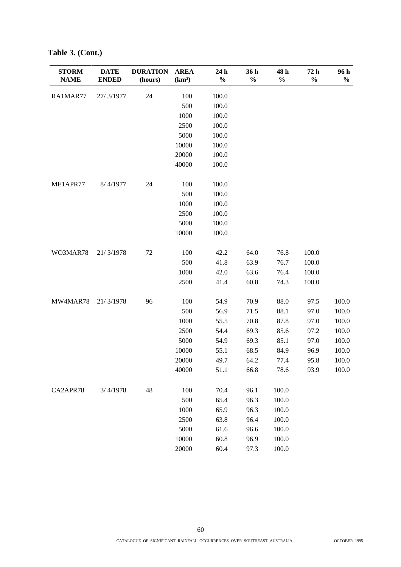| <b>STORM</b><br><b>NAME</b> | <b>DATE</b><br><b>ENDED</b> | <b>DURATION</b><br>(hours) | <b>AREA</b><br>(km <sup>2</sup> ) | 24 h<br>$\frac{0}{0}$ | 36 h<br>$\frac{0}{0}$ | 48 h<br>$\frac{1}{2}$ | 72 h<br>$\frac{0}{0}$ | 96 h<br>$\frac{0}{0}$ |
|-----------------------------|-----------------------------|----------------------------|-----------------------------------|-----------------------|-----------------------|-----------------------|-----------------------|-----------------------|
| RA1MAR77                    | 27/3/1977                   | 24                         | 100                               | 100.0                 |                       |                       |                       |                       |
|                             |                             |                            | 500                               | 100.0                 |                       |                       |                       |                       |
|                             |                             |                            | 1000                              | 100.0                 |                       |                       |                       |                       |
|                             |                             |                            | 2500                              | 100.0                 |                       |                       |                       |                       |
|                             |                             |                            | 5000                              | 100.0                 |                       |                       |                       |                       |
|                             |                             |                            | 10000                             | 100.0                 |                       |                       |                       |                       |
|                             |                             |                            | 20000                             | 100.0                 |                       |                       |                       |                       |
|                             |                             |                            | 40000                             | 100.0                 |                       |                       |                       |                       |
| ME1APR77                    | 8/4/1977                    | 24                         | 100                               | 100.0                 |                       |                       |                       |                       |
|                             |                             |                            | 500                               | 100.0                 |                       |                       |                       |                       |
|                             |                             |                            | 1000                              | 100.0                 |                       |                       |                       |                       |
|                             |                             |                            | 2500                              | 100.0                 |                       |                       |                       |                       |
|                             |                             |                            | 5000                              | 100.0                 |                       |                       |                       |                       |
|                             |                             |                            | 10000                             | 100.0                 |                       |                       |                       |                       |
| WO3MAR78                    | 21/3/1978                   | $72\,$                     | 100                               | 42.2                  | 64.0                  | 76.8                  | 100.0                 |                       |
|                             |                             |                            | 500                               | 41.8                  | 63.9                  | 76.7                  | 100.0                 |                       |
|                             |                             |                            | 1000                              | 42.0                  | 63.6                  | 76.4                  | 100.0                 |                       |
|                             |                             |                            | 2500                              | 41.4                  | 60.8                  | 74.3                  | 100.0                 |                       |
| MW4MAR78                    | 21/3/1978                   | 96                         | 100                               | 54.9                  | 70.9                  | 88.0                  | 97.5                  | 100.0                 |
|                             |                             |                            | 500                               | 56.9                  | 71.5                  | 88.1                  | 97.0                  | 100.0                 |
|                             |                             |                            | 1000                              | 55.5                  | 70.8                  | 87.8                  | 97.0                  | 100.0                 |
|                             |                             |                            | 2500                              | 54.4                  | 69.3                  | 85.6                  | 97.2                  | 100.0                 |
|                             |                             |                            | 5000                              | 54.9                  | 69.3                  | 85.1                  | 97.0                  | 100.0                 |
|                             |                             |                            | 10000                             | 55.1                  | 68.5                  | 84.9                  | 96.9                  | 100.0                 |
|                             |                             |                            | 20000                             | 49.7                  | 64.2                  | 77.4                  | 95.8                  | 100.0                 |
|                             |                             |                            | 40000                             | 51.1                  | 66.8                  | 78.6                  | 93.9                  | 100.0                 |
| CA2APR78                    | 3/4/1978                    | 48                         | 100                               | 70.4                  | 96.1                  | 100.0                 |                       |                       |
|                             |                             |                            | 500                               | 65.4                  | 96.3                  | 100.0                 |                       |                       |
|                             |                             |                            | 1000                              | 65.9                  | 96.3                  | 100.0                 |                       |                       |
|                             |                             |                            | 2500                              | 63.8                  | 96.4                  | 100.0                 |                       |                       |
|                             |                             |                            | 5000                              | 61.6                  | 96.6                  | 100.0                 |                       |                       |
|                             |                             |                            | 10000                             | 60.8                  | 96.9                  | 100.0                 |                       |                       |
|                             |                             |                            | 20000                             | 60.4                  | 97.3                  | 100.0                 |                       |                       |

**Table 3. (Cont.)**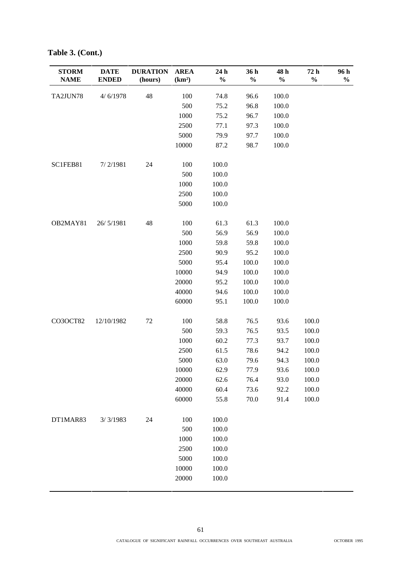| <b>STORM</b><br><b>NAME</b> | <b>DATE</b><br><b>ENDED</b> | <b>DURATION</b><br>(hours) | <b>AREA</b><br>(km <sup>2</sup> ) | 24 h<br>$\frac{0}{0}$ | 36 h<br>$\frac{0}{0}$ | 48 h<br>$\%$ | 72 h<br>$\frac{0}{0}$ | 96 h<br>$\frac{0}{0}$ |
|-----------------------------|-----------------------------|----------------------------|-----------------------------------|-----------------------|-----------------------|--------------|-----------------------|-----------------------|
| TA2JUN78                    | 4/6/1978                    | 48                         | 100                               | 74.8                  | 96.6                  | 100.0        |                       |                       |
|                             |                             |                            | 500                               | 75.2                  | 96.8                  | 100.0        |                       |                       |
|                             |                             |                            | 1000                              | 75.2                  | 96.7                  | 100.0        |                       |                       |
|                             |                             |                            | 2500                              | 77.1                  | 97.3                  | 100.0        |                       |                       |
|                             |                             |                            | 5000                              | 79.9                  | 97.7                  | 100.0        |                       |                       |
|                             |                             |                            | 10000                             | 87.2                  | 98.7                  | 100.0        |                       |                       |
| SC1FEB81                    | 7/2/1981                    | 24                         | 100                               | 100.0                 |                       |              |                       |                       |
|                             |                             |                            | 500                               | 100.0                 |                       |              |                       |                       |
|                             |                             |                            | 1000                              | 100.0                 |                       |              |                       |                       |
|                             |                             |                            | 2500                              | 100.0                 |                       |              |                       |                       |
|                             |                             |                            | 5000                              | 100.0                 |                       |              |                       |                       |
| OB2MAY81                    | 26/5/1981                   | 48                         | 100                               | 61.3                  | 61.3                  | 100.0        |                       |                       |
|                             |                             |                            | 500                               | 56.9                  | 56.9                  | 100.0        |                       |                       |
|                             |                             |                            | 1000                              | 59.8                  | 59.8                  | 100.0        |                       |                       |
|                             |                             |                            | 2500                              | 90.9                  | 95.2                  | 100.0        |                       |                       |
|                             |                             |                            | 5000                              | 95.4                  | 100.0                 | 100.0        |                       |                       |
|                             |                             |                            | 10000                             | 94.9                  | 100.0                 | 100.0        |                       |                       |
|                             |                             |                            | 20000                             | 95.2                  | 100.0                 | 100.0        |                       |                       |
|                             |                             |                            | 40000                             | 94.6                  | 100.0                 | 100.0        |                       |                       |
|                             |                             |                            | 60000                             | 95.1                  | 100.0                 | 100.0        |                       |                       |
| CO3OCT82                    | 12/10/1982                  | $72\,$                     | 100                               | 58.8                  | 76.5                  | 93.6         | 100.0                 |                       |
|                             |                             |                            | 500                               | 59.3                  | 76.5                  | 93.5         | 100.0                 |                       |
|                             |                             |                            | 1000                              | 60.2                  | 77.3                  | 93.7         | 100.0                 |                       |
|                             |                             |                            | 2500                              | 61.5                  | 78.6                  | 94.2         | 100.0                 |                       |
|                             |                             |                            | 5000                              | 63.0                  | 79.6                  | 94.3         | 100.0                 |                       |
|                             |                             |                            | 10000                             | 62.9                  | 77.9                  | 93.6         | 100.0                 |                       |
|                             |                             |                            | 20000                             | 62.6                  | 76.4                  | 93.0         | 100.0                 |                       |
|                             |                             |                            | 40000                             | 60.4                  | 73.6                  | 92.2         | 100.0                 |                       |
|                             |                             |                            | 60000                             | 55.8                  | 70.0                  | 91.4         | 100.0                 |                       |
| DT1MAR83                    | 3/3/1983                    | 24                         | 100                               | 100.0                 |                       |              |                       |                       |
|                             |                             |                            | 500                               | 100.0                 |                       |              |                       |                       |
|                             |                             |                            | 1000                              | 100.0                 |                       |              |                       |                       |
|                             |                             |                            | 2500                              | 100.0                 |                       |              |                       |                       |
|                             |                             |                            | 5000                              | 100.0                 |                       |              |                       |                       |
|                             |                             |                            | 10000                             | 100.0                 |                       |              |                       |                       |
|                             |                             |                            | 20000                             | 100.0                 |                       |              |                       |                       |

**Table 3. (Cont.)**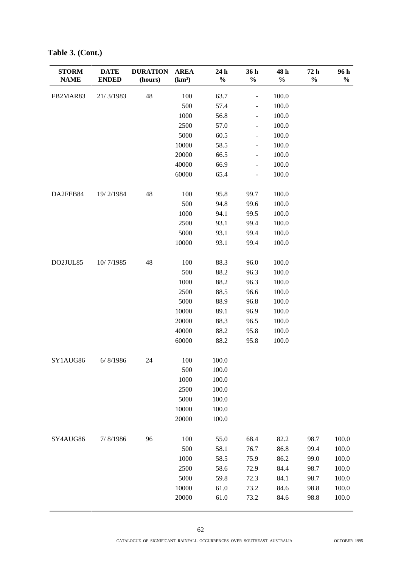| <b>STORM</b><br><b>NAME</b> | <b>DATE</b><br><b>ENDED</b> | <b>DURATION</b><br>(hours) | <b>AREA</b><br>(km <sup>2</sup> ) | 24 h<br>$\frac{0}{0}$ | 36h<br>$\frac{0}{0}$         | 48 h<br>$\%$ | 72h<br>$\%$ | 96 h<br>$\frac{0}{0}$ |
|-----------------------------|-----------------------------|----------------------------|-----------------------------------|-----------------------|------------------------------|--------------|-------------|-----------------------|
| FB2MAR83                    | 21/3/1983                   | 48                         | 100                               | 63.7                  | $\overline{\phantom{0}}$     | 100.0        |             |                       |
|                             |                             |                            | 500                               | 57.4                  | $\overline{\phantom{a}}$     | 100.0        |             |                       |
|                             |                             |                            | 1000                              | 56.8                  | $\qquad \qquad \blacksquare$ | 100.0        |             |                       |
|                             |                             |                            | 2500                              | 57.0                  | $\overline{\phantom{0}}$     | 100.0        |             |                       |
|                             |                             |                            | 5000                              | 60.5                  | -                            | 100.0        |             |                       |
|                             |                             |                            | 10000                             | 58.5                  | $\overline{\phantom{0}}$     | 100.0        |             |                       |
|                             |                             |                            | 20000                             | 66.5                  | $\frac{1}{2}$                | 100.0        |             |                       |
|                             |                             |                            | 40000                             | 66.9                  | $\qquad \qquad \blacksquare$ | 100.0        |             |                       |
|                             |                             |                            | 60000                             | 65.4                  | $\overline{\phantom{0}}$     | 100.0        |             |                       |
| DA2FEB84                    | 19/2/1984                   | 48                         | 100                               | 95.8                  | 99.7                         | 100.0        |             |                       |
|                             |                             |                            | 500                               | 94.8                  | 99.6                         | 100.0        |             |                       |
|                             |                             |                            | 1000                              | 94.1                  | 99.5                         | 100.0        |             |                       |
|                             |                             |                            | 2500                              | 93.1                  | 99.4                         | 100.0        |             |                       |
|                             |                             |                            | 5000                              | 93.1                  | 99.4                         | 100.0        |             |                       |
|                             |                             |                            | 10000                             | 93.1                  | 99.4                         | 100.0        |             |                       |
| DO2JUL85                    | 10/7/1985                   | 48                         | 100                               | 88.3                  | 96.0                         | 100.0        |             |                       |
|                             |                             |                            | 500                               | 88.2                  | 96.3                         | 100.0        |             |                       |
|                             |                             |                            | 1000                              | 88.2                  | 96.3                         | 100.0        |             |                       |
|                             |                             |                            | 2500                              | 88.5                  | 96.6                         | 100.0        |             |                       |
|                             |                             |                            | 5000                              | 88.9                  | 96.8                         | 100.0        |             |                       |
|                             |                             |                            | 10000                             | 89.1                  | 96.9                         | 100.0        |             |                       |
|                             |                             |                            | 20000                             | 88.3                  | 96.5                         | 100.0        |             |                       |
|                             |                             |                            | 40000                             | 88.2                  | 95.8                         | 100.0        |             |                       |
|                             |                             |                            | 60000                             | 88.2                  | 95.8                         | 100.0        |             |                       |
| SY1AUG86                    | 6/ 8/1986                   | 24                         | 100                               | 100.0                 |                              |              |             |                       |
|                             |                             |                            | 500                               | 100.0                 |                              |              |             |                       |
|                             |                             |                            | 1000                              | $100.0\,$             |                              |              |             |                       |
|                             |                             |                            | 2500                              | 100.0                 |                              |              |             |                       |
|                             |                             |                            | 5000                              | 100.0                 |                              |              |             |                       |
|                             |                             |                            | 10000                             | 100.0                 |                              |              |             |                       |
|                             |                             |                            | 20000                             | 100.0                 |                              |              |             |                       |
| SY4AUG86                    | 7/8/1986                    | 96                         | 100                               | 55.0                  | 68.4                         | 82.2         | 98.7        | 100.0                 |
|                             |                             |                            | 500                               | 58.1                  | 76.7                         | 86.8         | 99.4        | 100.0                 |
|                             |                             |                            | 1000                              | 58.5                  | 75.9                         | 86.2         | 99.0        | 100.0                 |
|                             |                             |                            | 2500                              | 58.6                  | 72.9                         | 84.4         | 98.7        | 100.0                 |
|                             |                             |                            | 5000                              | 59.8                  | 72.3                         | 84.1         | 98.7        | 100.0                 |
|                             |                             |                            | 10000                             | 61.0                  | 73.2                         | 84.6         | 98.8        | 100.0                 |
|                             |                             |                            | 20000                             | 61.0                  | 73.2                         | 84.6         | 98.8        | 100.0                 |

**Table 3. (Cont.)**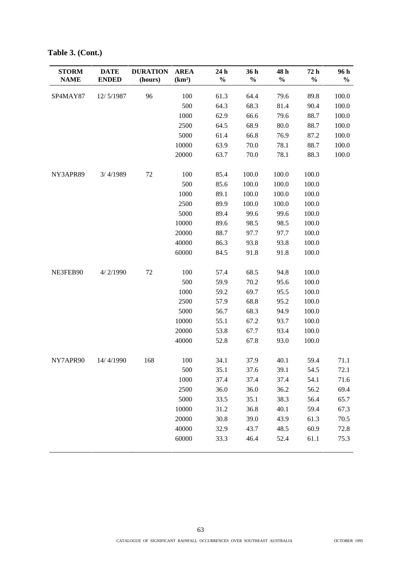| <b>STORM</b><br><b>NAME</b> | <b>DATE</b><br><b>ENDED</b> | <b>DURATION</b><br>(hours) | <b>AREA</b><br>(km <sup>2</sup> ) | 24 h<br>$\frac{0}{0}$ | 36 h<br>$\frac{0}{0}$ | 48 h<br>$\frac{0}{0}$ | 72 h<br>$\frac{0}{0}$ | 96 h<br>$\frac{0}{0}$ |
|-----------------------------|-----------------------------|----------------------------|-----------------------------------|-----------------------|-----------------------|-----------------------|-----------------------|-----------------------|
| SP4MAY87                    | 12/5/1987                   | 96                         | 100                               | 61.3                  | 64.4                  | 79.6                  | 89.8                  | 100.0                 |
|                             |                             |                            | 500                               | 64.3                  | 68.3                  | 81.4                  | 90.4                  | 100.0                 |
|                             |                             |                            | 1000                              | 62.9                  | 66.6                  | 79.6                  | 88.7                  | 100.0                 |
|                             |                             |                            | 2500                              | 64.5                  | 68.9                  | 80.0                  | 88.7                  | 100.0                 |
|                             |                             |                            | 5000                              | 61.4                  | 66.8                  | 76.9                  | 87.2                  | 100.0                 |
|                             |                             |                            | 10000                             | 63.9                  | 70.0                  | 78.1                  | 88.7                  | 100.0                 |
|                             |                             |                            | 20000                             | 63.7                  | 70.0                  | 78.1                  | 88.3                  | 100.0                 |
| NY3APR89                    | 3/4/1989                    | 72                         | 100                               | 85.4                  | 100.0                 | 100.0                 | 100.0                 |                       |
|                             |                             |                            | 500                               | 85.6                  | 100.0                 | 100.0                 | 100.0                 |                       |
|                             |                             |                            | 1000                              | 89.1                  | 100.0                 | 100.0                 | 100.0                 |                       |
|                             |                             |                            | 2500                              | 89.9                  | 100.0                 | 100.0                 | 100.0                 |                       |
|                             |                             |                            | 5000                              | 89.4                  | 99.6                  | 99.6                  | 100.0                 |                       |
|                             |                             |                            | 10000                             | 89.6                  | 98.5                  | 98.5                  | 100.0                 |                       |
|                             |                             |                            | 20000                             | 88.7                  | 97.7                  | 97.7                  | 100.0                 |                       |
|                             |                             |                            | 40000                             | 86.3                  | 93.8                  | 93.8                  | 100.0                 |                       |
|                             |                             |                            | 60000                             | 84.5                  | 91.8                  | 91.8                  | 100.0                 |                       |
| NE3FEB90                    | 4/2/1990                    | $72\,$                     | 100                               | 57.4                  | 68.5                  | 94.8                  | 100.0                 |                       |
|                             |                             |                            | 500                               | 59.9                  | 70.2                  | 95.6                  | 100.0                 |                       |
|                             |                             |                            | 1000                              | 59.2                  | 69.7                  | 95.5                  | 100.0                 |                       |
|                             |                             |                            | 2500                              | 57.9                  | 68.8                  | 95.2                  | 100.0                 |                       |
|                             |                             |                            | 5000                              | 56.7                  | 68.3                  | 94.9                  | 100.0                 |                       |
|                             |                             |                            | 10000                             | 55.1                  | 67.2                  | 93.7                  | 100.0                 |                       |
|                             |                             |                            | 20000                             | 53.8                  | 67.7                  | 93.4                  | 100.0                 |                       |
|                             |                             |                            | 40000                             | 52.8                  | 67.8                  | 93.0                  | 100.0                 |                       |
| NY7APR90                    | 14/4/1990                   | 168                        | 100                               | 34.1                  | 37.9                  | 40.1                  | 59.4                  | 71.1                  |
|                             |                             |                            | 500                               | 35.1                  | 37.6                  | 39.1                  | 54.5                  | 72.1                  |
|                             |                             |                            | 1000                              | 37.4                  | 37.4                  | 37.4                  | 54.1                  | 71.6                  |
|                             |                             |                            | 2500                              | 36.0                  | 36.0                  | 36.2                  | 56.2                  | 69.4                  |
|                             |                             |                            | 5000                              | 33.5                  | 35.1                  | 38.3                  | 56.4                  | 65.7                  |
|                             |                             |                            | 10000                             | 31.2                  | 36.8                  | 40.1                  | 59.4                  | 67.3                  |
|                             |                             |                            | 20000                             | 30.8                  | 39.0                  | 43.9                  | 61.3                  | 70.5                  |
|                             |                             |                            | 40000                             | 32.9                  | 43.7                  | 48.5                  | 60.9                  | 72.8                  |
|                             |                             |                            | 60000                             | 33.3                  | 46.4                  | 52.4                  | 61.1                  | 75.3                  |

**Table 3. (Cont.)**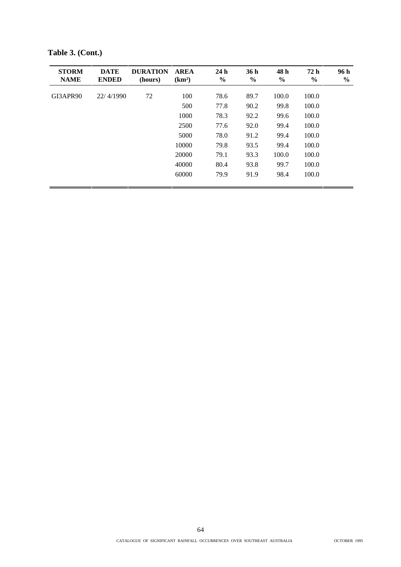| <b>STORM</b><br><b>NAME</b> | <b>DATE</b><br><b>ENDED</b> | <b>DURATION</b><br>(hours) | <b>AREA</b><br>(km <sup>2</sup> ) | 24h<br>$\frac{0}{0}$ | 36h<br>$\frac{6}{6}$ | 48 h<br>$\%$ | 72 h<br>$\%$ | 96 h<br>$\%$ |
|-----------------------------|-----------------------------|----------------------------|-----------------------------------|----------------------|----------------------|--------------|--------------|--------------|
| GI3APR90                    | 22/4/1990                   | 72                         | 100                               | 78.6                 | 89.7                 | 100.0        | 100.0        |              |
|                             |                             |                            | 500                               | 77.8                 | 90.2                 | 99.8         | 100.0        |              |
|                             |                             |                            | 1000                              | 78.3                 | 92.2                 | 99.6         | 100.0        |              |
|                             |                             |                            | 2500                              | 77.6                 | 92.0                 | 99.4         | 100.0        |              |
|                             |                             |                            | 5000                              | 78.0                 | 91.2                 | 99.4         | 100.0        |              |
|                             |                             |                            | 10000                             | 79.8                 | 93.5                 | 99.4         | 100.0        |              |
|                             |                             |                            | 20000                             | 79.1                 | 93.3                 | 100.0        | 100.0        |              |
|                             |                             |                            | 40000                             | 80.4                 | 93.8                 | 99.7         | 100.0        |              |
|                             |                             |                            | 60000                             | 79.9                 | 91.9                 | 98.4         | 100.0        |              |
|                             |                             |                            |                                   |                      |                      |              |              |              |

**Table 3. (Cont.)**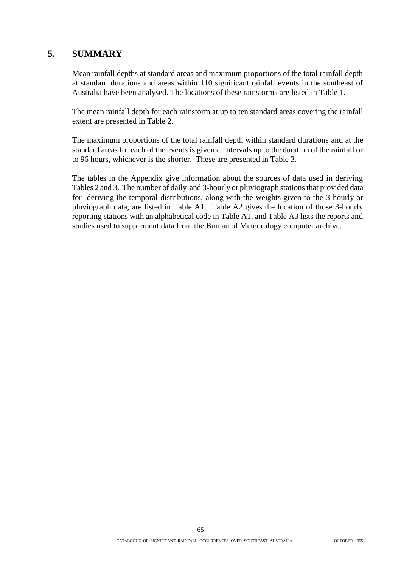## **5. SUMMARY**

Mean rainfall depths at standard areas and maximum proportions of the total rainfall depth at standard durations and areas within 110 significant rainfall events in the southeast of Australia have been analysed. The locations of these rainstorms are listed in Table 1.

The mean rainfall depth for each rainstorm at up to ten standard areas covering the rainfall extent are presented in Table 2.

The maximum proportions of the total rainfall depth within standard durations and at the standard areas for each of the events is given at intervals up to the duration of the rainfall or to 96 hours, whichever is the shorter. These are presented in Table 3.

The tables in the Appendix give information about the sources of data used in deriving Tables 2 and 3. The number of daily and 3-hourly or pluviograph stations that provided data for deriving the temporal distributions, along with the weights given to the 3-hourly or pluviograph data, are listed in Table A1. Table A2 gives the location of those 3-hourly reporting stations with an alphabetical code in Table A1, and Table A3 lists the reports and studies used to supplement data from the Bureau of Meteorology computer archive.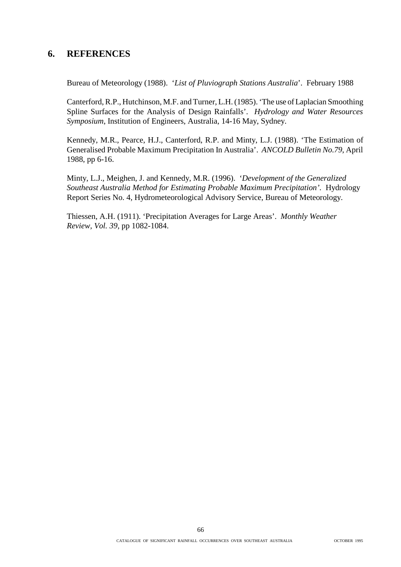## **6. REFERENCES**

Bureau of Meteorology (1988). '*List of Pluviograph Stations Australia*'. February 1988

Canterford, R.P., Hutchinson, M.F. and Turner, L.H. (1985). 'The use of Laplacian Smoothing Spline Surfaces for the Analysis of Design Rainfalls'. *Hydrology and Water Resources Symposium*, Institution of Engineers, Australia, 14-16 May, Sydney.

Kennedy, M.R., Pearce, H.J., Canterford, R.P. and Minty, L.J. (1988). 'The Estimation of Generalised Probable Maximum Precipitation In Australia'. *ANCOLD Bulletin No.79*, April 1988, pp 6-16.

Minty, L.J., Meighen, J. and Kennedy, M.R. (1996). '*Development of the Generalized Southeast Australia Method for Estimating Probable Maximum Precipitation'.* Hydrology Report Series No. 4, Hydrometeorological Advisory Service, Bureau of Meteorology.

Thiessen, A.H. (1911). 'Precipitation Averages for Large Areas'. *Monthly Weather Review, Vol. 39*, pp 1082-1084.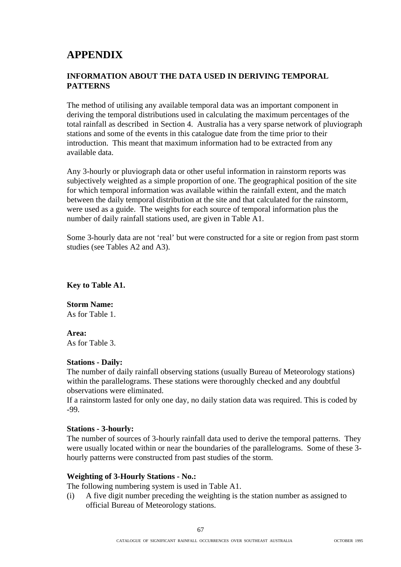# **APPENDIX**

### **INFORMATION ABOUT THE DATA USED IN DERIVING TEMPORAL PATTERNS**

The method of utilising any available temporal data was an important component in deriving the temporal distributions used in calculating the maximum percentages of the total rainfall as described in Section 4. Australia has a very sparse network of pluviograph stations and some of the events in this catalogue date from the time prior to their introduction. This meant that maximum information had to be extracted from any available data.

Any 3-hourly or pluviograph data or other useful information in rainstorm reports was subjectively weighted as a simple proportion of one. The geographical position of the site for which temporal information was available within the rainfall extent, and the match between the daily temporal distribution at the site and that calculated for the rainstorm, were used as a guide. The weights for each source of temporal information plus the number of daily rainfall stations used, are given in Table A1.

Some 3-hourly data are not 'real' but were constructed for a site or region from past storm studies (see Tables A2 and A3).

**Key to Table A1.**

**Storm Name:** As for Table 1.

#### **Area:**

As for Table 3.

#### **Stations - Daily:**

The number of daily rainfall observing stations (usually Bureau of Meteorology stations) within the parallelograms. These stations were thoroughly checked and any doubtful observations were eliminated.

If a rainstorm lasted for only one day, no daily station data was required. This is coded by -99.

#### **Stations - 3-hourly:**

The number of sources of 3-hourly rainfall data used to derive the temporal patterns. They were usually located within or near the boundaries of the parallelograms. Some of these 3 hourly patterns were constructed from past studies of the storm.

#### **Weighting of 3-Hourly Stations - No.:**

The following numbering system is used in Table A1.

(i) A five digit number preceding the weighting is the station number as assigned to official Bureau of Meteorology stations.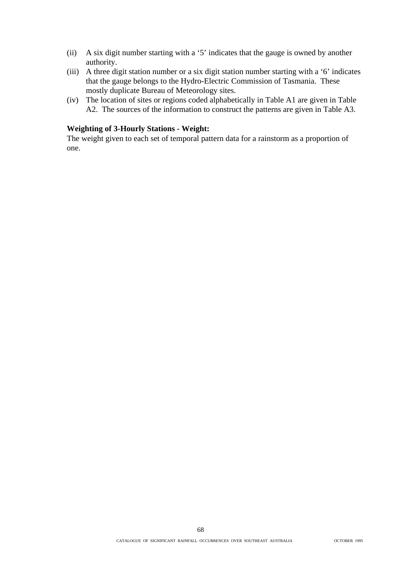- (ii) A six digit number starting with a '5' indicates that the gauge is owned by another authority.
- (iii) A three digit station number or a six digit station number starting with a '6' indicates that the gauge belongs to the Hydro-Electric Commission of Tasmania. These mostly duplicate Bureau of Meteorology sites.
- (iv) The location of sites or regions coded alphabetically in Table A1 are given in Table A2. The sources of the information to construct the patterns are given in Table A3.

#### **Weighting of 3-Hourly Stations - Weight:**

The weight given to each set of temporal pattern data for a rainstorm as a proportion of one.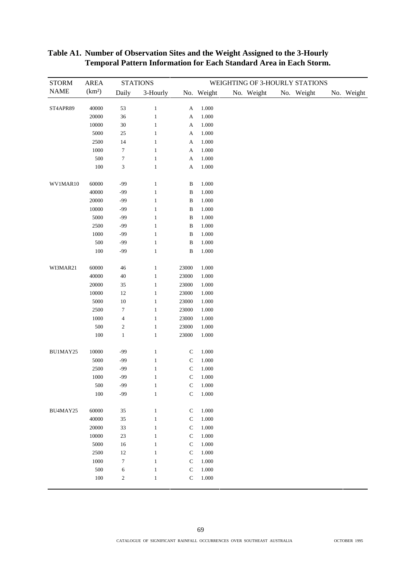| <b>STORM</b> | <b>AREA</b>        |                  | <b>STATIONS</b> |                           |            | WEIGHTING OF 3-HOURLY STATIONS |            |            |
|--------------|--------------------|------------------|-----------------|---------------------------|------------|--------------------------------|------------|------------|
| <b>NAME</b>  | (km <sup>2</sup> ) | Daily            | 3-Hourly        |                           | No. Weight | No. Weight                     | No. Weight | No. Weight |
|              |                    |                  |                 |                           |            |                                |            |            |
| ST4APR89     | 40000              | 53               | $\mathbf{1}$    | A                         | 1.000      |                                |            |            |
|              | 20000              | $36\,$           | $\mathbf{1}$    | $\boldsymbol{\mathsf{A}}$ | 1.000      |                                |            |            |
|              | 10000              | $30\,$           | $\mathbf{1}$    | A                         | 1.000      |                                |            |            |
|              | 5000               | $25\,$           | $\mathbf{1}$    | A                         | 1.000      |                                |            |            |
|              | 2500               | 14               | $\mathbf{1}$    | A                         | 1.000      |                                |            |            |
|              | 1000               | $\boldsymbol{7}$ | $\mathbf{1}$    | A                         | 1.000      |                                |            |            |
|              | 500                | $\boldsymbol{7}$ | $\mathbf{1}$    | A                         | 1.000      |                                |            |            |
|              | $100\,$            | $\sqrt{3}$       | $\mathbf{1}$    | $\boldsymbol{\mathsf{A}}$ | $1.000\,$  |                                |            |            |
| WV1MAR10     | 60000              | $-99$            | $\mathbf{1}$    | $\, {\bf B}$              | 1.000      |                                |            |            |
|              | 40000              | $-99$            | $\mathbf{1}$    | $\, {\bf B}$              | 1.000      |                                |            |            |
|              | 20000              | $-99$            | $\mathbf{1}$    | $\, {\bf B}$              | 1.000      |                                |            |            |
|              | 10000              | $-99$            | $\mathbf{1}$    | $\, {\bf B}$              | 1.000      |                                |            |            |
|              | 5000               | $-99$            | $\mathbf{1}$    | $\, {\bf B}$              | 1.000      |                                |            |            |
|              | 2500               | $-99$            | $\mathbf{1}$    | $\, {\bf B}$              | $1.000\,$  |                                |            |            |
|              | 1000               | $-99$            | $\mathbf{1}$    | $\, {\bf B}$              | 1.000      |                                |            |            |
|              | 500                | $-99$            | $\mathbf{1}$    | $\, {\bf B}$              | 1.000      |                                |            |            |
|              | 100                | $-99$            | $\mathbf{1}$    | $\bf{B}$                  | 1.000      |                                |            |            |
| WI3MAR21     | 60000              | $46\,$           | $\mathbf{1}$    | 23000                     | 1.000      |                                |            |            |
|              | 40000              | $40\,$           | $\,1\,$         | 23000                     | $1.000\,$  |                                |            |            |
|              | 20000              | $35\,$           | $\mathbf{1}$    | 23000                     | 1.000      |                                |            |            |
|              | 10000              | $12\,$           | $\mathbf{1}$    | 23000                     | 1.000      |                                |            |            |
|              | 5000               | $10\,$           | $\mathbf{1}$    | 23000                     | 1.000      |                                |            |            |
|              | 2500               | $\boldsymbol{7}$ | $\mathbf{1}$    | 23000                     | 1.000      |                                |            |            |
|              | 1000               | $\overline{4}$   | $\mathbf{1}$    | 23000                     | 1.000      |                                |            |            |
|              | 500                | $\sqrt{2}$       | $\mathbf{1}$    | 23000                     | 1.000      |                                |            |            |
|              | 100                | $\mathbf{1}$     | $\mathbf{1}$    | 23000                     | 1.000      |                                |            |            |
|              |                    |                  |                 |                           |            |                                |            |            |
| BU1MAY25     | 10000              | $-99$            | $\mathbf{1}$    | $\mathbf C$               | 1.000      |                                |            |            |
|              | 5000               | $-99$            | $\mathbf{1}$    | ${\bf C}$                 | 1.000      |                                |            |            |
|              | 2500               | $-99$            | $\mathbf{1}$    | $\mathsf C$               | 1.000      |                                |            |            |
|              | 1000               | $-99$            | $\mathbf{1}$    | $\mathbf C$               | 1.000      |                                |            |            |
|              | 500                | $-99$            | $\mathbf{1}$    | ${\bf C}$                 | $1.000\,$  |                                |            |            |
|              | 100                | $-99$            | $\mathbf{1}$    | $\mathsf{C}$              | 1.000      |                                |            |            |
| BU4MAY25     | 60000              | 35               | $\mathbf{1}$    | ${\bf C}$                 | 1.000      |                                |            |            |
|              | 40000              | 35               | $\mathbf{1}$    | ${\bf C}$                 | 1.000      |                                |            |            |
|              | 20000              | 33               | 1               | $\mathbf C$               | 1.000      |                                |            |            |
|              | $10000\,$          | $23\,$           | $\mathbf{1}$    | ${\bf C}$                 | 1.000      |                                |            |            |
|              | 5000               | $16\,$           | $\mathbf{1}$    | $\mathbf C$               | 1.000      |                                |            |            |
|              | 2500               | $12\,$           | $\mathbf{1}$    | $\mathbf C$               | 1.000      |                                |            |            |
|              | $1000\,$           | $\boldsymbol{7}$ | $\mathbf{1}$    | $\mathsf{C}$              | 1.000      |                                |            |            |
|              | 500                | $\sqrt{6}$       | $\mathbf{1}$    | ${\bf C}$                 | 1.000      |                                |            |            |
|              | 100                | $\sqrt{2}$       | $\mathbf{1}$    | $\mathsf C$               | 1.000      |                                |            |            |
|              |                    |                  |                 |                           |            |                                |            |            |

#### **Table A1. Number of Observation Sites and the Weight Assigned to the 3-Hourly Temporal Pattern Information for Each Standard Area in Each Storm.**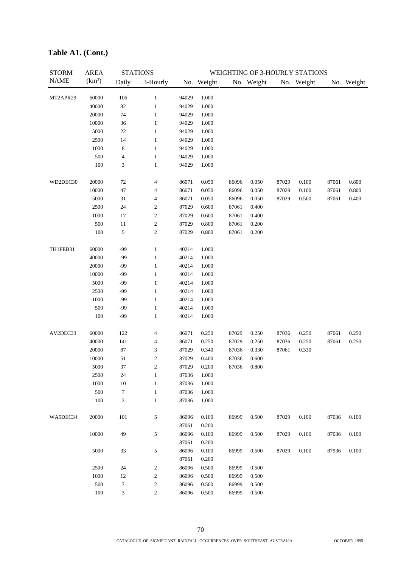| <b>STORM</b> | <b>AREA</b>        |                  | <b>STATIONS</b>              |                |                |       |            |       | WEIGHTING OF 3-HOURLY STATIONS |       |            |
|--------------|--------------------|------------------|------------------------------|----------------|----------------|-------|------------|-------|--------------------------------|-------|------------|
| <b>NAME</b>  | (km <sup>2</sup> ) | Daily            | 3-Hourly                     |                | No. Weight     |       | No. Weight |       | No. Weight                     |       | No. Weight |
|              |                    |                  |                              |                |                |       |            |       |                                |       |            |
| MT2APR29     | 60000              | 106              | $\mathbf{1}$                 | 94029          | 1.000          |       |            |       |                                |       |            |
|              | 40000              | 82               | $\mathbf{1}$                 | 94029          | 1.000          |       |            |       |                                |       |            |
|              | 20000              | 74               | $\mathbf{1}$                 | 94029          | 1.000          |       |            |       |                                |       |            |
|              | 10000              | 36               | $\mathbf{1}$                 | 94029          | 1.000          |       |            |       |                                |       |            |
|              | 5000               | $22\,$           | $\mathbf{1}$                 | 94029          | 1.000          |       |            |       |                                |       |            |
|              | 2500               | 14               | $\mathbf{1}$                 | 94029          | 1.000          |       |            |       |                                |       |            |
|              | 1000               | 8                | $\mathbf{1}$                 | 94029          | 1.000          |       |            |       |                                |       |            |
|              | 500<br>100         | 4<br>3           | $\mathbf{1}$<br>$\mathbf{1}$ | 94029<br>94029 | 1.000<br>1.000 |       |            |       |                                |       |            |
|              |                    |                  |                              |                |                |       |            |       |                                |       |            |
| WD2DEC30     | 20000              | $72\,$           | 4                            | 86071          | 0.050          | 86096 | 0.050      | 87029 | 0.100                          | 87061 | 0.800      |
|              | 10000              | $47\,$           | 4                            | 86071          | 0.050          | 86096 | 0.050      | 87029 | 0.100                          | 87061 | 0.800      |
|              | 5000               | $31\,$           | 4                            | 86071          | 0.050          | 86096 | 0.050      | 87029 | 0.500                          | 87061 | 0.400      |
|              | 2500               | 24               | $\boldsymbol{2}$             | 87029          | 0.600          | 87061 | 0.400      |       |                                |       |            |
|              | 1000               | 17               | $\boldsymbol{2}$             | 87029          | 0.600          | 87061 | 0.400      |       |                                |       |            |
|              | 500                | 11               | $\boldsymbol{2}$             | 87029          | 0.800          | 87061 | 0.200      |       |                                |       |            |
|              | 100                | 5                | $\sqrt{2}$                   | 87029          | 0.800          | 87061 | 0.200      |       |                                |       |            |
|              |                    |                  |                              |                |                |       |            |       |                                |       |            |
| TH1FEB31     | 60000              | -99              | $\mathbf{1}$                 | 40214          | 1.000          |       |            |       |                                |       |            |
|              | 40000              | -99              | $\mathbf{1}$                 | 40214          | 1.000          |       |            |       |                                |       |            |
|              | 20000              | $-99$            | $\mathbf{1}$                 | 40214          | 1.000          |       |            |       |                                |       |            |
|              | 10000              | $-99$            | $\mathbf{1}$                 | 40214          | 1.000          |       |            |       |                                |       |            |
|              | 5000               | $-99$            | $\,1\,$                      | 40214          | 1.000          |       |            |       |                                |       |            |
|              | 2500               | -99              | $\mathbf{1}$                 | 40214          | 1.000          |       |            |       |                                |       |            |
|              | 1000<br>500        | -99<br>$-99$     | $\mathbf{1}$<br>$\mathbf{1}$ | 40214          | 1.000          |       |            |       |                                |       |            |
|              | 100                | $-99$            | $\mathbf{1}$                 | 40214<br>40214 | 1.000<br>1.000 |       |            |       |                                |       |            |
|              |                    |                  |                              |                |                |       |            |       |                                |       |            |
| AV2DEC33     | 60000              | 122              | 4                            | 86071          | 0.250          | 87029 | 0.250      | 87036 | 0.250                          | 87061 | 0.250      |
|              | 40000              | 141              | 4                            | 86071          | 0.250          | 87029 | 0.250      | 87036 | 0.250                          | 87061 | 0.250      |
|              | 20000              | 87               | 3                            | 87029          | 0.340          | 87036 | 0.330      | 87061 | 0.330                          |       |            |
|              | 10000              | 51               | $\overline{c}$               | 87029          | 0.400          | 87036 | 0.600      |       |                                |       |            |
|              | 5000               | 37               | $\boldsymbol{2}$             | 87029          | 0.200          | 87036 | 0.800      |       |                                |       |            |
|              | 2500               | 24               | $\mathbf{1}$                 | 87036          | 1.000          |       |            |       |                                |       |            |
|              | 1000               | 10               | $\mathbf{1}$                 | 87036          | 1.000          |       |            |       |                                |       |            |
|              | 500                | 7                | $\mathbf{1}$                 | 87036          | 1.000          |       |            |       |                                |       |            |
|              | 100                | 3                | $\mathbf{1}$                 | 87036          | 1.000          |       |            |       |                                |       |            |
| WA5DEC34     | 20000              | 101              | 5                            | 86096          | 0.100          | 86999 | 0.500      | 87029 | 0.100                          | 87036 | 0.100      |
|              |                    |                  |                              | 87061          | 0.200          |       |            |       |                                |       |            |
|              | 10000              | 49               | 5                            | 86096          | 0.100          | 86999 | 0.500      | 87029 | 0.100                          | 87036 | 0.100      |
|              |                    |                  |                              | 87061          | 0.200          |       |            |       |                                |       |            |
|              | 5000               | 33               | 5                            | 86096          | 0.100          | 86999 | 0.500      | 87029 | 0.100                          | 87936 | 0.100      |
|              |                    |                  |                              | 87061          | 0.200          |       |            |       |                                |       |            |
|              | 2500               | 24               | $\boldsymbol{2}$             | 86096          | 0.500          | 86999 | 0.500      |       |                                |       |            |
|              | 1000               | 12               | $\overline{\mathbf{c}}$      | 86096          | 0.500          | 86999 | 0.500      |       |                                |       |            |
|              | 500                | $\boldsymbol{7}$ | $\overline{\mathbf{c}}$      | 86096          | 0.500          | 86999 | 0.500      |       |                                |       |            |
|              | 100                | 3                | $\boldsymbol{2}$             | 86096          | 0.500          | 86999 | 0.500      |       |                                |       |            |
|              |                    |                  |                              |                |                |       |            |       |                                |       |            |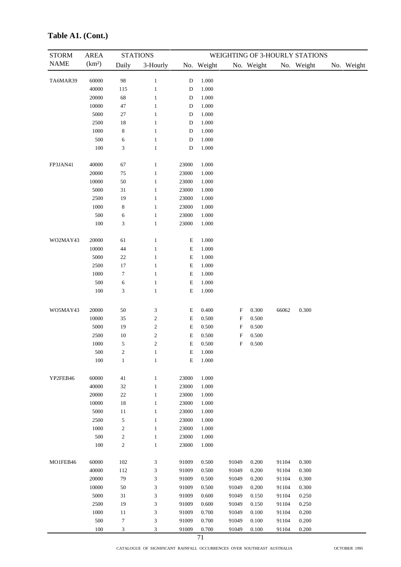| <b>STORM</b> | <b>AREA</b>        |                  | <b>STATIONS</b>         |             |            |                           |            |       | WEIGHTING OF 3-HOURLY STATIONS |            |
|--------------|--------------------|------------------|-------------------------|-------------|------------|---------------------------|------------|-------|--------------------------------|------------|
| <b>NAME</b>  | (km <sup>2</sup> ) | Daily            | 3-Hourly                |             | No. Weight |                           | No. Weight |       | No. Weight                     | No. Weight |
| TA6MAR39     | 60000              | 98               | $\mathbf{1}$            | $\mathbf D$ | 1.000      |                           |            |       |                                |            |
|              | 40000              | 115              | $\mathbf{1}$            | $\mathbf D$ | 1.000      |                           |            |       |                                |            |
|              | 20000              | 68               | $\mathbf{1}$            | D           | 1.000      |                           |            |       |                                |            |
|              | 10000              | $47\,$           | $\mathbf{1}$            | $\mathbf D$ | 1.000      |                           |            |       |                                |            |
|              | 5000               | $27\,$           | $\mathbf{1}$            | $\mathbf D$ | 1.000      |                           |            |       |                                |            |
|              | 2500               | $18\,$           | $\mathbf{1}$            | $\mathbf D$ | 1.000      |                           |            |       |                                |            |
|              | 1000               | $\,$ 8 $\,$      | $\mathbf{1}$            | $\mathbf D$ | 1.000      |                           |            |       |                                |            |
|              | 500                | 6                | $\mathbf{1}$            | $\mathbf D$ | 1.000      |                           |            |       |                                |            |
|              | 100                | 3                | $\mathbf{1}$            | $\mathbf D$ | 1.000      |                           |            |       |                                |            |
| FP3JAN41     | 40000              | 67               | $\mathbf{1}$            | 23000       | 1.000      |                           |            |       |                                |            |
|              | 20000              | $75\,$           | $\mathbf{1}$            | 23000       | 1.000      |                           |            |       |                                |            |
|              | 10000              | 50               | $\mathbf{1}$            | 23000       | 1.000      |                           |            |       |                                |            |
|              | 5000               | $31\,$           | $\mathbf{1}$            | 23000       | 1.000      |                           |            |       |                                |            |
|              | 2500               | 19               | $\mathbf{1}$            | 23000       | 1.000      |                           |            |       |                                |            |
|              | 1000               | $\,$ 8 $\,$      | $\mathbf{1}$            | 23000       | 1.000      |                           |            |       |                                |            |
|              | 500                | $\sqrt{6}$       | $\mathbf{1}$            | 23000       | 1.000      |                           |            |       |                                |            |
|              | 100                | 3                | $\mathbf{1}$            | 23000       | 1.000      |                           |            |       |                                |            |
| WO2MAY43     | 20000              | 61               | $\mathbf{1}$            | E           | 1.000      |                           |            |       |                                |            |
|              | 10000              | 44               | $\mathbf{1}$            | $\mathbf E$ | 1.000      |                           |            |       |                                |            |
|              | 5000               | $22\,$           | $\mathbf{1}$            | $\mathbf E$ | 1.000      |                           |            |       |                                |            |
|              | 2500               | $17\,$           | $\mathbf{1}$            | $\mathbf E$ | 1.000      |                           |            |       |                                |            |
|              | 1000               | $\tau$           | $\mathbf{1}$            | $\mathbf E$ | 1.000      |                           |            |       |                                |            |
|              | 500                | 6                | $\mathbf{1}$            | $\mathbf E$ | 1.000      |                           |            |       |                                |            |
|              | 100                | 3                | $\mathbf{1}$            | $\mathbf E$ | 1.000      |                           |            |       |                                |            |
| WO5MAY43     | 20000              | 50               | 3                       | $\mathbf E$ | 0.400      | $\boldsymbol{\mathrm{F}}$ | 0.300      | 66062 | 0.300                          |            |
|              | 10000              | 35               | $\boldsymbol{2}$        | $\mathbf E$ | 0.500      | F                         | 0.500      |       |                                |            |
|              | 5000               | 19               | $\boldsymbol{2}$        | $\mathbf E$ | 0.500      | F                         | 0.500      |       |                                |            |
|              | 2500               | $10\,$           | $\overline{\mathbf{c}}$ | $\mathbf E$ | 0.500      | F                         | 0.500      |       |                                |            |
|              | 1000               | 5                | $\sqrt{2}$              | $\mathbf E$ | 0.500      | $\boldsymbol{\mathrm{F}}$ | 0.500      |       |                                |            |
|              | 500                | $\overline{c}$   | 1                       | Е           | 1.000      |                           |            |       |                                |            |
|              | 100                | $\mathbf{1}$     | $\mathbf{1}$            | $\mathbf E$ | 1.000      |                           |            |       |                                |            |
| YP2FEB46     | 60000              | 41               | $\mathbf{1}$            | 23000       | 1.000      |                           |            |       |                                |            |
|              | 40000              | 32               | $\mathbf{1}$            | 23000       | 1.000      |                           |            |       |                                |            |
|              | 20000              | $22\,$           | $\mathbf{1}$            | 23000       | 1.000      |                           |            |       |                                |            |
|              | 10000              | 18               | $\mathbf{1}$            | 23000       | 1.000      |                           |            |       |                                |            |
|              | 5000               | 11               | $\mathbf{1}$            | 23000       | 1.000      |                           |            |       |                                |            |
|              | 2500               | $\sqrt{5}$       | $\mathbf{1}$            | 23000       | 1.000      |                           |            |       |                                |            |
|              | 1000               | $\boldsymbol{2}$ | $\mathbf{1}$            | 23000       | 1.000      |                           |            |       |                                |            |
|              | 500                | $\boldsymbol{2}$ | $\mathbf{1}$            | 23000       | 1.000      |                           |            |       |                                |            |
|              | 100                | $\sqrt{2}$       | $\mathbf{1}$            | 23000       | 1.000      |                           |            |       |                                |            |
| MO1FEB46     | 60000              | 102              | 3                       | 91009       | 0.500      | 91049                     | 0.200      | 91104 | 0.300                          |            |
|              | 40000              | 112              | 3                       | 91009       | 0.500      | 91049                     | 0.200      | 91104 | 0.300                          |            |
|              | 20000              | 79               | 3                       | 91009       | 0.500      | 91049                     | 0.200      | 91104 | 0.300                          |            |
|              | 10000              | 50               | 3                       | 91009       | 0.500      | 91049                     | 0.200      | 91104 | 0.300                          |            |
|              | 5000               | $31\,$           | 3                       | 91009       | 0.600      | 91049                     | 0.150      | 91104 | 0.250                          |            |
|              | 2500               | 19               | 3                       | 91009       | 0.600      | 91049                     | 0.150      | 91104 | 0.250                          |            |
|              | 1000               | 11               | 3                       | 91009       | 0.700      | 91049                     | 0.100      | 91104 | 0.200                          |            |
|              | 500                | $\boldsymbol{7}$ | 3                       | 91009       | 0.700      | 91049                     | 0.100      | 91104 | 0.200                          |            |
|              | 100                | 3                | 3                       | 91009       | 0.700      | 91049                     | 0.100      | 91104 | 0.200                          |            |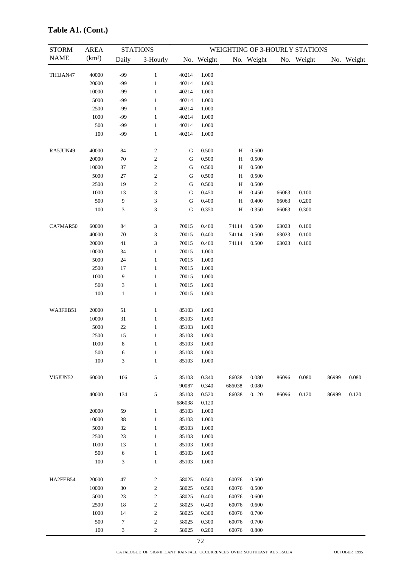| <b>STORM</b> | <b>AREA</b>        |                             | <b>STATIONS</b>             |           |            |        |            |       | WEIGHTING OF 3-HOURLY STATIONS |       |            |
|--------------|--------------------|-----------------------------|-----------------------------|-----------|------------|--------|------------|-------|--------------------------------|-------|------------|
| <b>NAME</b>  | (km <sup>2</sup> ) | Daily                       | 3-Hourly                    |           | No. Weight |        | No. Weight |       | No. Weight                     |       | No. Weight |
| TH1JAN47     | 40000              | $-99$                       | $\mathbf{1}$                | 40214     | 1.000      |        |            |       |                                |       |            |
|              | 20000              | $-99$                       | $\mathbf{1}$                | 40214     | 1.000      |        |            |       |                                |       |            |
|              | 10000              | -99                         | $\mathbf{1}$                | 40214     | 1.000      |        |            |       |                                |       |            |
|              | 5000               | -99                         | $\mathbf{1}$                | 40214     | 1.000      |        |            |       |                                |       |            |
|              | 2500               | -99                         | $\mathbf{1}$                | 40214     | 1.000      |        |            |       |                                |       |            |
|              | 1000               | -99                         | $\mathbf{1}$                | 40214     | 1.000      |        |            |       |                                |       |            |
|              | 500                | -99                         | $\mathbf{1}$                | 40214     | 1.000      |        |            |       |                                |       |            |
|              | 100                | $-99$                       | $\mathbf{1}$                | 40214     | 1.000      |        |            |       |                                |       |            |
| RA5JUN49     | 40000              | 84                          | $\overline{c}$              | ${\bf G}$ | 0.500      | H      | 0.500      |       |                                |       |            |
|              | 20000              | $70\,$                      | $\sqrt{2}$                  | ${\bf G}$ | 0.500      | H      | 0.500      |       |                                |       |            |
|              | 10000              | 37                          | $\overline{c}$              | ${\bf G}$ | 0.500      | Η      | 0.500      |       |                                |       |            |
|              | 5000               | $27\,$                      | $\sqrt{2}$                  | ${\bf G}$ | 0.500      | H      | 0.500      |       |                                |       |            |
|              | 2500               | 19                          | $\sqrt{2}$                  | G         | 0.500      | H      | 0.500      |       |                                |       |            |
|              | 1000               | 13                          | $\ensuremath{\mathfrak{Z}}$ | G         | 0.450      | Η      | 0.450      | 66063 | 0.100                          |       |            |
|              | 500                | 9                           | $\ensuremath{\mathfrak{Z}}$ | G         | 0.400      | H      | 0.400      | 66063 | 0.200                          |       |            |
|              | 100                | 3                           | 3                           | ${\bf G}$ | 0.350      | H      | 0.350      | 66063 | 0.300                          |       |            |
| CA7MAR50     | 60000              | 84                          | 3                           | 70015     | 0.400      | 74114  | 0.500      | 63023 | 0.100                          |       |            |
|              | 40000              | $70\,$                      | $\ensuremath{\mathfrak{Z}}$ | 70015     | 0.400      | 74114  | 0.500      | 63023 | 0.100                          |       |            |
|              | 20000              | $41\,$                      | $\ensuremath{\mathfrak{Z}}$ | 70015     | 0.400      | 74114  | 0.500      | 63023 | 0.100                          |       |            |
|              | 10000              | 34                          | $\mathbf{1}$                | 70015     | 1.000      |        |            |       |                                |       |            |
|              | 5000               | 24                          | $\mathbf{1}$                | 70015     | 1.000      |        |            |       |                                |       |            |
|              | 2500               | 17                          | $\mathbf{1}$                | 70015     | 1.000      |        |            |       |                                |       |            |
|              | 1000               | 9                           | $\mathbf{1}$                | 70015     | 1.000      |        |            |       |                                |       |            |
|              | 500                | $\ensuremath{\mathfrak{Z}}$ | $\mathbf{1}$                | 70015     | 1.000      |        |            |       |                                |       |            |
|              | $100\,$            | $\,1\,$                     | $\mathbf{1}$                | 70015     | 1.000      |        |            |       |                                |       |            |
| WA3FEB51     | 20000              | $51\,$                      | $\mathbf{1}$                | 85103     | 1.000      |        |            |       |                                |       |            |
|              | $10000\,$          | $31\,$                      | $\mathbf{1}$                | 85103     | 1.000      |        |            |       |                                |       |            |
|              | 5000               | $22\,$                      | $\mathbf{1}$                | 85103     | 1.000      |        |            |       |                                |       |            |
|              | 2500               | 15                          | $\mathbf{1}$                | 85103     | 1.000      |        |            |       |                                |       |            |
|              | $1000\,$           | 8                           | 1                           | 85103     | 1.000      |        |            |       |                                |       |            |
|              | 500                | 6                           | $\mathbf{1}$                | 85103     | 1.000      |        |            |       |                                |       |            |
|              | 100                | 3                           | $\mathbf{1}$                | 85103     | 1.000      |        |            |       |                                |       |            |
| VI5JUN52     | 60000              | 106                         | $\sqrt{5}$                  | 85103     | 0.340      | 86038  | 0.080      | 86096 | 0.080                          | 86999 | 0.080      |
|              |                    |                             |                             | 90087     | 0.340      | 686038 | 0.080      |       |                                |       |            |
|              | 40000              | 134                         | $\sqrt{5}$                  | 85103     | 0.520      | 86038  | $0.120\,$  | 86096 | 0.120                          | 86999 | 0.120      |
|              |                    |                             |                             | 686038    | 0.120      |        |            |       |                                |       |            |
|              | 20000              | 59                          | $\mathbf{1}$                | 85103     | 1.000      |        |            |       |                                |       |            |
|              | 10000              | 38                          | $\mathbf{1}$                | 85103     | 1.000      |        |            |       |                                |       |            |
|              | 5000               | 32                          | $\mathbf{1}$                | 85103     | 1.000      |        |            |       |                                |       |            |
|              | 2500               | 23                          | $\mathbf{1}$                | 85103     | 1.000      |        |            |       |                                |       |            |
|              | 1000               | 13                          | $\mathbf{1}$                | 85103     | 1.000      |        |            |       |                                |       |            |
|              | 500                | $\sqrt{6}$                  | $\mathbf{1}$                | 85103     | 1.000      |        |            |       |                                |       |            |
|              | 100                | $\mathfrak 3$               | $\mathbf{1}$                | 85103     | 1.000      |        |            |       |                                |       |            |
| HA2FEB54     | 20000              | 47                          | $\overline{c}$              | 58025     | 0.500      | 60076  | 0.500      |       |                                |       |            |
|              | 10000              | $30\,$                      | $\sqrt{2}$                  | 58025     | 0.500      | 60076  | 0.500      |       |                                |       |            |
|              | 5000               | 23                          | $\sqrt{2}$                  | 58025     | 0.400      | 60076  | 0.600      |       |                                |       |            |
|              | 2500               | 18                          | $\sqrt{2}$                  | 58025     | 0.400      | 60076  | 0.600      |       |                                |       |            |
|              | 1000               | 14                          | $\sqrt{2}$                  | 58025     | 0.300      | 60076  | 0.700      |       |                                |       |            |
|              | 500                | $\boldsymbol{7}$            | $\boldsymbol{2}$            | 58025     | 0.300      | 60076  | 0.700      |       |                                |       |            |
|              | 100                | $\ensuremath{\mathfrak{Z}}$ | $\sqrt{2}$                  | 58025     | 0.200      | 60076  | 0.800      |       |                                |       |            |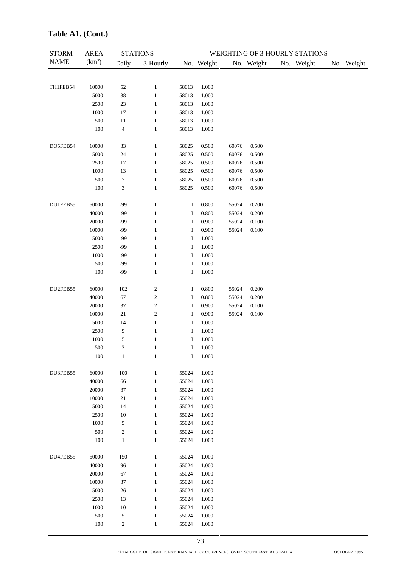| <b>STORM</b> | <b>AREA</b>        |                          | <b>STATIONS</b>         |          |            |       |            | WEIGHTING OF 3-HOURLY STATIONS |            |
|--------------|--------------------|--------------------------|-------------------------|----------|------------|-------|------------|--------------------------------|------------|
| <b>NAME</b>  | (km <sup>2</sup> ) | Daily                    | 3-Hourly                |          | No. Weight |       | No. Weight | No. Weight                     | No. Weight |
|              |                    |                          |                         |          |            |       |            |                                |            |
|              |                    |                          |                         |          |            |       |            |                                |            |
| TH1FEB54     | 10000              | 52                       | $\mathbf{1}$            | 58013    | $1.000\,$  |       |            |                                |            |
|              | 5000               | $38\,$                   | $\mathbf{1}$            | 58013    | 1.000      |       |            |                                |            |
|              | 2500               | $23\,$                   | 1                       | 58013    | 1.000      |       |            |                                |            |
|              | 1000               | $17\,$                   | $\mathbf{1}$            | 58013    | 1.000      |       |            |                                |            |
|              | 500                | $11\,$                   | $\mathbf{1}$            | 58013    | 1.000      |       |            |                                |            |
|              | 100                | $\overline{\mathcal{L}}$ | $\mathbf{1}$            | 58013    | 1.000      |       |            |                                |            |
| DO5FEB54     | 10000              | 33                       | $\mathbf{1}$            | 58025    | 0.500      | 60076 | 0.500      |                                |            |
|              | 5000               | $24\,$                   | 1                       | 58025    | 0.500      | 60076 | 0.500      |                                |            |
|              | 2500               | $17\,$                   | 1                       | 58025    | 0.500      | 60076 | 0.500      |                                |            |
|              | 1000               | 13                       | $\mathbf{1}$            | 58025    | 0.500      | 60076 | 0.500      |                                |            |
|              | 500                | $\boldsymbol{7}$         | 1                       | 58025    | 0.500      | 60076 | 0.500      |                                |            |
|              | 100                | 3                        | $\mathbf{1}$            | 58025    | 0.500      | 60076 | 0.500      |                                |            |
| DU1FEB55     | 60000              | $-99$                    | $\mathbf{1}$            | $\bf{I}$ | 0.800      | 55024 | 0.200      |                                |            |
|              | 40000              | $-99$                    | $\mathbf{1}$            | $\bf{I}$ | 0.800      | 55024 | 0.200      |                                |            |
|              | 20000              | $-99$                    | $\mathbf{1}$            | $\bf{I}$ | 0.900      | 55024 | 0.100      |                                |            |
|              | 10000              | $-99$                    | 1                       | $\bf{I}$ | 0.900      | 55024 | 0.100      |                                |            |
|              | 5000               | $-99$                    | 1                       | 1        | 1.000      |       |            |                                |            |
|              | 2500               | $-99$                    | 1                       | 1        | 1.000      |       |            |                                |            |
|              | 1000               | $-99$                    | 1                       | Ι        | $1.000\,$  |       |            |                                |            |
|              | 500                | $-99$                    | 1                       | I        | 1.000      |       |            |                                |            |
|              | 100                | $-99$                    | 1                       | $\bf{I}$ | 1.000      |       |            |                                |            |
| DU2FEB55     | 60000              | 102                      | $\overline{\mathbf{c}}$ | $\bf{I}$ | 0.800      | 55024 | 0.200      |                                |            |
|              | 40000              | 67                       | $\overline{c}$          | $\bf{I}$ | 0.800      | 55024 | 0.200      |                                |            |
|              | 20000              | 37                       | 2                       | $\bf{I}$ | 0.900      | 55024 | $0.100\,$  |                                |            |
|              | 10000              | 21                       | $\boldsymbol{2}$        | $\bf{I}$ | 0.900      | 55024 | 0.100      |                                |            |
|              | 5000               | 14                       | $\mathbf{1}$            | $\bf{I}$ | 1.000      |       |            |                                |            |
|              | 2500               | 9                        | $\mathbf{1}$            | $\bf{I}$ | 1.000      |       |            |                                |            |
|              | 1000               | 5                        | 1                       | I        | 1.000      |       |            |                                |            |
|              | 500                | $\overline{c}$           | $\mathbf{1}$            | $\bf{I}$ | 1.000      |       |            |                                |            |
|              | 100                | $\mathbf{1}$             | $\mathbf{1}$            | $\bf I$  | 1.000      |       |            |                                |            |
|              |                    |                          |                         |          |            |       |            |                                |            |
| DU3FEB55     | 60000              | 100                      | $\mathbf{1}$            | 55024    | 1.000      |       |            |                                |            |
|              | 40000              | 66                       | $\mathbf{1}$            | 55024    | 1.000      |       |            |                                |            |
|              | 20000              | $37\,$                   | $\mathbf{1}$            | 55024    | 1.000      |       |            |                                |            |
|              | 10000              | 21                       | $\mathbf{1}$            | 55024    | 1.000      |       |            |                                |            |
|              | 5000               | 14                       | $\mathbf{1}$            | 55024    | 1.000      |       |            |                                |            |
|              | 2500               | $10\,$                   | $\mathbf{1}$            | 55024    | 1.000      |       |            |                                |            |
|              | 1000               | $\mathfrak s$            | $\mathbf{1}$            | 55024    | 1.000      |       |            |                                |            |
|              | 500                | $\sqrt{2}$               | $\,1$                   | 55024    | 1.000      |       |            |                                |            |
|              | 100                | $1\,$                    | $\,1$                   | 55024    | 1.000      |       |            |                                |            |
| DU4FEB55     | 60000              | 150                      | $\mathbf{1}$            | 55024    | 1.000      |       |            |                                |            |
|              | 40000              | 96                       | $\mathbf{1}$            | 55024    | 1.000      |       |            |                                |            |
|              | 20000              | 67                       | $\mathbf{1}$            | 55024    | 1.000      |       |            |                                |            |
|              | 10000              | $37\,$                   | $\mathbf{1}$            | 55024    | 1.000      |       |            |                                |            |
|              | 5000               | $26\,$                   | $\mathbf{1}$            | 55024    | 1.000      |       |            |                                |            |
|              | 2500               | 13                       | $\mathbf{1}$            | 55024    | 1.000      |       |            |                                |            |
|              | 1000               | $10\,$                   | $\mathbf{1}$            | 55024    | 1.000      |       |            |                                |            |
|              | 500                | $\mathfrak s$            | $\mathbf{1}$            | 55024    | 1.000      |       |            |                                |            |
|              | 100                | $\sqrt{2}$               | $\mathbf{1}$            | 55024    | 1.000      |       |            |                                |            |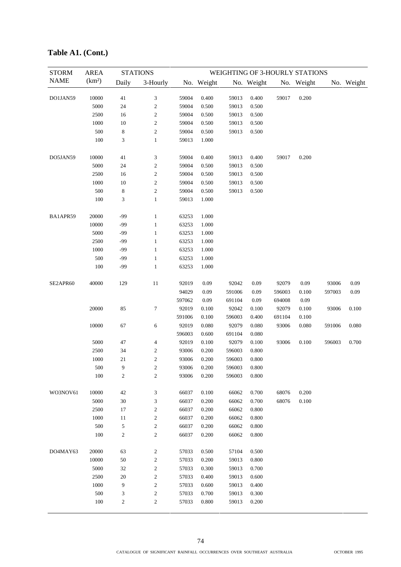| <b>NAME</b><br>(km <sup>2</sup> )<br>Daily<br>3-Hourly<br>No. Weight<br>No. Weight<br>No. Weight<br>No. Weight<br>$\ensuremath{\mathfrak{Z}}$<br>DO1JAN59<br>10000<br>41<br>59004<br>0.400<br>59013<br>0.400<br>59017<br>0.200<br>5000<br>24<br>$\sqrt{2}$<br>59004<br>0.500<br>59013<br>0.500<br>$\sqrt{2}$<br>2500<br>16<br>59004<br>0.500<br>59013<br>0.500<br>10<br>$\sqrt{2}$<br>1000<br>59004<br>0.500<br>59013<br>0.500<br>$\sqrt{2}$<br>500<br>8<br>59004<br>0.500<br>59013<br>0.500<br>100<br>3<br>$\mathbf{1}$<br>59013<br>1.000 |       |
|--------------------------------------------------------------------------------------------------------------------------------------------------------------------------------------------------------------------------------------------------------------------------------------------------------------------------------------------------------------------------------------------------------------------------------------------------------------------------------------------------------------------------------------------|-------|
|                                                                                                                                                                                                                                                                                                                                                                                                                                                                                                                                            |       |
|                                                                                                                                                                                                                                                                                                                                                                                                                                                                                                                                            |       |
|                                                                                                                                                                                                                                                                                                                                                                                                                                                                                                                                            |       |
|                                                                                                                                                                                                                                                                                                                                                                                                                                                                                                                                            |       |
|                                                                                                                                                                                                                                                                                                                                                                                                                                                                                                                                            |       |
|                                                                                                                                                                                                                                                                                                                                                                                                                                                                                                                                            |       |
|                                                                                                                                                                                                                                                                                                                                                                                                                                                                                                                                            |       |
|                                                                                                                                                                                                                                                                                                                                                                                                                                                                                                                                            |       |
| 41<br>DO5JAN59<br>10000<br>3<br>59004<br>0.400<br>59013<br>0.400<br>59017<br>0.200                                                                                                                                                                                                                                                                                                                                                                                                                                                         |       |
| $\sqrt{2}$<br>5000<br>24<br>59004<br>0.500<br>59013<br>0.500                                                                                                                                                                                                                                                                                                                                                                                                                                                                               |       |
| $\sqrt{2}$<br>2500<br>16<br>59004<br>0.500<br>59013<br>0.500                                                                                                                                                                                                                                                                                                                                                                                                                                                                               |       |
| $10\,$<br>$\sqrt{2}$<br>1000<br>59004<br>0.500<br>59013<br>0.500                                                                                                                                                                                                                                                                                                                                                                                                                                                                           |       |
| 500<br>8<br>$\sqrt{2}$<br>59004<br>0.500<br>59013<br>0.500                                                                                                                                                                                                                                                                                                                                                                                                                                                                                 |       |
| 100<br>3<br>59013<br>1.000<br>$\mathbf{1}$                                                                                                                                                                                                                                                                                                                                                                                                                                                                                                 |       |
| BA1APR59<br>20000<br>$-99$<br>$\mathbf{1}$<br>1.000<br>63253                                                                                                                                                                                                                                                                                                                                                                                                                                                                               |       |
| 10000<br>$-99$<br>63253<br>1.000<br>$\mathbf{1}$                                                                                                                                                                                                                                                                                                                                                                                                                                                                                           |       |
| 5000<br>$-99$<br>$\mathbf{1}$<br>63253<br>1.000                                                                                                                                                                                                                                                                                                                                                                                                                                                                                            |       |
| 2500<br>$-99$<br>$\mathbf{1}$<br>63253<br>1.000                                                                                                                                                                                                                                                                                                                                                                                                                                                                                            |       |
| 1000<br>$-99$<br>$\mathbf{1}$<br>63253<br>1.000                                                                                                                                                                                                                                                                                                                                                                                                                                                                                            |       |
| 500<br>$-99$<br>$\mathbf{1}$<br>1.000<br>63253                                                                                                                                                                                                                                                                                                                                                                                                                                                                                             |       |
| 100<br>$-99$<br>$\mathbf{1}$<br>1.000<br>63253                                                                                                                                                                                                                                                                                                                                                                                                                                                                                             |       |
| $11\,$<br>SE2APR60<br>40000<br>129<br>92019<br>0.09<br>92042<br>0.09<br>92079<br>0.09<br>93006                                                                                                                                                                                                                                                                                                                                                                                                                                             | 0.09  |
| 0.09<br>94029<br>591006<br>0.09<br>596003<br>0.100<br>597003                                                                                                                                                                                                                                                                                                                                                                                                                                                                               | 0.09  |
| 597062<br>0.09<br>0.09<br>0.09<br>691104<br>694008                                                                                                                                                                                                                                                                                                                                                                                                                                                                                         |       |
| 20000<br>85<br>7<br>92019<br>0.100<br>92042<br>92079<br>0.100<br>93006<br>0.100                                                                                                                                                                                                                                                                                                                                                                                                                                                            | 0.100 |
| 591006<br>0.100<br>596003<br>$0.400\,$<br>691104<br>0.100                                                                                                                                                                                                                                                                                                                                                                                                                                                                                  |       |
| 10000<br>67<br>6<br>92019<br>0.080<br>92079<br>0.080<br>93006<br>0.080<br>591006                                                                                                                                                                                                                                                                                                                                                                                                                                                           | 0.080 |
| 596003<br>0.600<br>691104<br>0.080                                                                                                                                                                                                                                                                                                                                                                                                                                                                                                         |       |
| 5000<br>47<br>$\overline{\mathcal{A}}$<br>92019<br>0.100<br>92079<br>0.100<br>93006<br>0.100<br>596003                                                                                                                                                                                                                                                                                                                                                                                                                                     | 0.700 |
| $\sqrt{2}$<br>2500<br>34<br>93006<br>596003<br>0.800<br>0.200                                                                                                                                                                                                                                                                                                                                                                                                                                                                              |       |
| $\sqrt{2}$<br>1000<br>21<br>93006<br>0.200<br>596003<br>0.800                                                                                                                                                                                                                                                                                                                                                                                                                                                                              |       |
| $500\,$<br>9<br>93006<br>$0.200\,$<br>$\overline{\mathbf{c}}$<br>596003<br>0.800                                                                                                                                                                                                                                                                                                                                                                                                                                                           |       |
| $\sqrt{2}$<br>100<br>2<br>93006<br>0.200<br>596003<br>0.800                                                                                                                                                                                                                                                                                                                                                                                                                                                                                |       |
|                                                                                                                                                                                                                                                                                                                                                                                                                                                                                                                                            |       |
| WO3NOV61<br>10000<br>42<br>3<br>66037<br>0.100<br>66062<br>0.700<br>68076<br>0.200                                                                                                                                                                                                                                                                                                                                                                                                                                                         |       |
| 5000<br>$30\,$<br>$\ensuremath{\mathfrak{Z}}$<br>0.100<br>66037<br>0.200<br>66062<br>0.700<br>68076                                                                                                                                                                                                                                                                                                                                                                                                                                        |       |
| 2500<br>$\sqrt{2}$<br>17<br>66037<br>0.200<br>66062<br>0.800                                                                                                                                                                                                                                                                                                                                                                                                                                                                               |       |
| $\sqrt{2}$<br>1000<br>11<br>66037<br>0.200<br>66062<br>0.800                                                                                                                                                                                                                                                                                                                                                                                                                                                                               |       |
| $\sqrt{2}$<br>500<br>5<br>66037<br>0.200<br>66062<br>0.800                                                                                                                                                                                                                                                                                                                                                                                                                                                                                 |       |
| $\sqrt{2}$<br>$\boldsymbol{2}$<br>100<br>66037<br>0.200<br>66062<br>0.800                                                                                                                                                                                                                                                                                                                                                                                                                                                                  |       |
| DO4MAY63<br>20000<br>63<br>$\overline{\mathbf{c}}$<br>57033<br>0.500<br>57104<br>0.500                                                                                                                                                                                                                                                                                                                                                                                                                                                     |       |
| $\sqrt{2}$<br>10000<br>50<br>57033<br>59013<br>0.200<br>0.800                                                                                                                                                                                                                                                                                                                                                                                                                                                                              |       |
| $\sqrt{2}$<br>5000<br>32<br>57033<br>0.300<br>59013<br>0.700                                                                                                                                                                                                                                                                                                                                                                                                                                                                               |       |
| $\sqrt{2}$<br>2500<br>59013<br>20<br>57033<br>0.400<br>0.600                                                                                                                                                                                                                                                                                                                                                                                                                                                                               |       |
| $\sqrt{2}$<br>9<br>1000<br>57033<br>0.600<br>59013<br>0.400                                                                                                                                                                                                                                                                                                                                                                                                                                                                                |       |
| $\sqrt{2}$<br>500<br>3<br>59013<br>57033<br>0.700<br>0.300                                                                                                                                                                                                                                                                                                                                                                                                                                                                                 |       |
| 100<br>$\overline{c}$<br>$\mathbf{2}$<br>59013<br>57033<br>0.800<br>0.200                                                                                                                                                                                                                                                                                                                                                                                                                                                                  |       |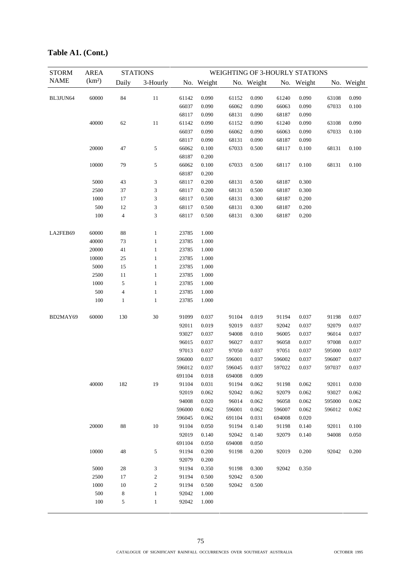| <b>STORM</b> | <b>AREA</b>        |                         | <b>STATIONS</b>       |                |                |        |            |        | WEIGHTING OF 3-HOURLY STATIONS |        |            |
|--------------|--------------------|-------------------------|-----------------------|----------------|----------------|--------|------------|--------|--------------------------------|--------|------------|
| <b>NAME</b>  | (km <sup>2</sup> ) | Daily                   | 3-Hourly              |                | No. Weight     |        | No. Weight |        | No. Weight                     |        | No. Weight |
| BL3JUN64     | 60000              | 84                      | $11\,$                | 61142          | 0.090          | 61152  | 0.090      | 61240  | 0.090                          | 63108  | 0.090      |
|              |                    |                         |                       | 66037          | 0.090          | 66062  | 0.090      | 66063  | 0.090                          | 67033  | 0.100      |
|              |                    |                         |                       | 68117          | 0.090          | 68131  | 0.090      | 68187  | 0.090                          |        |            |
|              | 40000              | 62                      | $11\,$                | 61142          | 0.090          | 61152  | 0.090      | 61240  | 0.090                          | 63108  | 0.090      |
|              |                    |                         |                       | 66037          | 0.090          | 66062  | 0.090      | 66063  | 0.090                          | 67033  | 0.100      |
|              |                    |                         |                       | 68117          | 0.090          | 68131  | 0.090      | 68187  | 0.090                          |        |            |
|              | 20000              | $47\,$                  | 5                     | 66062          | 0.100          | 67033  | 0.500      | 68117  | 0.100                          | 68131  | 0.100      |
|              |                    |                         |                       | 68187          | 0.200          |        |            |        |                                |        |            |
|              | 10000              | 79                      | 5                     | 66062          | 0.100          | 67033  | 0.500      | 68117  | 0.100                          | 68131  | 0.100      |
|              |                    |                         |                       | 68187          | 0.200          |        |            |        |                                |        |            |
|              | 5000               | 43                      | 3                     | 68117          | 0.200          | 68131  | 0.500      | 68187  | 0.300                          |        |            |
|              | 2500               | 37                      | 3                     | 68117          | 0.200          | 68131  | 0.500      | 68187  | 0.300                          |        |            |
|              | 1000               | $17\,$                  | 3                     | 68117          | 0.500          | 68131  | 0.300      | 68187  | 0.200                          |        |            |
|              | 500                | 12                      | 3                     | 68117          | 0.500          | 68131  | 0.300      | 68187  | 0.200                          |        |            |
|              | 100                | $\overline{4}$          | 3                     | 68117          | 0.500          | 68131  | 0.300      | 68187  | 0.200                          |        |            |
| LA2FEB69     | 60000              | $88\,$                  | $\mathbf{1}$          | 23785          | 1.000          |        |            |        |                                |        |            |
|              | 40000              | 73                      | 1                     | 23785          | 1.000          |        |            |        |                                |        |            |
|              | 20000              | 41                      | 1                     | 23785          | 1.000          |        |            |        |                                |        |            |
|              | 10000              | $25\,$                  | $\mathbf{1}$          | 23785          | 1.000          |        |            |        |                                |        |            |
|              | 5000               | 15                      | 1                     | 23785          | 1.000          |        |            |        |                                |        |            |
|              | 2500               | 11                      | 1                     | 23785          | 1.000          |        |            |        |                                |        |            |
|              | 1000               | $\sqrt{5}$              | 1                     | 23785          | 1.000          |        |            |        |                                |        |            |
|              | 500                | $\overline{\mathbf{4}}$ | 1                     | 23785          | 1.000          |        |            |        |                                |        |            |
|              | 100                | 1                       | 1                     | 23785          | 1.000          |        |            |        |                                |        |            |
| BD2MAY69     | 60000              | 130                     | 30                    | 91099          | 0.037          | 91104  | 0.019      | 91194  | 0.037                          | 91198  | 0.037      |
|              |                    |                         |                       | 92011          | 0.019          | 92019  | 0.037      | 92042  | 0.037                          | 92079  | 0.037      |
|              |                    |                         |                       | 93027          | 0.037          | 94008  | 0.010      | 96005  | 0.037                          | 96014  | 0.037      |
|              |                    |                         |                       | 96015          | 0.037          | 96027  | 0.037      | 96058  | 0.037                          | 97008  | 0.037      |
|              |                    |                         |                       | 97013          | 0.037          | 97050  | 0.037      | 97051  | 0.037                          | 595000 | 0.037      |
|              |                    |                         |                       | 596000         | 0.037          | 596001 | 0.037      | 596002 | 0.037                          | 596007 | 0.037      |
|              |                    |                         |                       | 596012         | 0.037          | 596045 | 0.037      | 597022 | 0.037                          | 597037 | 0.037      |
|              |                    |                         |                       | 691104         | 0.018          | 694008 | 0.009      |        |                                |        |            |
|              | 40000              | 182                     | 19                    | 91104          | 0.031          | 91194  | 0.062      | 91198  | 0.062                          | 92011  | 0.030      |
|              |                    |                         |                       | 92019          | 0.062          | 92042  | 0.062      | 92079  | 0.062                          | 93027  | 0.062      |
|              |                    |                         |                       | 94008          | 0.020          | 96014  | 0.062      | 96058  | 0.062                          | 595000 | 0.062      |
|              |                    |                         |                       | 596000         | 0.062          | 596001 | 0.062      | 596007 | 0.062                          | 596012 | 0.062      |
|              |                    |                         |                       | 596045         | 0.062          | 691104 | 0.031      | 694008 | 0.020                          |        |            |
|              | 20000              | 88                      | $10\,$                | 91104          | 0.050          | 91194  | 0.140      | 91198  | 0.140                          | 92011  | 0.100      |
|              |                    |                         |                       | 92019          | 0.140          | 92042  | 0.140      | 92079  | 0.140                          | 94008  | 0.050      |
|              |                    |                         |                       | 691104         | 0.050          | 694008 | 0.050      |        |                                |        |            |
|              | 10000              | 48                      | 5                     | 91194<br>92079 | 0.200<br>0.200 | 91198  | 0.200      | 92019  | 0.200                          | 92042  | 0.200      |
|              | 5000               | 28                      |                       | 91194          | 0.350          | 91198  | 0.300      | 92042  | 0.350                          |        |            |
|              | 2500               | 17                      | 3<br>$\boldsymbol{2}$ | 91194          | 0.500          | 92042  | 0.500      |        |                                |        |            |
|              | 1000               | $10\,$                  | $\mathfrak{2}$        | 91194          | 0.500          | 92042  | 0.500      |        |                                |        |            |
|              | 500                | $\,$ 8 $\,$             | $\mathbf{1}$          | 92042          | 1.000          |        |            |        |                                |        |            |
|              | 100                | 5                       | $\mathbf{1}$          | 92042          | 1.000          |        |            |        |                                |        |            |
|              |                    |                         |                       |                |                |        |            |        |                                |        |            |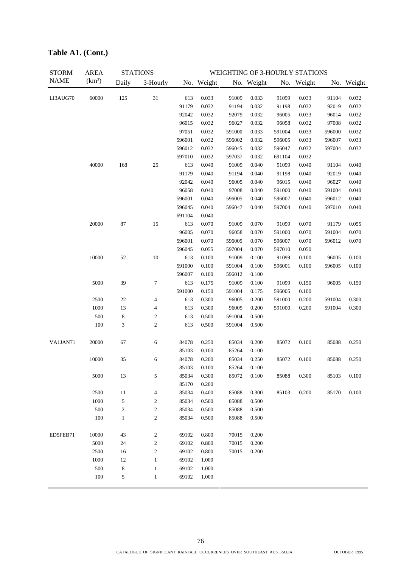| <b>STORM</b> | <b>AREA</b>        |             | <b>STATIONS</b>  |        |            |        |            |        | WEIGHTING OF 3-HOURLY STATIONS |        |            |
|--------------|--------------------|-------------|------------------|--------|------------|--------|------------|--------|--------------------------------|--------|------------|
| <b>NAME</b>  | (km <sup>2</sup> ) | Daily       | 3-Hourly         |        | No. Weight |        | No. Weight |        | No. Weight                     |        | No. Weight |
| LI3AUG70     | 60000              | 125         | 31               | 613    | 0.033      | 91009  | 0.033      | 91099  | 0.033                          | 91104  | 0.032      |
|              |                    |             |                  | 91179  | 0.032      | 91194  | 0.032      | 91198  | 0.032                          | 92019  | 0.032      |
|              |                    |             |                  | 92042  | 0.032      | 92079  | 0.032      | 96005  | 0.033                          | 96014  | 0.032      |
|              |                    |             |                  | 96015  | 0.032      | 96027  | 0.032      | 96058  | 0.032                          | 97008  | 0.032      |
|              |                    |             |                  | 97051  | 0.032      | 591000 | 0.033      | 591004 | 0.033                          | 596000 | 0.032      |
|              |                    |             |                  | 596001 | 0.032      | 596002 | 0.032      | 596005 | 0.033                          | 596007 | 0.033      |
|              |                    |             |                  | 596012 | 0.032      | 596045 | 0.032      | 596047 | 0.032                          | 597004 | 0.032      |
|              |                    |             |                  | 597010 | 0.032      | 597037 | 0.032      | 691104 | 0.032                          |        |            |
|              | 40000              | 168         | 25               | 613    | 0.040      | 91009  | 0.040      | 91099  | 0.040                          | 91104  | 0.040      |
|              |                    |             |                  | 91179  | 0.040      | 91194  | 0.040      | 91198  | 0.040                          | 92019  | 0.040      |
|              |                    |             |                  | 92042  | 0.040      | 96005  | 0.040      | 96015  | 0.040                          | 96027  | 0.040      |
|              |                    |             |                  | 96058  | 0.040      | 97008  | 0.040      | 591000 | 0.040                          | 591004 | 0.040      |
|              |                    |             |                  | 596001 | 0.040      | 596005 | 0.040      | 596007 | 0.040                          | 596012 | 0.040      |
|              |                    |             |                  | 596045 | 0.040      | 596047 | 0.040      | 597004 | 0.040                          | 597010 | 0.040      |
|              |                    |             |                  | 691104 | 0.040      |        |            |        |                                |        |            |
|              | 20000              | 87          | 15               | 613    | 0.070      | 91009  | 0.070      | 91099  | 0.070                          | 91179  | 0.055      |
|              |                    |             |                  | 96005  | 0.070      | 96058  | 0.070      | 591000 | 0.070                          | 591004 | 0.070      |
|              |                    |             |                  | 596001 | 0.070      | 596005 | 0.070      | 596007 | 0.070                          | 596012 | 0.070      |
|              |                    |             |                  | 596045 | 0.055      | 597004 | 0.070      | 597010 | 0.050                          |        |            |
|              | 10000              | 52          | 10               | 613    | 0.100      | 91009  | 0.100      | 91099  | 0.100                          | 96005  | 0.100      |
|              |                    |             |                  | 591000 | 0.100      | 591004 | 0.100      | 596001 | 0.100                          | 596005 | 0.100      |
|              |                    |             |                  | 596007 | 0.100      | 596012 | 0.100      |        |                                |        |            |
|              | 5000               | 39          | $\boldsymbol{7}$ | 613    | 0.175      | 91009  | 0.100      | 91099  | 0.150                          | 96005  | 0.150      |
|              |                    |             |                  | 591000 | 0.150      | 591004 | 0.175      | 596005 | 0.100                          |        |            |
|              | 2500               | 22          | 4                | 613    | 0.300      | 96005  | 0.200      | 591000 | 0.200                          | 591004 | 0.300      |
|              | 1000               | 13          | 4                | 613    | 0.300      | 96005  | 0.200      | 591000 | 0.200                          | 591004 | 0.300      |
|              | 500                | 8           | $\mathfrak{2}$   | 613    | 0.500      | 591004 | 0.500      |        |                                |        |            |
|              | 100                | 3           | $\mathfrak{2}$   | 613    | 0.500      | 591004 | 0.500      |        |                                |        |            |
|              |                    |             |                  |        |            |        |            |        |                                |        |            |
| VA1JAN71     | 20000              | 67          | 6                | 84078  | 0.250      | 85034  | 0.200      | 85072  | 0.100                          | 85088  | 0.250      |
|              |                    |             |                  | 85103  | 0.100      | 85264  | 0.100      |        |                                |        |            |
|              | 10000              | 35          | 6                | 84078  | 0.200      | 85034  | 0.250      | 85072  | 0.100                          | 85088  | 0.250      |
|              |                    |             |                  | 85103  | 0.100      | 85264  | 0.100      |        |                                |        |            |
|              | 5000               | 13          | 5                | 85034  | 0.300      | 85072  | 0.100      | 85088  | 0.300                          | 85103  | 0.100      |
|              |                    |             |                  | 85170  | 0.200      |        |            |        |                                |        |            |
|              | 2500               | 11          | 4                | 85034  | 0.400      | 85088  | 0.300      | 85103  | 0.200                          | 85170  | 0.100      |
|              | 1000               | 5           | 2                | 85034  | 0.500      | 85088  | 0.500      |        |                                |        |            |
|              | 500                | $\sqrt{2}$  | $\boldsymbol{2}$ | 85034  | 0.500      | 85088  | 0.500      |        |                                |        |            |
|              | 100                | $\mathbf 1$ | $\mathfrak{2}$   | 85034  | 0.500      | 85088  | 0.500      |        |                                |        |            |
| ED5FEB71     | 10000              | 43          | 2                | 69102  | 0.800      | 70015  | 0.200      |        |                                |        |            |
|              | 5000               | 24          | $\mathfrak{2}$   | 69102  | 0.800      | 70015  | 0.200      |        |                                |        |            |
|              | 2500               | 16          | $\mathfrak{2}$   | 69102  | 0.800      | 70015  | 0.200      |        |                                |        |            |
|              | 1000               | 12          | $\mathbf{1}$     | 69102  | 1.000      |        |            |        |                                |        |            |
|              | 500                | 8           | $\mathbf{1}$     | 69102  | 1.000      |        |            |        |                                |        |            |
|              | 100                | $\sqrt{5}$  | $\,1$            | 69102  | 1.000      |        |            |        |                                |        |            |
|              |                    |             |                  |        |            |        |            |        |                                |        |            |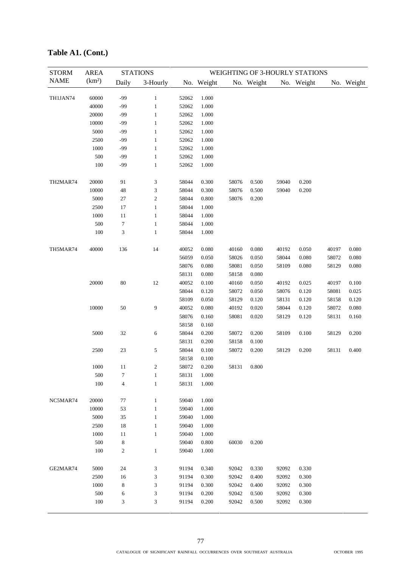| <b>STORM</b> | <b>AREA</b>        |                         | <b>STATIONS</b> |       |            |              |            |       | WEIGHTING OF 3-HOURLY STATIONS |       |            |
|--------------|--------------------|-------------------------|-----------------|-------|------------|--------------|------------|-------|--------------------------------|-------|------------|
| <b>NAME</b>  | (km <sup>2</sup> ) | Daily                   | 3-Hourly        |       | No. Weight |              | No. Weight |       | No. Weight                     |       | No. Weight |
|              |                    |                         |                 |       |            |              |            |       |                                |       |            |
| TH1JAN74     | 60000              | -99                     | $\mathbf{1}$    | 52062 | 1.000      |              |            |       |                                |       |            |
|              | 40000              | -99                     | $\mathbf{1}$    | 52062 | 1.000      |              |            |       |                                |       |            |
|              | 20000              | -99                     | $\mathbf{1}$    | 52062 | 1.000      |              |            |       |                                |       |            |
|              | 10000              | -99                     | $\mathbf{1}$    | 52062 | 1.000      |              |            |       |                                |       |            |
|              | 5000               | -99                     | $\mathbf{1}$    | 52062 | 1.000      |              |            |       |                                |       |            |
|              | 2500               | -99                     | $\mathbf{1}$    | 52062 | 1.000      |              |            |       |                                |       |            |
|              | 1000               | -99                     | $\mathbf{1}$    | 52062 | 1.000      |              |            |       |                                |       |            |
|              | 500                | -99                     | $\mathbf{1}$    | 52062 | 1.000      |              |            |       |                                |       |            |
|              | 100                | -99                     | $\mathbf{1}$    | 52062 | 1.000      |              |            |       |                                |       |            |
| TH2MAR74     | 20000              | 91                      | 3               | 58044 | 0.300      | 58076        | 0.500      | 59040 | 0.200                          |       |            |
|              | 10000              | 48                      | 3               | 58044 | 0.300      | 58076        | 0.500      | 59040 | 0.200                          |       |            |
|              | 5000               | $27\,$                  | $\mathfrak{2}$  | 58044 | 0.800      | 58076        | 0.200      |       |                                |       |            |
|              | 2500               | 17                      | $\mathbf{1}$    | 58044 | 1.000      |              |            |       |                                |       |            |
|              | 1000               | 11                      | $\mathbf{1}$    | 58044 | 1.000      |              |            |       |                                |       |            |
|              | 500                | $\boldsymbol{7}$        | $\mathbf{1}$    | 58044 | 1.000      |              |            |       |                                |       |            |
|              | 100                | 3                       | $\mathbf{1}$    | 58044 | 1.000      |              |            |       |                                |       |            |
| TH5MAR74     | 40000              | 136                     | 14              | 40052 | 0.080      | 40160        | 0.080      | 40192 | 0.050                          | 40197 | 0.080      |
|              |                    |                         |                 | 56059 | 0.050      | 58026        | 0.050      | 58044 | 0.080                          | 58072 | 0.080      |
|              |                    |                         |                 | 58076 | 0.080      | 58081        | 0.050      | 58109 | 0.080                          | 58129 | 0.080      |
|              |                    |                         |                 | 58131 | 0.080      | 58158        | 0.080      |       |                                |       |            |
|              | 20000              | $80\,$                  | 12              | 40052 | 0.100      | 40160        | 0.050      | 40192 | 0.025                          | 40197 | 0.100      |
|              |                    |                         |                 | 58044 | 0.120      | 58072        | 0.050      | 58076 | 0.120                          | 58081 | 0.025      |
|              |                    |                         |                 | 58109 | 0.050      | 58129        | 0.120      | 58131 | 0.120                          | 58158 | 0.120      |
|              | 10000              | 50                      | 9               | 40052 | 0.080      | 40192        | 0.020      | 58044 | 0.120                          | 58072 | 0.080      |
|              |                    |                         |                 | 58076 | 0.160      | 58081        | 0.020      | 58129 | 0.120                          | 58131 | 0.160      |
|              |                    |                         |                 | 58158 | 0.160      |              |            |       |                                |       |            |
|              | 5000               | 32                      | 6               | 58044 | 0.200      | 58072        | 0.200      | 58109 | 0.100                          | 58129 | 0.200      |
|              |                    |                         |                 | 58131 | 0.200      | 58158        | 0.100      |       |                                |       |            |
|              | 2500               | 23                      | 5               | 58044 | 0.100      | 58072        | 0.200      | 58129 | 0.200                          | 58131 | 0.400      |
|              |                    |                         |                 | 58158 | 0.100      |              |            |       |                                |       |            |
|              | $1000\,$           | 11                      | 2               | 58072 | 0.200      | 58131  0.800 |            |       |                                |       |            |
|              | 500                | 7                       | $\mathbf{1}$    | 58131 | 1.000      |              |            |       |                                |       |            |
|              | 100                | $\overline{\mathbf{4}}$ | $\mathbf{1}$    | 58131 | 1.000      |              |            |       |                                |       |            |
| NC5MAR74     | 20000              | 77                      | $\mathbf{1}$    | 59040 | 1.000      |              |            |       |                                |       |            |
|              | 10000              | 53                      | $\mathbf{1}$    | 59040 | 1.000      |              |            |       |                                |       |            |
|              | 5000               | 35                      | $\mathbf{1}$    | 59040 | 1.000      |              |            |       |                                |       |            |
|              | 2500               | 18                      | $\mathbf{1}$    | 59040 | 1.000      |              |            |       |                                |       |            |
|              | 1000               | 11                      | $\mathbf{1}$    | 59040 | 1.000      |              |            |       |                                |       |            |
|              | 500                | 8                       |                 | 59040 | 0.800      | 60030        | 0.200      |       |                                |       |            |
|              | 100                | $\mathbf{2}$            | $\mathbf{1}$    | 59040 | 1.000      |              |            |       |                                |       |            |
| GE2MAR74     | 5000               | 24                      | 3               | 91194 | 0.340      | 92042        | 0.330      | 92092 | 0.330                          |       |            |
|              | 2500               | 16                      | 3               | 91194 | 0.300      | 92042        | 0.400      | 92092 | 0.300                          |       |            |
|              | 1000               | 8                       | 3               | 91194 | 0.300      | 92042        | 0.400      | 92092 | 0.300                          |       |            |
|              | 500                | 6                       | 3               | 91194 | 0.200      | 92042        | 0.500      | 92092 | 0.300                          |       |            |
|              | 100                | 3                       | 3               | 91194 | 0.200      | 92042        | 0.500      | 92092 | 0.300                          |       |            |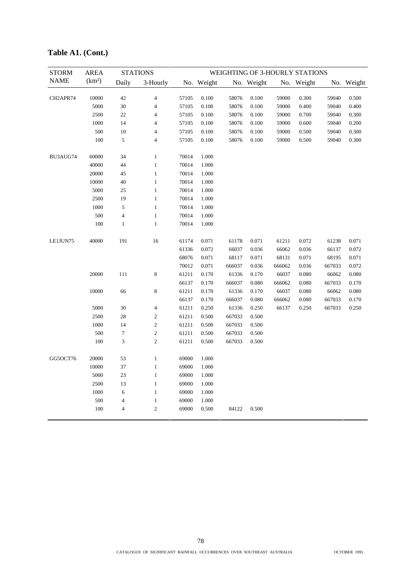| <b>STORM</b> | <b>AREA</b>        |                         | <b>STATIONS</b>  |       |            |        |            |        | WEIGHTING OF 3-HOURLY STATIONS |        |            |
|--------------|--------------------|-------------------------|------------------|-------|------------|--------|------------|--------|--------------------------------|--------|------------|
| <b>NAME</b>  | (km <sup>2</sup> ) | Daily                   | 3-Hourly         |       | No. Weight |        | No. Weight |        | No. Weight                     |        | No. Weight |
| CH2APR74     | 10000              | 42                      | 4                | 57105 | 0.100      | 58076  | 0.100      | 59000  | 0.300                          | 59040  | 0.500      |
|              | 5000               | 30                      | 4                | 57105 | 0.100      | 58076  | 0.100      | 59000  | 0.400                          | 59040  | 0.400      |
|              | 2500               | $22\,$                  | 4                | 57105 | 0.100      | 58076  | 0.100      | 59000  | 0.700                          | 59040  | 0.300      |
|              | 1000               | 14                      | 4                | 57105 | 0.100      | 58076  | 0.100      | 59000  | 0.600                          | 59040  | 0.200      |
|              | 500                | 10                      | 4                | 57105 | 0.100      | 58076  | 0.100      | 59000  | 0.500                          | 59040  | 0.300      |
|              | 100                | 5                       | 4                | 57105 | 0.100      | 58076  | 0.100      | 59000  | 0.500                          | 59040  | 0.300      |
| BU3AUG74     | 60000              | 34                      | $\mathbf{1}$     | 70014 | 1.000      |        |            |        |                                |        |            |
|              | 40000              | 44                      | $\mathbf{1}$     | 70014 | 1.000      |        |            |        |                                |        |            |
|              | 20000              | 45                      | $\mathbf{1}$     | 70014 | 1.000      |        |            |        |                                |        |            |
|              | 10000              | 40                      | $\mathbf{1}$     | 70014 | 1.000      |        |            |        |                                |        |            |
|              | 5000               | 25                      | $\mathbf{1}$     | 70014 | 1.000      |        |            |        |                                |        |            |
|              | 2500               | 19                      | $\mathbf{1}$     | 70014 | 1.000      |        |            |        |                                |        |            |
|              | 1000               | 5                       | 1                | 70014 | 1.000      |        |            |        |                                |        |            |
|              | 500                | $\overline{\mathbf{4}}$ | $\mathbf{1}$     | 70014 | 1.000      |        |            |        |                                |        |            |
|              | 100                | 1                       | $\mathbf{1}$     | 70014 | 1.000      |        |            |        |                                |        |            |
| LE1JUN75     | 40000              | 191                     | 16               | 61174 | 0.071      | 61178  | 0.071      | 61211  | 0.072                          | 61238  | 0.071      |
|              |                    |                         |                  | 61336 | 0.072      | 66037  | 0.036      | 66062  | 0.036                          | 66137  | 0.072      |
|              |                    |                         |                  | 68076 | 0.071      | 68117  | 0.071      | 68131  | 0.071                          | 68195  | 0.071      |
|              |                    |                         |                  | 70012 | 0.071      | 666037 | 0.036      | 666062 | 0.036                          | 667033 | 0.072      |
|              | 20000              | 111                     | 8                | 61211 | 0.170      | 61336  | 0.170      | 66037  | 0.080                          | 66062  | 0.080      |
|              |                    |                         |                  | 66137 | 0.170      | 666037 | 0.080      | 666062 | 0.080                          | 667033 | 0.170      |
|              | 10000              | 66                      | 8                | 61211 | 0.170      | 61336  | 0.170      | 66037  | 0.080                          | 66062  | 0.080      |
|              |                    |                         |                  | 66137 | 0.170      | 666037 | 0.080      | 666062 | 0.080                          | 667033 | 0.170      |
|              | 5000               | 30                      | 4                | 61211 | 0.250      | 61336  | 0.250      | 66137  | 0.250                          | 667033 | 0.250      |
|              | 2500               | 28                      | 2                | 61211 | 0.500      | 667033 | 0.500      |        |                                |        |            |
|              | 1000               | 14                      | $\boldsymbol{2}$ | 61211 | 0.500      | 667033 | 0.500      |        |                                |        |            |
|              | 500                | $\boldsymbol{7}$        | $\mathfrak{2}$   | 61211 | 0.500      | 667033 | 0.500      |        |                                |        |            |
|              | 100                | 3                       | $\overline{c}$   | 61211 | 0.500      | 667033 | 0.500      |        |                                |        |            |
| GG5OCT76     | 20000              | 53                      | $\mathbf{1}$     | 69000 | 1.000      |        |            |        |                                |        |            |
|              | 10000              | 37                      | 1                | 69000 | 1.000      |        |            |        |                                |        |            |
|              | 5000               | 23                      | $\mathbf{1}$     | 69000 | 1.000      |        |            |        |                                |        |            |
|              | 2500               | 13                      | $\mathbf{1}$     | 69000 | 1.000      |        |            |        |                                |        |            |
|              | 1000               | 6                       | $\mathbf{1}$     | 69000 | 1.000      |        |            |        |                                |        |            |
|              | 500                | $\overline{4}$          | 1                | 69000 | 1.000      |        |            |        |                                |        |            |
|              | 100                | 4                       | $\mathbf{2}$     | 69000 | 0.500      | 84122  | 0.500      |        |                                |        |            |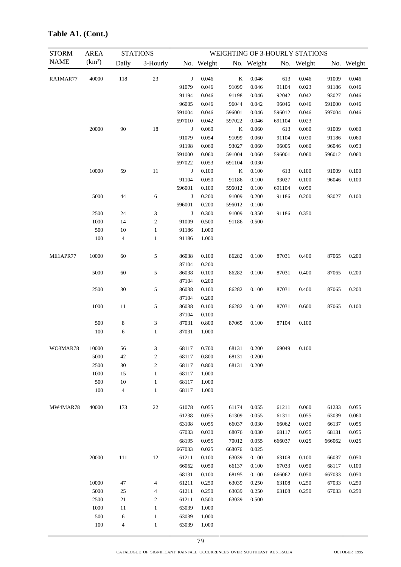| <b>STORM</b> | <b>AREA</b>        | <b>STATIONS</b>          |                             |        |            |         |            |        | WEIGHTING OF 3-HOURLY STATIONS |        |            |
|--------------|--------------------|--------------------------|-----------------------------|--------|------------|---------|------------|--------|--------------------------------|--------|------------|
| <b>NAME</b>  | (km <sup>2</sup> ) | Daily                    | 3-Hourly                    |        | No. Weight |         | No. Weight |        | No. Weight                     |        | No. Weight |
| RA1MAR77     | 40000              | 118                      | $23\,$                      | J      | 0.046      | $\bf K$ | 0.046      | 613    | 0.046                          | 91009  | 0.046      |
|              |                    |                          |                             | 91079  | 0.046      | 91099   | 0.046      | 91104  | 0.023                          | 91186  | 0.046      |
|              |                    |                          |                             | 91194  | 0.046      | 91198   | 0.046      | 92042  | 0.042                          | 93027  | 0.046      |
|              |                    |                          |                             | 96005  | 0.046      | 96044   | 0.042      | 96046  | 0.046                          | 591000 | 0.046      |
|              |                    |                          |                             | 591004 | 0.046      | 596001  | 0.046      | 596012 | 0.046                          | 597004 | 0.046      |
|              |                    |                          |                             | 597010 | 0.042      | 597022  | 0.046      | 691104 | 0.023                          |        |            |
|              | 20000              | 90                       | 18                          | J      | 0.060      | K       | 0.060      | 613    | 0.060                          | 91009  | 0.060      |
|              |                    |                          |                             | 91079  | 0.054      | 91099   | 0.060      | 91104  | 0.030                          | 91186  | 0.060      |
|              |                    |                          |                             | 91198  | 0.060      | 93027   | 0.060      | 96005  | 0.060                          | 96046  | 0.053      |
|              |                    |                          |                             | 591000 | 0.060      | 591004  | 0.060      | 596001 | 0.060                          | 596012 | 0.060      |
|              |                    |                          |                             | 597022 | 0.053      | 691104  | 0.030      |        |                                |        |            |
|              | 10000              | 59                       | 11                          | J      | 0.100      | $\bf K$ | 0.100      | 613    | 0.100                          | 91009  | 0.100      |
|              |                    |                          |                             | 91104  | 0.050      | 91186   | 0.100      | 93027  | 0.100                          | 96046  | 0.100      |
|              |                    |                          |                             | 596001 | 0.100      | 596012  | 0.100      | 691104 | 0.050                          |        |            |
|              | 5000               | 44                       | 6                           | J      | 0.200      | 91009   | 0.200      | 91186  | 0.200                          | 93027  | 0.100      |
|              |                    |                          |                             | 596001 | 0.200      | 596012  | 0.100      |        |                                |        |            |
|              | 2500               | 24                       | 3                           | J      | 0.300      | 91009   | 0.350      | 91186  | 0.350                          |        |            |
|              | 1000               | 14                       | $\sqrt{2}$                  | 91009  | 0.500      | 91186   | 0.500      |        |                                |        |            |
|              | 500                | 10                       | $\mathbf{1}$                | 91186  | 1.000      |         |            |        |                                |        |            |
|              | 100                | $\overline{\mathcal{A}}$ | $\mathbf{1}$                | 91186  | 1.000      |         |            |        |                                |        |            |
| ME1APR77     | 10000              | 60                       | $\sqrt{5}$                  | 86038  | 0.100      | 86282   | 0.100      | 87031  | 0.400                          | 87065  | 0.200      |
|              |                    |                          |                             | 87104  | 0.200      |         |            |        |                                |        |            |
|              | 5000               | 60                       | $\sqrt{5}$                  | 86038  | 0.100      | 86282   | 0.100      | 87031  | 0.400                          | 87065  | 0.200      |
|              |                    |                          |                             | 87104  | 0.200      |         |            |        |                                |        |            |
|              | 2500               | 30                       | 5                           | 86038  | 0.100      | 86282   | 0.100      | 87031  | 0.400                          | 87065  | 0.200      |
|              |                    |                          |                             | 87104  | 0.200      |         |            |        |                                |        |            |
|              | 1000               | 11                       | $\sqrt{5}$                  | 86038  | 0.100      | 86282   | 0.100      | 87031  | 0.600                          | 87065  | 0.100      |
|              |                    |                          |                             | 87104  | 0.100      |         |            |        |                                |        |            |
|              | 500                | 8                        | $\ensuremath{\mathfrak{Z}}$ | 87031  | 0.800      | 87065   | 0.100      | 87104  | 0.100                          |        |            |
|              | 100                | 6                        | $\mathbf{1}$                | 87031  | 1.000      |         |            |        |                                |        |            |
| WO3MAR78     | 10000              | 56                       | 3                           | 68117  | 0.700      | 68131   | 0.200      |        | 69049  0.100                   |        |            |
|              | 5000               | 42                       | $\overline{c}$              | 68117  | 0.800      | 68131   | 0.200      |        |                                |        |            |
|              | 2500               | 30                       | $\sqrt{2}$                  | 68117  | 0.800      | 68131   | 0.200      |        |                                |        |            |
|              | 1000               | 15                       | $\mathbf{1}$                | 68117  | 1.000      |         |            |        |                                |        |            |
|              | 500                | 10                       | $\mathbf{1}$                | 68117  | 1.000      |         |            |        |                                |        |            |
|              | 100                | $\overline{\mathcal{L}}$ | $\mathbf{1}$                | 68117  | 1.000      |         |            |        |                                |        |            |
| MW4MAR78     | 40000              | 173                      | $22\,$                      | 61078  | 0.055      | 61174   | 0.055      | 61211  | 0.060                          | 61233  | 0.055      |
|              |                    |                          |                             | 61238  | 0.055      | 61309   | 0.055      | 61311  | 0.055                          | 63039  | 0.060      |
|              |                    |                          |                             | 63108  | 0.055      | 66037   | 0.030      | 66062  | 0.030                          | 66137  | 0.055      |
|              |                    |                          |                             | 67033  | 0.030      | 68076   | 0.030      | 68117  | 0.055                          | 68131  | 0.055      |
|              |                    |                          |                             | 68195  | 0.055      | 70012   | 0.055      | 666037 | 0.025                          | 666062 | 0.025      |
|              |                    |                          |                             | 667033 | 0.025      | 668076  | 0.025      |        |                                |        |            |
|              | 20000              | 111                      | $12\,$                      | 61211  | 0.100      | 63039   | 0.100      | 63108  | 0.100                          | 66037  | 0.050      |
|              |                    |                          |                             | 66062  | 0.050      | 66137   | 0.100      | 67033  | 0.050                          | 68117  | 0.100      |
|              |                    |                          |                             | 68131  | 0.100      | 68195   | 0.100      | 666062 | 0.050                          | 667033 | 0.050      |
|              | 10000              | 47                       | 4                           | 61211  | 0.250      | 63039   | 0.250      | 63108  | 0.250                          | 67033  | 0.250      |
|              | 5000               | 25                       | 4                           | 61211  | 0.250      | 63039   | 0.250      | 63108  | 0.250                          | 67033  | 0.250      |
|              | 2500               | $21\,$                   | $\boldsymbol{2}$            | 61211  | 0.500      | 63039   | 0.500      |        |                                |        |            |
|              | 1000               | 11                       | $\mathbf{1}$                | 63039  | 1.000      |         |            |        |                                |        |            |
|              | 500                | 6                        | $\mathbf{1}$                | 63039  | 1.000      |         |            |        |                                |        |            |
|              | 100                | $\overline{\mathcal{A}}$ | $\mathbf{1}$                | 63039  | 1.000      |         |            |        |                                |        |            |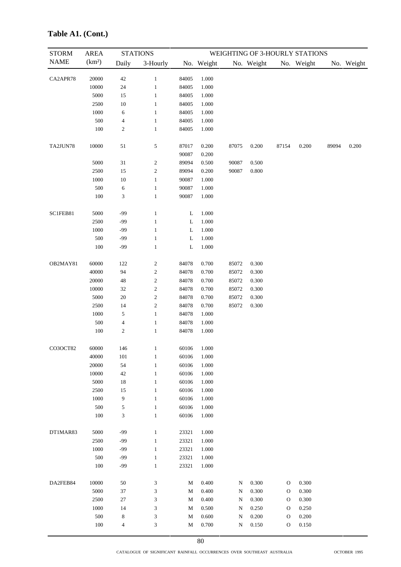| <b>STORM</b> | <b>AREA</b>        |                             | <b>STATIONS</b>             |                |                |           |            |               | WEIGHTING OF 3-HOURLY STATIONS |       |            |
|--------------|--------------------|-----------------------------|-----------------------------|----------------|----------------|-----------|------------|---------------|--------------------------------|-------|------------|
| <b>NAME</b>  | (km <sup>2</sup> ) | Daily                       | 3-Hourly                    |                | No. Weight     |           | No. Weight |               | No. Weight                     |       | No. Weight |
| CA2APR78     | 20000              | $42\,$                      | $\mathbf{1}$                | 84005          | 1.000          |           |            |               |                                |       |            |
|              | 10000              | $24\,$                      | $\mathbf{1}$                | 84005          | 1.000          |           |            |               |                                |       |            |
|              | 5000               | 15                          | $\mathbf{1}$                | 84005          | 1.000          |           |            |               |                                |       |            |
|              | 2500               | $10\,$                      | $\mathbf{1}$                | 84005          | 1.000          |           |            |               |                                |       |            |
|              | 1000               | 6                           | $\mathbf{1}$                | 84005          | 1.000          |           |            |               |                                |       |            |
|              | 500                | $\overline{\mathcal{A}}$    | $\mathbf{1}$                | 84005          | 1.000          |           |            |               |                                |       |            |
|              | 100                | $\boldsymbol{2}$            | $\mathbf{1}$                | 84005          | 1.000          |           |            |               |                                |       |            |
| TA2JUN78     | 10000              | 51                          | 5                           | 87017<br>90087 | 0.200<br>0.200 | 87075     | 0.200      | 87154         | 0.200                          | 89094 | 0.200      |
|              | 5000               | 31                          | $\sqrt{2}$                  | 89094          | 0.500          | 90087     | 0.500      |               |                                |       |            |
|              | 2500               | 15                          | $\overline{\mathbf{c}}$     | 89094          | 0.200          | 90087     | 0.800      |               |                                |       |            |
|              | 1000               | $10\,$                      | $\mathbf{1}$                | 90087          | 1.000          |           |            |               |                                |       |            |
|              | 500                | 6                           | $\mathbf{1}$                | 90087          | 1.000          |           |            |               |                                |       |            |
|              | 100                | 3                           | $\mathbf{1}$                | 90087          | 1.000          |           |            |               |                                |       |            |
| SC1FEB81     | 5000               | $-99$                       | $\,1$                       | L              | 1.000          |           |            |               |                                |       |            |
|              | 2500               | $-99$                       | $\mathbf{1}$                | L              | 1.000          |           |            |               |                                |       |            |
|              | 1000               | $-99$                       | $\mathbf{1}$                | L              | 1.000          |           |            |               |                                |       |            |
|              | 500                | $-99$                       | $\mathbf{1}$                | L              | 1.000          |           |            |               |                                |       |            |
|              | $100\,$            | $-99$                       | $\mathbf{1}$                | L              | 1.000          |           |            |               |                                |       |            |
| OB2MAY81     | 60000              | 122                         | $\overline{\mathbf{c}}$     | 84078          | 0.700          | 85072     | 0.300      |               |                                |       |            |
|              | 40000              | 94                          | $\boldsymbol{2}$            | 84078          | 0.700          | 85072     | 0.300      |               |                                |       |            |
|              | 20000              | $\sqrt{48}$                 | $\boldsymbol{2}$            | 84078          | 0.700          | 85072     | 0.300      |               |                                |       |            |
|              | 10000              | 32                          | $\sqrt{2}$                  | 84078          | 0.700          | 85072     | 0.300      |               |                                |       |            |
|              | 5000               | 20                          | $\boldsymbol{2}$            | 84078          | 0.700          | 85072     | 0.300      |               |                                |       |            |
|              | 2500               | 14                          | $\sqrt{2}$                  | 84078          | 0.700          | 85072     | 0.300      |               |                                |       |            |
|              | 1000               | $\mathfrak s$               | $\,1$                       | 84078          | 1.000          |           |            |               |                                |       |            |
|              | 500                | $\overline{\mathcal{A}}$    | $\mathbf{1}$                | 84078          | 1.000          |           |            |               |                                |       |            |
|              | 100                | $\boldsymbol{2}$            | $\mathbf{1}$                | 84078          | 1.000          |           |            |               |                                |       |            |
| CO3OCT82     | 60000              | 146                         | $\mathbf{1}$                | 60106          | 1.000          |           |            |               |                                |       |            |
|              | 40000              | 101                         | $\mathbf{1}$                | 60106          | 1.000          |           |            |               |                                |       |            |
|              | 20000              | 54                          | $\mathbf{1}$                | 60106          | 1.000          |           |            |               |                                |       |            |
|              | 10000              | 42                          | $\mathbf{1}$                | 60106          | 1.000          |           |            |               |                                |       |            |
|              | 5000               | 18                          | $\mathbf{1}$                | 60106          | 1.000          |           |            |               |                                |       |            |
|              | 2500               | 15                          | $\mathbf{1}$                | 60106          | 1.000          |           |            |               |                                |       |            |
|              | 1000               | 9                           | $\mathbf{1}$                | 60106          | 1.000          |           |            |               |                                |       |            |
|              | 500                | 5                           | $\mathbf{1}$                | 60106          | 1.000          |           |            |               |                                |       |            |
|              | 100                | $\ensuremath{\mathfrak{Z}}$ | $\mathbf{1}$                | 60106          | 1.000          |           |            |               |                                |       |            |
| DT1MAR83     | 5000               | $-99$                       | $\mathbf{1}$                | 23321          | 1.000          |           |            |               |                                |       |            |
|              | 2500               | -99                         | $\mathbf{1}$                | 23321          | 1.000          |           |            |               |                                |       |            |
|              | 1000               | -99                         | $\mathbf{1}$                | 23321          | 1.000          |           |            |               |                                |       |            |
|              | 500                | $-99$                       | $\mathbf{1}$                | 23321          | 1.000          |           |            |               |                                |       |            |
|              | 100                | -99                         | $\mathbf{1}$                | 23321          | 1.000          |           |            |               |                                |       |            |
| DA2FEB84     | 10000              | 50                          | 3                           | $\mathbf M$    | 0.400          | ${\bf N}$ | 0.300      | $\mathcal{O}$ | 0.300                          |       |            |
|              | 5000               | 37                          | 3                           | $\mathbf M$    | 0.400          | N         | 0.300      | $\mathcal{O}$ | 0.300                          |       |            |
|              | 2500               | $27\,$                      | 3                           | $\mathbf M$    | 0.400          | N         | 0.300      | $\mathcal{O}$ | 0.300                          |       |            |
|              | 1000               | 14                          | 3                           | $\mathbf M$    | 0.500          | N         | 0.250      | O             | 0.250                          |       |            |
|              | 500                | $\,$ 8 $\,$                 | 3                           | $\mathbf M$    | 0.600          | N         | 0.200      | $\mathbf{O}$  | 0.200                          |       |            |
|              | 100                | $\overline{4}$              | $\ensuremath{\mathfrak{Z}}$ | $\mathbf M$    | 0.700          | ${\bf N}$ | 0.150      | $\mathcal O$  | 0.150                          |       |            |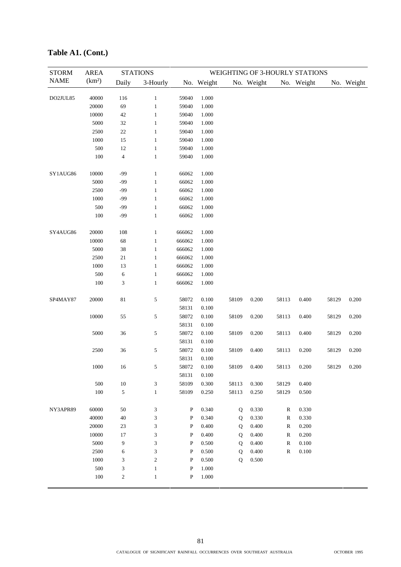| <b>STORM</b> | <b>AREA</b>        | <b>STATIONS</b>             |                | WEIGHTING OF 3-HOURLY STATIONS |            |             |            |              |                      |       |            |
|--------------|--------------------|-----------------------------|----------------|--------------------------------|------------|-------------|------------|--------------|----------------------|-------|------------|
| <b>NAME</b>  | (km <sup>2</sup> ) | Daily                       | 3-Hourly       |                                | No. Weight |             | No. Weight |              | No. Weight           |       | No. Weight |
|              |                    |                             |                |                                |            |             |            |              |                      |       |            |
| DO2JUL85     | 40000              | 116                         | $\mathbf{1}$   | 59040                          | 1.000      |             |            |              |                      |       |            |
|              | 20000              | 69                          | $\mathbf{1}$   | 59040                          | 1.000      |             |            |              |                      |       |            |
|              | 10000              | $42\,$                      | $\mathbf{1}$   | 59040                          | 1.000      |             |            |              |                      |       |            |
|              | 5000               | 32                          | $\mathbf{1}$   | 59040                          | 1.000      |             |            |              |                      |       |            |
|              | 2500               | $22\,$                      | $\mathbf{1}$   | 59040                          | 1.000      |             |            |              |                      |       |            |
|              | 1000               | 15                          | $\,1$          | 59040                          | 1.000      |             |            |              |                      |       |            |
|              | 500                | 12                          | $\,1$          | 59040                          | 1.000      |             |            |              |                      |       |            |
|              | 100                | $\overline{4}$              | $\mathbf{1}$   | 59040                          | 1.000      |             |            |              |                      |       |            |
| SY1AUG86     | 10000              | $-99$                       | $\,1$          | 66062                          | 1.000      |             |            |              |                      |       |            |
|              | 5000               | -99                         | $\mathbf{1}$   | 66062                          | 1.000      |             |            |              |                      |       |            |
|              | 2500               | $-99$                       | $\mathbf{1}$   | 66062                          | 1.000      |             |            |              |                      |       |            |
|              | 1000               | -99                         | $\mathbf{1}$   | 66062                          | 1.000      |             |            |              |                      |       |            |
|              | 500                | $-99$                       | $\mathbf{1}$   | 66062                          | 1.000      |             |            |              |                      |       |            |
|              | 100                | $-99$                       | $\mathbf{1}$   | 66062                          | 1.000      |             |            |              |                      |       |            |
| SY4AUG86     | 20000              | 108                         | $\mathbf{1}$   | 666062                         | 1.000      |             |            |              |                      |       |            |
|              | 10000              | 68                          | $\mathbf{1}$   | 666062                         | 1.000      |             |            |              |                      |       |            |
|              | 5000               | 38                          | $\mathbf{1}$   | 666062                         | 1.000      |             |            |              |                      |       |            |
|              | 2500               | 21                          | $\mathbf{1}$   | 666062                         | 1.000      |             |            |              |                      |       |            |
|              | 1000               | 13                          | $\mathbf{1}$   | 666062                         | 1.000      |             |            |              |                      |       |            |
|              | 500                | 6                           | $\mathbf{1}$   | 666062                         | 1.000      |             |            |              |                      |       |            |
|              | 100                | $\ensuremath{\mathfrak{Z}}$ | $\mathbf{1}$   | 666062                         | 1.000      |             |            |              |                      |       |            |
| SP4MAY87     | 20000              | 81                          | $\sqrt{5}$     | 58072                          | 0.100      | 58109       | 0.200      | 58113        | 0.400                | 58129 | 0.200      |
|              |                    |                             |                | 58131                          | 0.100      |             |            |              |                      |       |            |
|              | 10000              | 55                          | $\sqrt{5}$     | 58072                          | 0.100      | 58109       | 0.200      | 58113        | 0.400                | 58129 | 0.200      |
|              |                    |                             |                | 58131                          | 0.100      |             |            |              |                      |       |            |
|              | 5000               | 36                          | 5              | 58072                          | 0.100      | 58109       | 0.200      | 58113        | 0.400                | 58129 | 0.200      |
|              |                    |                             |                | 58131                          | 0.100      |             |            |              |                      |       |            |
|              | 2500               | 36                          | 5              | 58072                          | 0.100      | 58109       | 0.400      | 58113        | 0.200                | 58129 | 0.200      |
|              |                    |                             |                | 58131                          | 0.100      |             |            |              |                      |       |            |
|              | $1000\,$           | 16                          | 5              | 58072                          | $0.100\,$  | 58109       | 0.400      |              | $58113 \qquad 0.200$ | 58129 | 0.200      |
|              |                    |                             |                | 58131                          | 0.100      |             |            |              |                      |       |            |
|              | 500                | $10\,$                      | 3              | 58109                          | 0.300      | 58113       | 0.300      | 58129        | 0.400                |       |            |
|              | $100\,$            | 5                           | $\mathbf{1}$   | 58109                          | 0.250      | 58113       | 0.250      | 58129        | 0.500                |       |            |
| NY3APR89     | 60000              | 50                          | 3              | $\, {\bf P}$                   | 0.340      | Q           | 0.330      | R            | 0.330                |       |            |
|              | 40000              | $40\,$                      | 3              | $\mathbf P$                    | 0.340      | ${\bf Q}$   | 0.330      | ${\bf R}$    | 0.330                |       |            |
|              | 20000              | 23                          | 3              | $\, {\bf P}$                   | 0.400      | ${\bf Q}$   | 0.400      | $\mathbb{R}$ | 0.200                |       |            |
|              | 10000              | 17                          | 3              | $\mathbf P$                    | 0.400      | ${\bf Q}$   | 0.400      | $\mathbb{R}$ | 0.200                |       |            |
|              | 5000               | 9                           | 3              | $\, {\bf P}$                   | 0.500      | Q           | 0.400      | $\mathbb{R}$ | 0.100                |       |            |
|              | 2500               | 6                           | 3              | $\, {\bf P}$                   | 0.500      | Q           | 0.400      | $\mathbb{R}$ | 0.100                |       |            |
|              | 1000               | 3                           | $\mathfrak{2}$ | $\mathbf P$                    | 0.500      | $\mathbf Q$ | 0.500      |              |                      |       |            |
|              | 500                | 3                           | $\mathbf{1}$   | P                              | 1.000      |             |            |              |                      |       |            |
|              | $100\,$            | $\boldsymbol{2}$            | $\mathbf{1}$   | $\, {\bf P}$                   | $1.000\,$  |             |            |              |                      |       |            |
|              |                    |                             |                |                                |            |             |            |              |                      |       |            |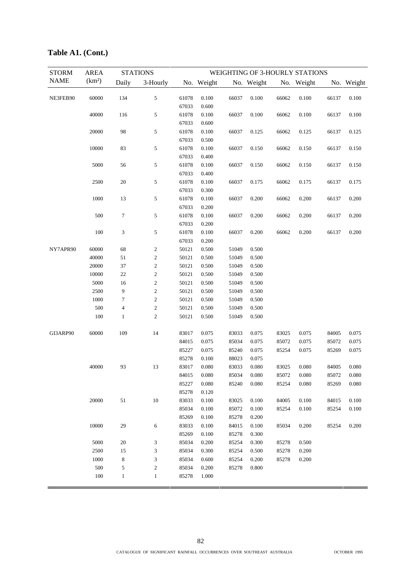| <b>STORM</b> | <b>AREA</b><br>(km <sup>2</sup> ) | <b>STATIONS</b>         |                         | WEIGHTING OF 3-HOURLY STATIONS |            |       |            |       |            |       |            |
|--------------|-----------------------------------|-------------------------|-------------------------|--------------------------------|------------|-------|------------|-------|------------|-------|------------|
| <b>NAME</b>  |                                   | Daily                   | 3-Hourly                |                                | No. Weight |       | No. Weight |       | No. Weight |       | No. Weight |
| NE3FEB90     | 60000                             | 134                     | 5                       | 61078                          | 0.100      | 66037 | 0.100      | 66062 | 0.100      | 66137 | 0.100      |
|              |                                   |                         |                         | 67033                          | 0.600      |       |            |       |            |       |            |
|              | 40000                             | 116                     | 5                       | 61078                          | 0.100      | 66037 | 0.100      | 66062 | 0.100      | 66137 | 0.100      |
|              |                                   |                         |                         | 67033                          | 0.600      |       |            |       |            |       |            |
|              | 20000                             | 98                      | 5                       | 61078                          | 0.100      | 66037 | 0.125      | 66062 | 0.125      | 66137 | 0.125      |
|              |                                   |                         |                         | 67033                          | 0.500      |       |            |       |            |       |            |
|              | 10000                             | 83                      | 5                       | 61078                          | 0.100      | 66037 | 0.150      | 66062 | 0.150      | 66137 | 0.150      |
|              |                                   |                         |                         | 67033                          | 0.400      |       |            |       |            |       |            |
|              | 5000                              | 56                      | 5                       | 61078                          | 0.100      | 66037 | 0.150      | 66062 | 0.150      | 66137 | 0.150      |
|              |                                   |                         |                         | 67033                          | 0.400      |       |            |       |            |       |            |
|              | 2500                              | $20\,$                  | 5                       | 61078                          | 0.100      | 66037 | 0.175      | 66062 | 0.175      | 66137 | 0.175      |
|              |                                   |                         |                         | 67033                          | 0.300      |       |            |       |            |       |            |
|              | 1000                              | 13                      | 5                       | 61078                          | 0.100      | 66037 | 0.200      | 66062 | 0.200      | 66137 | 0.200      |
|              |                                   |                         |                         | 67033                          | 0.200      |       |            |       |            |       |            |
|              | 500                               | $\tau$                  | 5                       | 61078                          | 0.100      | 66037 | 0.200      | 66062 | 0.200      | 66137 | 0.200      |
|              |                                   |                         |                         | 67033                          | 0.200      |       |            |       |            |       |            |
|              | 100                               | 3                       | 5                       | 61078                          | 0.100      | 66037 | 0.200      | 66062 | 0.200      | 66137 | 0.200      |
|              |                                   |                         |                         | 67033                          | 0.200      |       |            |       |            |       |            |
| NY7APR90     | 60000                             | 68                      | 2                       | 50121                          | 0.500      | 51049 | 0.500      |       |            |       |            |
|              | 40000                             | 51                      | $\mathfrak{2}$          | 50121                          | 0.500      | 51049 | 0.500      |       |            |       |            |
|              | 20000                             | 37                      | $\boldsymbol{2}$        | 50121                          | 0.500      | 51049 | 0.500      |       |            |       |            |
|              | 10000                             | $22\,$                  | $\boldsymbol{2}$        | 50121                          | 0.500      | 51049 | 0.500      |       |            |       |            |
|              | 5000                              | 16                      | $\overline{\mathbf{c}}$ | 50121                          | 0.500      | 51049 | 0.500      |       |            |       |            |
|              | 2500                              | 9                       | $\overline{\mathbf{c}}$ | 50121                          | 0.500      | 51049 | 0.500      |       |            |       |            |
|              | 1000                              | $\tau$                  | $\sqrt{2}$              | 50121                          | 0.500      | 51049 | 0.500      |       |            |       |            |
|              | 500                               | $\overline{\mathbf{4}}$ | $\sqrt{2}$              | 50121                          | 0.500      | 51049 | 0.500      |       |            |       |            |
|              | 100                               | $\mathbf{1}$            | $\overline{c}$          | 50121                          | 0.500      | 51049 | 0.500      |       |            |       |            |
| GI3ARP90     | 60000                             | 109                     | 14                      | 83017                          | 0.075      | 83033 | 0.075      | 83025 | 0.075      | 84005 | 0.075      |
|              |                                   |                         |                         | 84015                          | 0.075      | 85034 | 0.075      | 85072 | 0.075      | 85072 | 0.075      |
|              |                                   |                         |                         | 85227                          | 0.075      | 85240 | 0.075      | 85254 | 0.075      | 85269 | 0.075      |
|              |                                   |                         |                         | 85278                          | 0.100      | 88023 | 0.075      |       |            |       |            |
|              | 40000                             | 93                      | 13                      | 83017                          | 0.080      | 83033 | 0.080      | 83025 | 0.080      | 84005 | 0.080      |
|              |                                   |                         |                         | 84015                          | 0.080      | 85034 | 0.080      | 85072 | 0.080      | 85072 | 0.080      |
|              |                                   |                         |                         | 85227                          | 0.080      | 85240 | 0.080      | 85254 | 0.080      | 85269 | 0.080      |
|              |                                   |                         |                         | 85278                          | 0.120      |       |            |       |            |       |            |
|              | 20000                             | 51                      | 10                      | 83033                          | 0.100      | 83025 | 0.100      | 84005 | 0.100      | 84015 | 0.100      |
|              |                                   |                         |                         | 85034                          | 0.100      | 85072 | 0.100      | 85254 | 0.100      | 85254 | 0.100      |
|              |                                   |                         |                         | 85269                          | 0.100      | 85278 | 0.200      |       |            |       |            |
|              | 10000                             | 29                      | 6                       | 83033                          | 0.100      | 84015 | 0.100      | 85034 | 0.200      | 85254 | 0.200      |
|              |                                   |                         |                         | 85269                          | 0.100      | 85278 | 0.300      |       |            |       |            |
|              | 5000                              | 20                      | 3                       | 85034                          | 0.200      | 85254 | 0.300      | 85278 | 0.500      |       |            |
|              | 2500                              | 15                      | 3                       | 85034                          | 0.300      | 85254 | 0.500      | 85278 | 0.200      |       |            |
|              | 1000                              | $\,$ 8 $\,$             | 3                       | 85034                          | 0.600      | 85254 | 0.200      | 85278 | 0.200      |       |            |
|              | 500                               | 5                       | $\mathfrak{2}$          | 85034                          | 0.200      | 85278 | 0.800      |       |            |       |            |
|              | 100                               | $\mathbf{1}$            | $\mathbf{1}$            | 85278                          | 1.000      |       |            |       |            |       |            |
|              |                                   |                         |                         |                                |            |       |            |       |            |       |            |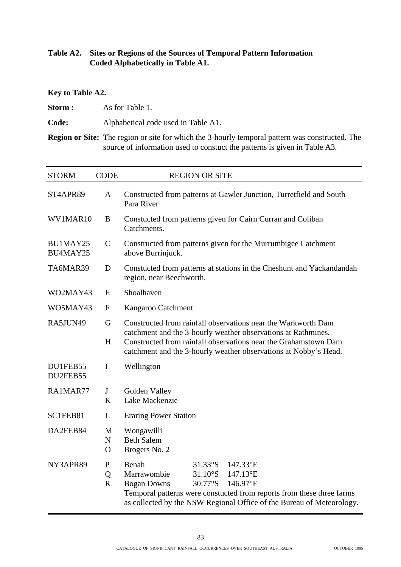#### **Table A2. Sites or Regions of the Sources of Temporal Pattern Information Coded Alphabetically in Table A1.**

#### **Key to Table A2.**

**Storm :** As for Table 1.

**Code:** Alphabetical code used in Table A1.

**Region or Site:** The region or site for which the 3-hourly temporal pattern was constructed. The source of information used to constuct the patterns is given in Table A3.

| <b>STORM</b>         | <b>CODE</b>                   | <b>REGION OR SITE</b>                                                                                                                                                                                                                                                             |  |  |  |  |
|----------------------|-------------------------------|-----------------------------------------------------------------------------------------------------------------------------------------------------------------------------------------------------------------------------------------------------------------------------------|--|--|--|--|
| ST4APR89             | A                             | Constructed from patterns at Gawler Junction, Turretfield and South<br>Para River                                                                                                                                                                                                 |  |  |  |  |
| WV1MAR10             | B                             | Constucted from patterns given for Cairn Curran and Coliban<br>Catchments.                                                                                                                                                                                                        |  |  |  |  |
| BU1MAY25<br>BU4MAY25 | $\mathcal{C}$                 | Constructed from patterns given for the Murrumbigee Catchment<br>above Burrinjuck.                                                                                                                                                                                                |  |  |  |  |
| TA6MAR39             | D                             | Constucted from patterns at stations in the Cheshunt and Yackandandah<br>region, near Beechworth.                                                                                                                                                                                 |  |  |  |  |
| WO2MAY43             | E                             | Shoalhaven                                                                                                                                                                                                                                                                        |  |  |  |  |
| WO5MAY43             | $\boldsymbol{\mathrm{F}}$     | Kangaroo Catchment                                                                                                                                                                                                                                                                |  |  |  |  |
| RA5JUN49             | G                             | Constructed from rainfall observations near the Warkworth Dam                                                                                                                                                                                                                     |  |  |  |  |
|                      | H                             | catchment and the 3-hourly weather observations at Rathmines.<br>Constructed from rainfall observations near the Grahamstown Dam<br>catchment and the 3-hourly weather observations at Nobby's Head.                                                                              |  |  |  |  |
| DU1FEB55<br>DU2FEB55 | $\mathbf I$                   | Wellington                                                                                                                                                                                                                                                                        |  |  |  |  |
| RA1MAR77             | J<br>K                        | Golden Valley<br>Lake Mackenzie                                                                                                                                                                                                                                                   |  |  |  |  |
| SC1FEB81             | L                             | <b>Eraring Power Station</b>                                                                                                                                                                                                                                                      |  |  |  |  |
| DA2FEB84             | M<br>${\bf N}$<br>$\mathbf O$ | Wongawilli<br><b>Beth Salem</b><br>Brogers No. 2                                                                                                                                                                                                                                  |  |  |  |  |
| NY3APR89             | ${\bf P}$<br>Q<br>$\mathbf R$ | Benah<br>$31.33^\circ$ S<br>147.33°E<br>Marrawombie<br>$31.10^\circ$ S<br>147.13°E<br>30.77°S<br><b>Bogan Downs</b><br>146.97°E<br>Temporal patterns were constucted from reports from these three farms<br>as collected by the NSW Regional Office of the Bureau of Meteorology. |  |  |  |  |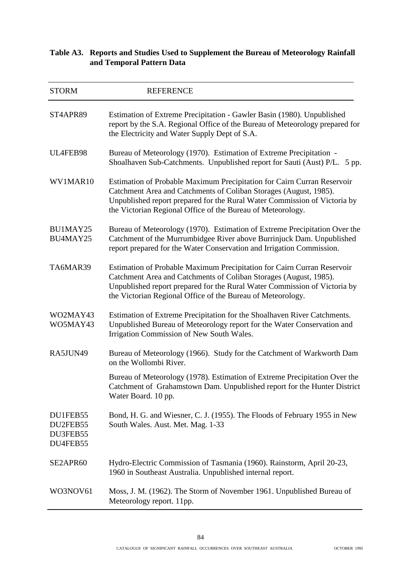#### **Table A3. Reports and Studies Used to Supplement the Bureau of Meteorology Rainfall and Temporal Pattern Data**

| <b>STORM</b>                                 | <b>REFERENCE</b>                                                                                                                                                                                                                                                                         |
|----------------------------------------------|------------------------------------------------------------------------------------------------------------------------------------------------------------------------------------------------------------------------------------------------------------------------------------------|
| ST4APR89                                     | Estimation of Extreme Precipitation - Gawler Basin (1980). Unpublished<br>report by the S.A. Regional Office of the Bureau of Meteorology prepared for<br>the Electricity and Water Supply Dept of S.A.                                                                                  |
| UL4FEB98                                     | Bureau of Meteorology (1970). Estimation of Extreme Precipitation -<br>Shoalhaven Sub-Catchments. Unpublished report for Sauti (Aust) P/L.<br>5 pp.                                                                                                                                      |
| WV1MAR10                                     | Estimation of Probable Maximum Precipitation for Cairn Curran Reservoir<br>Catchment Area and Catchments of Coliban Storages (August, 1985).<br>Unpublished report prepared for the Rural Water Commission of Victoria by<br>the Victorian Regional Office of the Bureau of Meteorology. |
| BU1MAY25<br>BU4MAY25                         | Bureau of Meteorology (1970). Estimation of Extreme Precipitation Over the<br>Catchment of the Murrumbidgee River above Burrinjuck Dam. Unpublished<br>report prepared for the Water Conservation and Irrigation Commission.                                                             |
| TA6MAR39                                     | Estimation of Probable Maximum Precipitation for Cairn Curran Reservoir<br>Catchment Area and Catchments of Coliban Storages (August, 1985).<br>Unpublished report prepared for the Rural Water Commission of Victoria by<br>the Victorian Regional Office of the Bureau of Meteorology. |
| WO2MAY43<br>WO5MAY43                         | Estimation of Extreme Precipitation for the Shoalhaven River Catchments.<br>Unpublished Bureau of Meteorology report for the Water Conservation and<br>Irrigation Commission of New South Wales.                                                                                         |
| RA5JUN49                                     | Bureau of Meteorology (1966). Study for the Catchment of Warkworth Dam<br>on the Wollombi River.                                                                                                                                                                                         |
|                                              | Bureau of Meteorology (1978). Estimation of Extreme Precipitation Over the<br>Catchment of Grahamstown Dam. Unpublished report for the Hunter District<br>Water Board. 10 pp.                                                                                                            |
| DU1FEB55<br>DU2FEB55<br>DU3FEB55<br>DU4FEB55 | Bond, H. G. and Wiesner, C. J. (1955). The Floods of February 1955 in New<br>South Wales. Aust. Met. Mag. 1-33                                                                                                                                                                           |
| SE2APR60                                     | Hydro-Electric Commission of Tasmania (1960). Rainstorm, April 20-23,<br>1960 in Southeast Australia. Unpublished internal report.                                                                                                                                                       |
| WO3NOV61                                     | Moss, J. M. (1962). The Storm of November 1961. Unpublished Bureau of<br>Meteorology report. 11pp.                                                                                                                                                                                       |